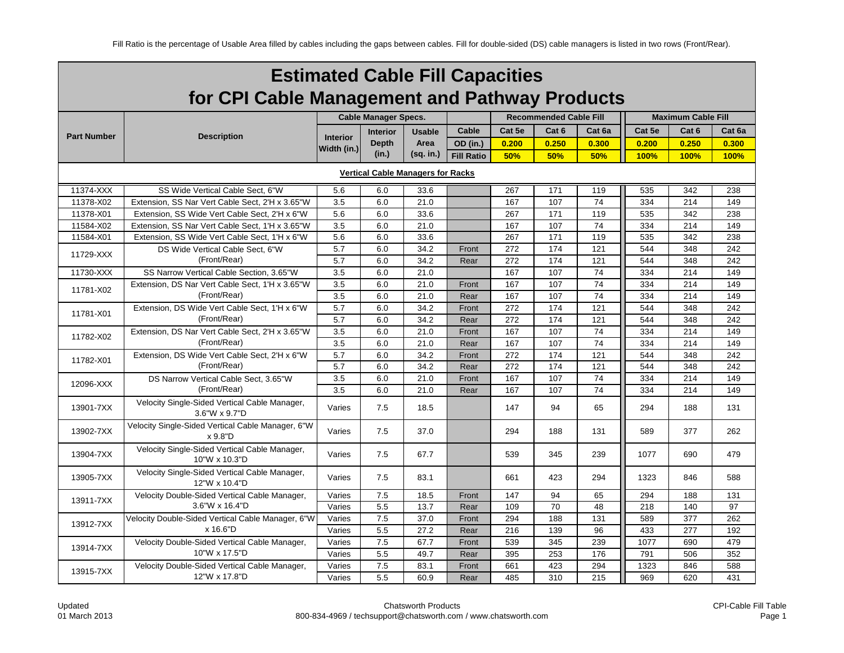|                                               | <b>Estimated Cable Fill Capacities</b>                         |                                |                             |               |                   |        |                               |        |        |                           |        |  |
|-----------------------------------------------|----------------------------------------------------------------|--------------------------------|-----------------------------|---------------|-------------------|--------|-------------------------------|--------|--------|---------------------------|--------|--|
| for CPI Cable Management and Pathway Products |                                                                |                                |                             |               |                   |        |                               |        |        |                           |        |  |
|                                               |                                                                |                                | <b>Cable Manager Specs.</b> |               |                   |        | <b>Recommended Cable Fill</b> |        |        | <b>Maximum Cable Fill</b> |        |  |
| <b>Part Number</b>                            | <b>Description</b>                                             |                                | <b>Interior</b>             | <b>Usable</b> | <b>Cable</b>      | Cat 5e | Cat 6                         | Cat 6a | Cat 5e | Cat <sub>6</sub>          | Cat 6a |  |
|                                               |                                                                | <b>Interior</b><br>Width (in.) | <b>Depth</b>                | Area          | OD (in.)          | 0.200  | 0.250                         | 0.300  | 0.200  | 0.250                     | 0.300  |  |
|                                               |                                                                |                                | (in.)                       | (sq. in.)     | <b>Fill Ratio</b> | 50%    | 50%                           | 50%    | 100%   | 100%                      | 100%   |  |
|                                               | <b>Vertical Cable Managers for Racks</b>                       |                                |                             |               |                   |        |                               |        |        |                           |        |  |
| 11374-XXX                                     | SS Wide Vertical Cable Sect, 6"W                               | 5.6                            | 6.0                         | 33.6          |                   | 267    | 171                           | 119    | 535    | 342                       | 238    |  |
| 11378-X02                                     | Extension, SS Nar Vert Cable Sect, 2'H x 3.65"W                | 3.5                            | 6.0                         | 21.0          |                   | 167    | 107                           | 74     | 334    | 214                       | 149    |  |
| 11378-X01                                     | Extension, SS Wide Vert Cable Sect, 2'H x 6"W                  | 5.6                            | 6.0                         | 33.6          |                   | 267    | 171                           | 119    | 535    | 342                       | 238    |  |
| 11584-X02                                     | Extension, SS Nar Vert Cable Sect, 1'H x 3.65"W                | 3.5                            | 6.0                         | 21.0          |                   | 167    | 107                           | 74     | 334    | 214                       | 149    |  |
| 11584-X01                                     | Extension, SS Wide Vert Cable Sect, 1'H x 6"W                  | 5.6                            | 6.0                         | 33.6          |                   | 267    | 171                           | 119    | 535    | 342                       | 238    |  |
| 11729-XXX                                     | DS Wide Vertical Cable Sect. 6"W                               | 5.7                            | 6.0                         | 34.2          | Front             | 272    | 174                           | 121    | 544    | 348                       | 242    |  |
|                                               | (Front/Rear)                                                   | 5.7                            | 6.0                         | 34.2          | Rear              | 272    | 174                           | 121    | 544    | 348                       | 242    |  |
| 11730-XXX                                     | SS Narrow Vertical Cable Section, 3.65"W                       | 3.5                            | 6.0                         | 21.0          |                   | 167    | 107                           | 74     | 334    | 214                       | 149    |  |
| 11781-X02                                     | Extension, DS Nar Vert Cable Sect, 1'H x 3.65"W                | 3.5                            | 6.0                         | 21.0          | Front             | 167    | 107                           | 74     | 334    | 214                       | 149    |  |
|                                               | (Front/Rear)                                                   | 3.5                            | 6.0                         | 21.0          | Rear              | 167    | 107                           | 74     | 334    | 214                       | 149    |  |
| 11781-X01                                     | Extension. DS Wide Vert Cable Sect. 1'H x 6"W                  | 5.7                            | 6.0                         | 34.2          | Front             | 272    | 174                           | 121    | 544    | 348                       | 242    |  |
|                                               | (Front/Rear)                                                   | 5.7                            | 6.0                         | 34.2          | Rear              | 272    | 174                           | 121    | 544    | 348                       | 242    |  |
| 11782-X02                                     | Extension, DS Nar Vert Cable Sect, 2'H x 3.65"W                | 3.5                            | 6.0                         | 21.0          | Front             | 167    | 107                           | 74     | 334    | 214                       | 149    |  |
|                                               | (Front/Rear)                                                   | 3.5                            | 6.0                         | 21.0          | Rear              | 167    | 107                           | 74     | 334    | 214                       | 149    |  |
| 11782-X01                                     | Extension, DS Wide Vert Cable Sect, 2'H x 6"W                  | 5.7                            | 6.0                         | 34.2          | Front             | 272    | 174                           | 121    | 544    | 348                       | 242    |  |
|                                               | (Front/Rear)                                                   | 5.7                            | 6.0                         | 34.2          | Rear              | 272    | 174                           | 121    | 544    | 348                       | 242    |  |
| 12096-XXX                                     | DS Narrow Vertical Cable Sect, 3.65"W                          | 3.5                            | 6.0                         | 21.0          | Front             | 167    | 107                           | 74     | 334    | 214                       | 149    |  |
|                                               | (Front/Rear)                                                   | 3.5                            | 6.0                         | 21.0          | Rear              | 167    | 107                           | 74     | 334    | 214                       | 149    |  |
| 13901-7XX                                     | Velocity Single-Sided Vertical Cable Manager,<br>3.6"W x 9.7"D | Varies                         | 7.5                         | 18.5          |                   | 147    | 94                            | 65     | 294    | 188                       | 131    |  |
| 13902-7XX                                     | Velocity Single-Sided Vertical Cable Manager, 6"W<br>x 9.8"D   | Varies                         | 7.5                         | 37.0          |                   | 294    | 188                           | 131    | 589    | 377                       | 262    |  |
| 13904-7XX                                     | Velocity Single-Sided Vertical Cable Manager,<br>10"W x 10.3"D | Varies                         | 7.5                         | 67.7          |                   | 539    | 345                           | 239    | 1077   | 690                       | 479    |  |
| 13905-7XX                                     | Velocity Single-Sided Vertical Cable Manager,<br>12"W x 10.4"D | Varies                         | 7.5                         | 83.1          |                   | 661    | 423                           | 294    | 1323   | 846                       | 588    |  |
| 13911-7XX                                     | Velocity Double-Sided Vertical Cable Manager,                  | Varies                         | 7.5                         | 18.5          | Front             | 147    | 94                            | 65     | 294    | 188                       | 131    |  |
|                                               | 3.6"W x 16.4"D                                                 | Varies                         | 5.5                         | 13.7          | Rear              | 109    | 70                            | 48     | 218    | 140                       | 97     |  |
| 13912-7XX                                     | Velocity Double-Sided Vertical Cable Manager, 6"W              | Varies                         | 7.5                         | 37.0          | Front             | 294    | 188                           | 131    | 589    | 377                       | 262    |  |
|                                               | x 16.6"D                                                       | Varies                         | 5.5                         | 27.2          | Rear              | 216    | 139                           | 96     | 433    | 277                       | 192    |  |
| 13914-7XX                                     | Velocity Double-Sided Vertical Cable Manager,                  | Varies                         | 7.5                         | 67.7          | Front             | 539    | 345                           | 239    | 1077   | 690                       | 479    |  |
|                                               | 10"W x 17.5"D                                                  | Varies                         | 5.5                         | 49.7          | Rear              | 395    | 253                           | 176    | 791    | 506                       | 352    |  |
| 13915-7XX                                     | Velocity Double-Sided Vertical Cable Manager,                  | Varies                         | 7.5                         | 83.1          | Front             | 661    | 423                           | 294    | 1323   | 846                       | 588    |  |
|                                               | 12"W x 17.8"D                                                  | Varies                         | 5.5                         | 60.9          | Rear              | 485    | 310                           | 215    | 969    | 620                       | 431    |  |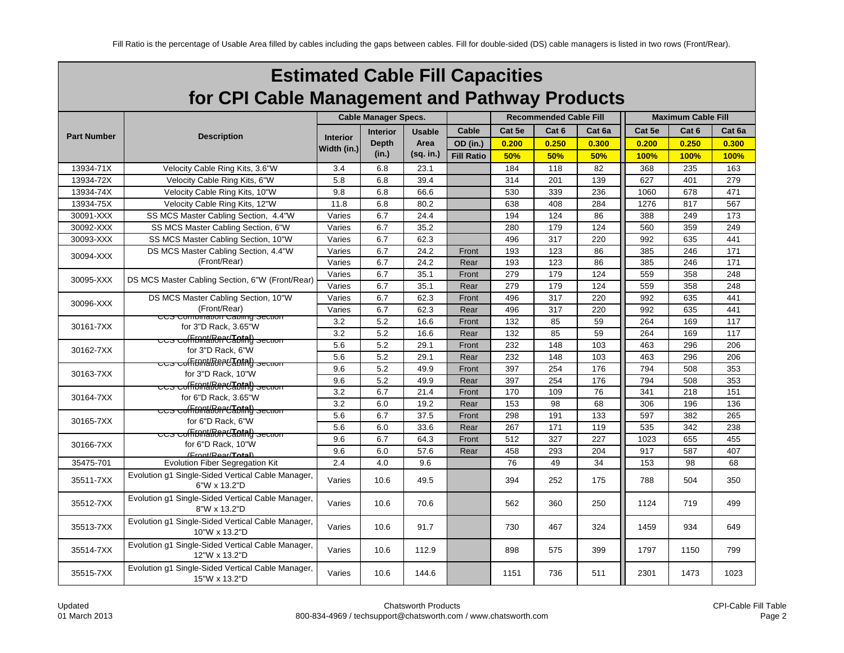| <b>Estimated Cable Fill Capacities</b>        |
|-----------------------------------------------|
| for CPI Cable Management and Pathway Products |

|                    |                                                                     |                 | <b>Cable Manager Specs.</b> |               |                   |        | <b>Recommended Cable Fill</b> |        | <b>Maximum Cable Fill</b> |                  |        |  |
|--------------------|---------------------------------------------------------------------|-----------------|-----------------------------|---------------|-------------------|--------|-------------------------------|--------|---------------------------|------------------|--------|--|
|                    |                                                                     |                 | <b>Interior</b>             | <b>Usable</b> | Cable             | Cat 5e | Cat <sub>6</sub>              | Cat 6a | Cat 5e                    | Cat <sub>6</sub> | Cat 6a |  |
| <b>Part Number</b> | <b>Description</b>                                                  | <b>Interior</b> | <b>Depth</b>                | Area          | <b>OD</b> (in.)   | 0.200  | 0.250                         | 0.300  | 0.200                     | 0.250            | 0.300  |  |
|                    |                                                                     | Width (in.)     | (in.)                       | (sq. in.)     | <b>Fill Ratio</b> | 50%    | 50%                           | 50%    | 100%                      | 100%             | 100%   |  |
| 13934-71X          | Velocity Cable Ring Kits, 3.6"W                                     | 3.4             | 6.8                         | 23.1          |                   | 184    | 118                           | 82     | 368                       | 235              | 163    |  |
| 13934-72X          | Velocity Cable Ring Kits, 6"W                                       | 5.8             | 6.8                         | 39.4          |                   | 314    | 201                           | 139    | 627                       | 401              | 279    |  |
| 13934-74X          | Velocity Cable Ring Kits, 10"W                                      | 9.8             | 6.8                         | 66.6          |                   | 530    | 339                           | 236    | 1060                      | 678              | 471    |  |
| 13934-75X          | Velocity Cable Ring Kits, 12"W                                      | 11.8            | 6.8                         | 80.2          |                   | 638    | 408                           | 284    | 1276                      | 817              | 567    |  |
| 30091-XXX          | SS MCS Master Cabling Section, 4.4"W                                | Varies          | 6.7                         | 24.4          |                   | 194    | 124                           | 86     | 388                       | 249              | 173    |  |
| 30092-XXX          | SS MCS Master Cabling Section, 6"W                                  | Varies          | 6.7                         | 35.2          |                   | 280    | 179                           | 124    | 560                       | 359              | 249    |  |
| 30093-XXX          | SS MCS Master Cabling Section, 10"W                                 | Varies          | 6.7                         | 62.3          |                   | 496    | 317                           | 220    | 992                       | 635              | 441    |  |
| 30094-XXX          | DS MCS Master Cabling Section, 4.4"W                                | Varies          | 6.7                         | 24.2          | Front             | 193    | 123                           | 86     | 385                       | 246              | 171    |  |
|                    | (Front/Rear)                                                        | Varies          | 6.7                         | 24.2          | Rear              | 193    | 123                           | 86     | 385                       | 246              | 171    |  |
| 30095-XXX          | DS MCS Master Cabling Section, 6"W (Front/Rear)                     | Varies          | 6.7                         | 35.1          | Front             | 279    | 179                           | 124    | 559                       | 358              | 248    |  |
|                    |                                                                     | Varies          | 6.7                         | 35.1          | Rear              | 279    | 179                           | 124    | 559                       | 358              | 248    |  |
| 30096-XXX          | DS MCS Master Cabling Section, 10"W                                 | Varies          | 6.7                         | 62.3          | Front             | 496    | 317                           | 220    | 992                       | 635              | 441    |  |
|                    | (Front/Rear)                                                        | Varies          | 6.7                         | 62.3          | Rear              | 496    | 317                           | 220    | 992                       | 635              | 441    |  |
| 30161-7XX          | <del>ccs compination capiling section</del><br>for 3"D Rack, 3.65"W | 3.2             | 5.2                         | 16.6          | Front             | 132    | 85                            | 59     | 264                       | 169              | 117    |  |
|                    | ccs coffinnt/Renet/Total) section                                   | 3.2             | 5.2                         | 16.6          | Rear              | 132    | 85                            | 59     | 264                       | 169              | 117    |  |
| 30162-7XX          | for 3"D Rack, 6"W                                                   | 5.6             | 5.2                         | 29.1          | Front             | 232    | 148                           | 103    | 463                       | 296              | 206    |  |
|                    | <del>පටින් පර්බිතිබර්ගීවරැස</del> ිවරුන් අප්ර                       | 5.6             | 5.2                         | 29.1          | Rear              | 232    | 148                           | 103    | 463                       | 296              | 206    |  |
| 30163-7XX          | for 3"D Rack, 10"W                                                  | 9.6             | 5.2                         | 49.9          | Front             | 397    | 254                           | 176    | 794                       | 508              | 353    |  |
|                    | <del>ccs colFiภคน่ในการ "Total") Section</del>                      | 9.6             | 5.2                         | 49.9          | Rear              | 397    | 254                           | 176    | 794                       | 508              | 353    |  |
| 30164-7XX          | for 6"D Rack, 3.65"W                                                | 3.2             | 6.7                         | 21.4          | Front             | 170    | 109                           | 76     | 341                       | 218              | 151    |  |
|                    | <del>ccs colFinnulRent/Total) section</del>                         | 3.2             | 6.0                         | 19.2          | Rear              | 153    | 98                            | 68     | 306                       | 196              | 136    |  |
| 30165-7XX          | for 6"D Rack, 6"W                                                   | 5.6             | 6.7                         | 37.5          | Front             | 298    | 191                           | 133    | 597                       | 382              | 265    |  |
|                    | <del>ບບຣະບofFinni/Renet<mark>Total</mark>) ຮອບແຫ</del> ກ            | 5.6             | 6.0                         | 33.6          | Rear              | 267    | 171                           | 119    | 535                       | 342              | 238    |  |
| 30166-7XX          | for 6"D Rack, 10"W                                                  | 9.6             | 6.7                         | 64.3          | Front             | 512    | 327                           | 227    | 1023                      | 655              | 455    |  |
|                    | (Front/Rear/Total)                                                  | 9.6             | 6.0                         | 57.6          | Rear              | 458    | 293                           | 204    | 917                       | 587              | 407    |  |
| 35475-701          | <b>Evolution Fiber Segregation Kit</b>                              | 2.4             | 4.0                         | 9.6           |                   | 76     | 49                            | 34     | 153                       | 98               | 68     |  |
| 35511-7XX          | Evolution g1 Single-Sided Vertical Cable Manager,<br>6"W x 13.2"D   | Varies          | 10.6                        | 49.5          |                   | 394    | 252                           | 175    | 788                       | 504              | 350    |  |
| 35512-7XX          | Evolution g1 Single-Sided Vertical Cable Manager,<br>8"W x 13.2"D   | Varies          | 10.6                        | 70.6          |                   | 562    | 360                           | 250    | 1124                      | 719              | 499    |  |
| 35513-7XX          | Evolution q1 Single-Sided Vertical Cable Manager,<br>10"W x 13.2"D  | Varies          | 10.6                        | 91.7          |                   | 730    | 467                           | 324    | 1459                      | 934              | 649    |  |
| 35514-7XX          | Evolution g1 Single-Sided Vertical Cable Manager,<br>12"W x 13.2"D  | Varies          | 10.6                        | 112.9         |                   | 898    | 575                           | 399    | 1797                      | 1150             | 799    |  |
| 35515-7XX          | Evolution g1 Single-Sided Vertical Cable Manager,<br>15"W x 13.2"D  | Varies          | 10.6                        | 144.6         |                   | 1151   | 736                           | 511    | 2301                      | 1473             | 1023   |  |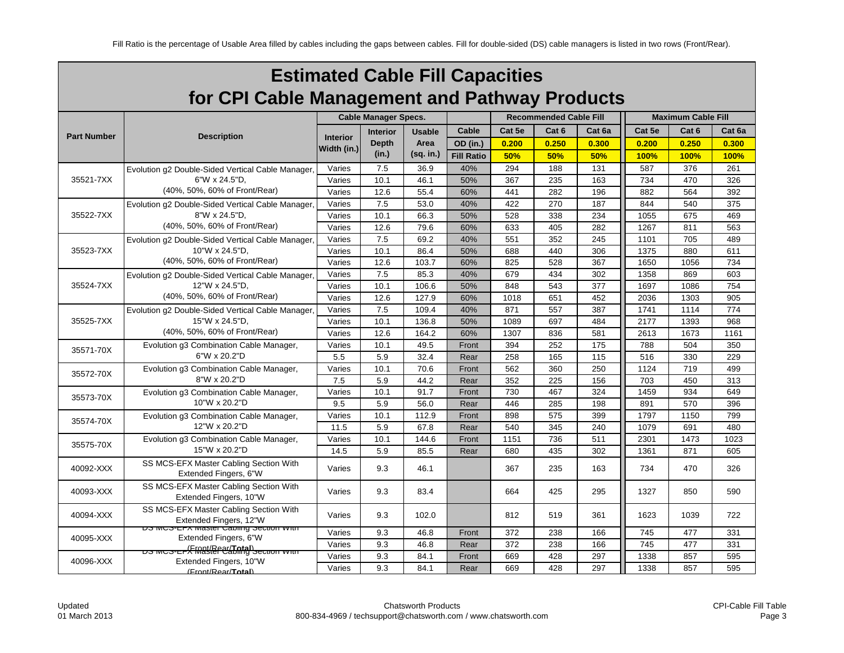| <b>Estimated Cable Fill Capacities</b>        |
|-----------------------------------------------|
| for CPI Cable Management and Pathway Products |

|                    |                                                                          |                 | <b>Cable Manager Specs.</b> |               |                   |        | <b>Recommended Cable Fill</b> |        | <b>Maximum Cable Fill</b> |                  |        |  |
|--------------------|--------------------------------------------------------------------------|-----------------|-----------------------------|---------------|-------------------|--------|-------------------------------|--------|---------------------------|------------------|--------|--|
|                    |                                                                          |                 | <b>Interior</b>             | <b>Usable</b> | Cable             | Cat 5e | Cat <sub>6</sub>              | Cat 6a | Cat 5e                    | Cat <sub>6</sub> | Cat 6a |  |
| <b>Part Number</b> | <b>Description</b>                                                       | <b>Interior</b> | <b>Depth</b>                | Area          | OD (in.)          | 0.200  | 0.250                         | 0.300  | 0.200                     | 0.250            | 0.300  |  |
|                    |                                                                          | Width (in.)     | (in.)                       | (sq. in.)     | <b>Fill Ratio</b> | 50%    | 50%                           | 50%    | 100%                      | 100%             | 100%   |  |
|                    | Evolution g2 Double-Sided Vertical Cable Manager,                        | Varies          | 7.5                         | 36.9          | 40%               | 294    | 188                           | 131    | 587                       | 376              | 261    |  |
| 35521-7XX          | 6"W x 24.5"D.                                                            | Varies          | 10.1                        | 46.1          | 50%               | 367    | 235                           | 163    | 734                       | 470              | 326    |  |
|                    | (40%, 50%, 60% of Front/Rear)                                            | Varies          | 12.6                        | 55.4          | 60%               | 441    | 282                           | 196    | 882                       | 564              | 392    |  |
|                    | Evolution g2 Double-Sided Vertical Cable Manager,                        | Varies          | 7.5                         | 53.0          | 40%               | 422    | 270                           | 187    | 844                       | 540              | 375    |  |
| 35522-7XX          | 8"W x 24.5"D.                                                            | Varies          | 10.1                        | 66.3          | 50%               | 528    | 338                           | 234    | 1055                      | 675              | 469    |  |
|                    | (40%, 50%, 60% of Front/Rear)                                            | Varies          | 12.6                        | 79.6          | 60%               | 633    | 405                           | 282    | 1267                      | 811              | 563    |  |
|                    | Evolution g2 Double-Sided Vertical Cable Manager.                        | Varies          | 7.5                         | 69.2          | 40%               | 551    | 352                           | 245    | 1101                      | 705              | 489    |  |
| 35523-7XX          | 10"W x 24.5"D,                                                           | Varies          | 10.1                        | 86.4          | 50%               | 688    | 440                           | 306    | 1375                      | 880              | 611    |  |
|                    | (40%, 50%, 60% of Front/Rear)                                            | Varies          | 12.6                        | 103.7         | 60%               | 825    | 528                           | 367    | 1650                      | 1056             | 734    |  |
|                    | Evolution g2 Double-Sided Vertical Cable Manager.                        | Varies          | 7.5                         | 85.3          | 40%               | 679    | 434                           | 302    | 1358                      | 869              | 603    |  |
| 35524-7XX          | 12"W x 24.5"D,                                                           | Varies          | 10.1                        | 106.6         | 50%               | 848    | 543                           | 377    | 1697                      | 1086             | 754    |  |
|                    | (40%, 50%, 60% of Front/Rear)                                            | Varies          | 12.6                        | 127.9         | 60%               | 1018   | 651                           | 452    | 2036                      | 1303             | 905    |  |
|                    | Evolution g2 Double-Sided Vertical Cable Manager.                        | Varies          | 7.5                         | 109.4         | 40%               | 871    | 557                           | 387    | 1741                      | 1114             | 774    |  |
| 35525-7XX          | 15"W x 24.5"D,                                                           | Varies          | 10.1                        | 136.8         | 50%               | 1089   | 697                           | 484    | 2177                      | 1393             | 968    |  |
|                    | (40%, 50%, 60% of Front/Rear)                                            | Varies          | 12.6                        | 164.2         | 60%               | 1307   | 836                           | 581    | 2613                      | 1673             | 1161   |  |
|                    | Evolution g3 Combination Cable Manager,                                  | Varies          | 10.1                        | 49.5          | Front             | 394    | 252                           | 175    | 788                       | 504              | 350    |  |
| 35571-70X          | 6"W x 20.2"D                                                             | 5.5             | 5.9                         | 32.4          | Rear              | 258    | 165                           | 115    | 516                       | 330              | 229    |  |
|                    | Evolution g3 Combination Cable Manager,                                  | Varies          | 10.1                        | 70.6          | Front             | 562    | 360                           | 250    | 1124                      | 719              | 499    |  |
| 35572-70X          | 8"W x 20.2"D                                                             | 7.5             | 5.9                         | 44.2          | Rear              | 352    | 225                           | 156    | 703                       | 450              | 313    |  |
| 35573-70X          | Evolution g3 Combination Cable Manager,                                  | Varies          | 10.1                        | 91.7          | Front             | 730    | 467                           | 324    | 1459                      | 934              | 649    |  |
|                    | 10"W x 20.2"D                                                            | 9.5             | 5.9                         | 56.0          | Rear              | 446    | 285                           | 198    | 891                       | 570              | 396    |  |
| 35574-70X          | Evolution g3 Combination Cable Manager,                                  | Varies          | 10.1                        | 112.9         | Front             | 898    | 575                           | 399    | 1797                      | 1150             | 799    |  |
|                    | 12"W x 20.2"D                                                            | 11.5            | 5.9                         | 67.8          | Rear              | 540    | 345                           | 240    | 1079                      | 691              | 480    |  |
| 35575-70X          | Evolution g3 Combination Cable Manager,                                  | Varies          | 10.1                        | 144.6         | Front             | 1151   | 736                           | 511    | 2301                      | 1473             | 1023   |  |
|                    | 15"W x 20.2"D                                                            | 14.5            | 5.9                         | 85.5          | Rear              | 680    | 435                           | 302    | 1361                      | 871              | 605    |  |
| 40092-XXX          | SS MCS-EFX Master Cabling Section With<br>Extended Fingers, 6"W          | Varies          | 9.3                         | 46.1          |                   | 367    | 235                           | 163    | 734                       | 470              | 326    |  |
| 40093-XXX          | SS MCS-EFX Master Cabling Section With<br>Extended Fingers, 10"W         | Varies          | 9.3                         | 83.4          |                   | 664    | 425                           | 295    | 1327                      | 850              | 590    |  |
| 40094-XXX          | SS MCS-EFX Master Cabling Section With<br>Extended Fingers, 12"W         | Varies          | 9.3                         | 102.0         |                   | 812    | 519                           | 361    | 1623                      | 1039             | 722    |  |
| 40095-XXX          | <b>DS MCS-EFA Master Capillity Section With</b><br>Extended Fingers, 6"W | Varies          | 9.3                         | 46.8          | Front             | 372    | 238                           | 166    | 745                       | 477              | 331    |  |
|                    |                                                                          | Varies          | 9.3                         | 46.8          | Rear              | 372    | 238                           | 166    | 745                       | 477              | 331    |  |
|                    | <u> שס MCS-Er (FMat(Bret/Total) Section whith</u>                        | Varies          | 9.3                         | 84.1          | Front             | 669    | 428                           | 297    | 1338                      | 857              | 595    |  |
| 40096-XXX          | Extended Fingers, 10"W<br>(Front/Rear/Total)                             | Varies          | 9.3                         | 84.1          | Rear              | 669    | 428                           | 297    | 1338                      | 857              | 595    |  |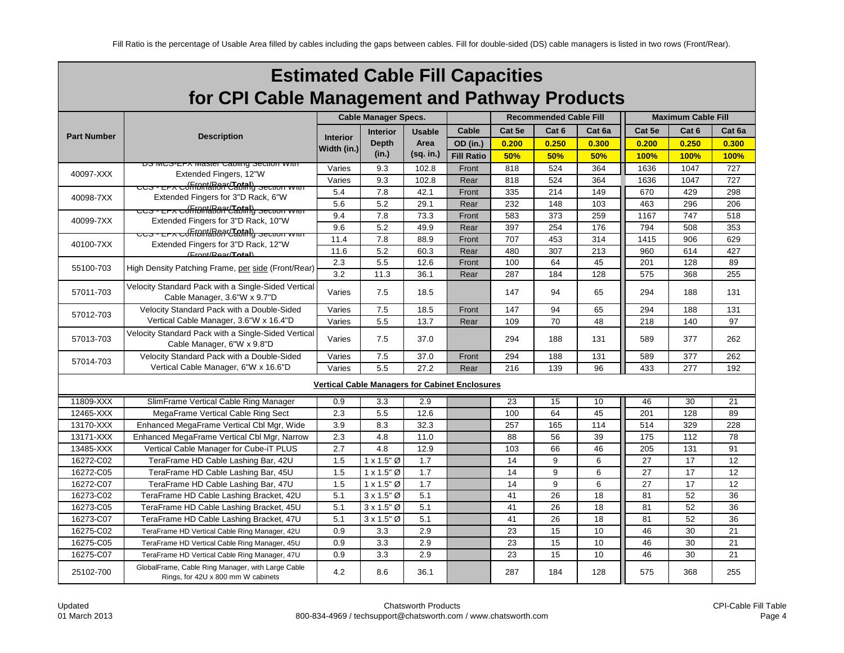|                                               | <b>Estimated Cable Fill Capacities</b>                                                  |                             |                    |               |                                                       |        |                               |                           |        |       |        |
|-----------------------------------------------|-----------------------------------------------------------------------------------------|-----------------------------|--------------------|---------------|-------------------------------------------------------|--------|-------------------------------|---------------------------|--------|-------|--------|
| for CPI Cable Management and Pathway Products |                                                                                         |                             |                    |               |                                                       |        |                               |                           |        |       |        |
|                                               |                                                                                         | <b>Cable Manager Specs.</b> |                    |               |                                                       |        | <b>Recommended Cable Fill</b> | <b>Maximum Cable Fill</b> |        |       |        |
|                                               |                                                                                         |                             | <b>Interior</b>    | <b>Usable</b> | Cable                                                 | Cat 5e | Cat 6                         | Cat 6a                    | Cat 5e | Cat 6 | Cat 6a |
| <b>Part Number</b>                            | <b>Description</b>                                                                      | <b>Interior</b>             | <b>Depth</b>       | Area          | OD (in.)                                              | 0.200  | 0.250                         | 0.300                     | 0.200  | 0.250 | 0.300  |
|                                               |                                                                                         | Width (in.)                 | (in.)              | (sq. in.)     | <b>Fill Ratio</b>                                     | 50%    | 50%                           | 50%                       | 100%   | 100%  | 100%   |
|                                               | <del>ווויזי וטווסט פער פעמונוסט ושופשו</del> ט איז דם-פטאו פע                           | Varies                      | 9.3                | 102.8         | Front                                                 | 818    | 524                           | 364                       | 1636   | 1047  | 727    |
| 40097-XXX                                     | Extended Fingers, 12"W                                                                  | Varies                      | 9.3                | 102.8         | Rear                                                  | 818    | 524                           | 364                       | 1636   | 1047  | 727    |
| 40098-7XX                                     | <u> ccs - er⊼ cofffont/RoarCIotal)</u> section with                                     | 5.4                         | 7.8                | 42.1          | Front                                                 | 335    | 214                           | 149                       | 670    | 429   | 298    |
|                                               | Extended Fingers for 3"D Rack, 6"W<br>CCS - EFA Cofffont and Captal) Section with       | 5.6                         | 5.2                | 29.1          | Rear                                                  | 232    | 148                           | 103                       | 463    | 296   | 206    |
| 40099-7XX                                     | Extended Fingers for 3"D Rack, 10"W                                                     | 9.4                         | 7.8                | 73.3          | Front                                                 | 583    | 373                           | 259                       | 1167   | 747   | 518    |
|                                               | CCS - EFA Cofffont (Roof Clatial) Section with                                          | 9.6                         | 5.2                | 49.9          | Rear                                                  | 397    | 254                           | 176                       | 794    | 508   | 353    |
| 40100-7XX                                     | Extended Fingers for 3"D Rack, 12"W                                                     | 11.4                        | 7.8                | 88.9          | Front                                                 | 707    | 453                           | 314                       | 1415   | 906   | 629    |
|                                               | (Front/Rear/Total)                                                                      | 11.6                        | 5.2                | 60.3          | Rear                                                  | 480    | 307                           | 213                       | 960    | 614   | 427    |
| 55100-703                                     | High Density Patching Frame, per side (Front/Rear)                                      | 2.3                         | 5.5                | 12.6          | Front                                                 | 100    | 64                            | 45                        | 201    | 128   | 89     |
|                                               |                                                                                         | 3.2                         | 11.3               | 36.1          | Rear                                                  | 287    | 184                           | 128                       | 575    | 368   | 255    |
| 57011-703                                     | Velocity Standard Pack with a Single-Sided Vertical<br>Cable Manager, 3.6"W x 9.7"D     | Varies                      | 7.5                | 18.5          |                                                       | 147    | 94                            | 65                        | 294    | 188   | 131    |
|                                               | Velocity Standard Pack with a Double-Sided                                              | Varies                      | 7.5                | 18.5          | Front                                                 | 147    | 94                            | 65                        | 294    | 188   | 131    |
| 57012-703                                     | Vertical Cable Manager, 3.6"W x 16.4"D                                                  | Varies                      | 5.5                | 13.7          | Rear                                                  | 109    | 70                            | 48                        | 218    | 140   | 97     |
| 57013-703                                     | Velocity Standard Pack with a Single-Sided Vertical<br>Cable Manager, 6"W x 9.8"D       | Varies                      | 7.5                | 37.0          |                                                       | 294    | 188                           | 131                       | 589    | 377   | 262    |
| 57014-703                                     | Velocity Standard Pack with a Double-Sided                                              | Varies                      | 7.5                | 37.0          | Front                                                 | 294    | 188                           | 131                       | 589    | 377   | 262    |
|                                               | Vertical Cable Manager, 6"W x 16.6"D                                                    | Varies                      | 5.5                | 27.2          | Rear                                                  | 216    | 139                           | 96                        | 433    | 277   | 192    |
|                                               |                                                                                         |                             |                    |               | <b>Vertical Cable Managers for Cabinet Enclosures</b> |        |                               |                           |        |       |        |
| 11809-XXX                                     | SlimFrame Vertical Cable Ring Manager                                                   | 0.9                         | 3.3                | 2.9           |                                                       | 23     | 15                            | 10                        | 46     | 30    | 21     |
| 12465-XXX                                     | MegaFrame Vertical Cable Ring Sect                                                      | 2.3                         | 5.5                | 12.6          |                                                       | 100    | 64                            | 45                        | 201    | 128   | 89     |
| 13170-XXX                                     | Enhanced MegaFrame Vertical Cbl Mgr, Wide                                               | 3.9                         | 8.3                | 32.3          |                                                       | 257    | 165                           | 114                       | 514    | 329   | 228    |
| 13171-XXX                                     | Enhanced MegaFrame Vertical Cbl Mgr, Narrow                                             | 2.3                         | 4.8                | 11.0          |                                                       | 88     | 56                            | 39                        | 175    | 112   | 78     |
| 13485-XXX                                     | Vertical Cable Manager for Cube-iT PLUS                                                 | 2.7                         | 4.8                | 12.9          |                                                       | 103    | 66                            | 46                        | 205    | 131   | 91     |
| 16272-C02                                     | TeraFrame HD Cable Lashing Bar, 42U                                                     | 1.5                         | $1 \times 1.5$ " Ø | 1.7           |                                                       | 14     | 9                             | 6                         | 27     | 17    | 12     |
| 16272-C05                                     | TeraFrame HD Cable Lashing Bar, 45U                                                     | 1.5                         | $1 \times 1.5$ " Ø | 1.7           |                                                       | 14     | 9                             | 6                         | 27     | 17    | 12     |
| 16272-C07                                     | TeraFrame HD Cable Lashing Bar, 47U                                                     | 1.5                         | $1 \times 1.5$ " Ø | 1.7           |                                                       | 14     | 9                             | 6                         | 27     | 17    | 12     |
| 16273-C02                                     | TeraFrame HD Cable Lashing Bracket, 42U                                                 | 5.1                         | $3 \times 1.5$ " Ø | 5.1           |                                                       | 41     | 26                            | 18                        | 81     | 52    | 36     |
| 16273-C05                                     | TeraFrame HD Cable Lashing Bracket, 45U                                                 | 5.1                         | $3 \times 1.5$ " Ø | 5.1           |                                                       | 41     | 26                            | 18                        | 81     | 52    | 36     |
| 16273-C07                                     | TeraFrame HD Cable Lashing Bracket, 47U                                                 | 5.1                         | $3 \times 1.5$ " Ø | 5.1           |                                                       | 41     | 26                            | 18                        | 81     | 52    | 36     |
| 16275-C02                                     | TeraFrame HD Vertical Cable Ring Manager, 42U                                           | 0.9                         | 3.3                | 2.9           |                                                       | 23     | 15                            | 10                        | 46     | 30    | 21     |
| 16275-C05                                     | TeraFrame HD Vertical Cable Ring Manager, 45U                                           | 0.9                         | 3.3                | 2.9           |                                                       | 23     | 15                            | 10                        | 46     | 30    | 21     |
| 16275-C07                                     | TeraFrame HD Vertical Cable Ring Manager, 47U                                           | 0.9                         | 3.3                | 2.9           |                                                       | 23     | 15                            | 10                        | 46     | 30    | 21     |
| 25102-700                                     | GlobalFrame, Cable Ring Manager, with Large Cable<br>Rings, for 42U x 800 mm W cabinets | 4.2                         | 8.6                | 36.1          |                                                       | 287    | 184                           | 128                       | 575    | 368   | 255    |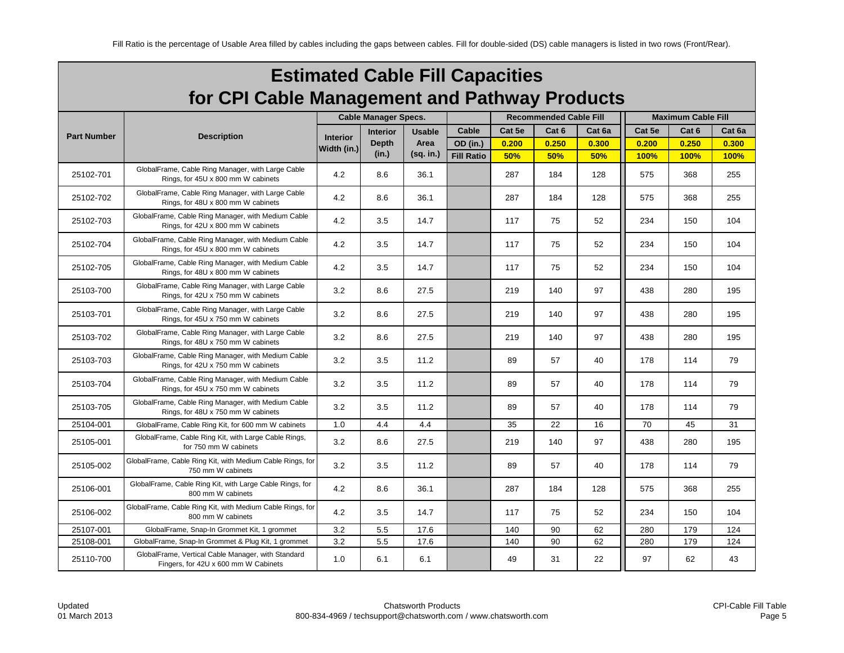| <b>Estimated Cable Fill Capacities</b>        |
|-----------------------------------------------|
| for CPI Cable Management and Pathway Products |

|                    |                                                                                            |                 | <b>Cable Manager Specs.</b> |               |                   |        | <b>Recommended Cable Fill</b> |        | <b>Maximum Cable Fill</b> |                  |        |  |
|--------------------|--------------------------------------------------------------------------------------------|-----------------|-----------------------------|---------------|-------------------|--------|-------------------------------|--------|---------------------------|------------------|--------|--|
|                    |                                                                                            |                 | <b>Interior</b>             | <b>Usable</b> | Cable             | Cat 5e | Cat <sub>6</sub>              | Cat 6a | Cat 5e                    | Cat <sub>6</sub> | Cat 6a |  |
| <b>Part Number</b> | <b>Description</b>                                                                         | <b>Interior</b> | <b>Depth</b>                | Area          | OD (in.)          | 0.200  | 0.250                         | 0.300  | 0.200                     | 0.250            | 0.300  |  |
|                    |                                                                                            | Width (in.)     | (in.)                       | (sq. in.)     | <b>Fill Ratio</b> | 50%    | 50%                           | 50%    | 100%                      | 100%             | 100%   |  |
| 25102-701          | GlobalFrame, Cable Ring Manager, with Large Cable<br>Rings, for 45U x 800 mm W cabinets    | 4.2             | 8.6                         | 36.1          |                   | 287    | 184                           | 128    | 575                       | 368              | 255    |  |
| 25102-702          | GlobalFrame, Cable Ring Manager, with Large Cable<br>Rings, for 48U x 800 mm W cabinets    | 4.2             | 8.6                         | 36.1          |                   | 287    | 184                           | 128    | 575                       | 368              | 255    |  |
| 25102-703          | GlobalFrame, Cable Ring Manager, with Medium Cable<br>Rings, for 42U x 800 mm W cabinets   | 4.2             | 3.5                         | 14.7          |                   | 117    | 75                            | 52     | 234                       | 150              | 104    |  |
| 25102-704          | GlobalFrame, Cable Ring Manager, with Medium Cable<br>Rings, for 45U x 800 mm W cabinets   | 4.2             | 3.5                         | 14.7          |                   | 117    | 75                            | 52     | 234                       | 150              | 104    |  |
| 25102-705          | GlobalFrame, Cable Ring Manager, with Medium Cable<br>Rings, for 48U x 800 mm W cabinets   | 4.2             | 3.5                         | 14.7          |                   | 117    | 75                            | 52     | 234                       | 150              | 104    |  |
| 25103-700          | GlobalFrame, Cable Ring Manager, with Large Cable<br>Rings, for 42U x 750 mm W cabinets    | 3.2             | 8.6                         | 27.5          |                   | 219    | 140                           | 97     | 438                       | 280              | 195    |  |
| 25103-701          | GlobalFrame, Cable Ring Manager, with Large Cable<br>Rings, for 45U x 750 mm W cabinets    | 3.2             | 8.6                         | 27.5          |                   | 219    | 140                           | 97     | 438                       | 280              | 195    |  |
| 25103-702          | GlobalFrame, Cable Ring Manager, with Large Cable<br>Rings, for 48U x 750 mm W cabinets    | 3.2             | 8.6                         | 27.5          |                   | 219    | 140                           | 97     | 438                       | 280              | 195    |  |
| 25103-703          | GlobalFrame, Cable Ring Manager, with Medium Cable<br>Rings, for 42U x 750 mm W cabinets   | 3.2             | 3.5                         | 11.2          |                   | 89     | 57                            | 40     | 178                       | 114              | 79     |  |
| 25103-704          | GlobalFrame, Cable Ring Manager, with Medium Cable<br>Rings, for 45U x 750 mm W cabinets   | 3.2             | 3.5                         | 11.2          |                   | 89     | 57                            | 40     | 178                       | 114              | 79     |  |
| 25103-705          | GlobalFrame, Cable Ring Manager, with Medium Cable<br>Rings, for 48U x 750 mm W cabinets   | 3.2             | 3.5                         | 11.2          |                   | 89     | 57                            | 40     | 178                       | 114              | 79     |  |
| 25104-001          | GlobalFrame, Cable Ring Kit, for 600 mm W cabinets                                         | 1.0             | 4.4                         | 4.4           |                   | 35     | 22                            | 16     | 70                        | 45               | 31     |  |
| 25105-001          | GlobalFrame, Cable Ring Kit, with Large Cable Rings,<br>for 750 mm W cabinets              | 3.2             | 8.6                         | 27.5          |                   | 219    | 140                           | 97     | 438                       | 280              | 195    |  |
| 25105-002          | GlobalFrame, Cable Ring Kit, with Medium Cable Rings, for<br>750 mm W cabinets             | 3.2             | 3.5                         | 11.2          |                   | 89     | 57                            | 40     | 178                       | 114              | 79     |  |
| 25106-001          | GlobalFrame, Cable Ring Kit, with Large Cable Rings, for<br>800 mm W cabinets              | 4.2             | 8.6                         | 36.1          |                   | 287    | 184                           | 128    | 575                       | 368              | 255    |  |
| 25106-002          | GlobalFrame, Cable Ring Kit, with Medium Cable Rings, for<br>800 mm W cabinets             | 4.2             | 3.5                         | 14.7          |                   | 117    | 75                            | 52     | 234                       | 150              | 104    |  |
| 25107-001          | GlobalFrame, Snap-In Grommet Kit, 1 grommet                                                | 3.2             | 5.5                         | 17.6          |                   | 140    | 90                            | 62     | 280                       | 179              | 124    |  |
| 25108-001          | GlobalFrame, Snap-In Grommet & Plug Kit, 1 grommet                                         | 3.2             | 5.5                         | 17.6          |                   | 140    | 90                            | 62     | 280                       | 179              | 124    |  |
| 25110-700          | GlobalFrame, Vertical Cable Manager, with Standard<br>Fingers, for 42U x 600 mm W Cabinets | 1.0             | 6.1                         | 6.1           |                   | 49     | 31                            | 22     | 97                        | 62               | 43     |  |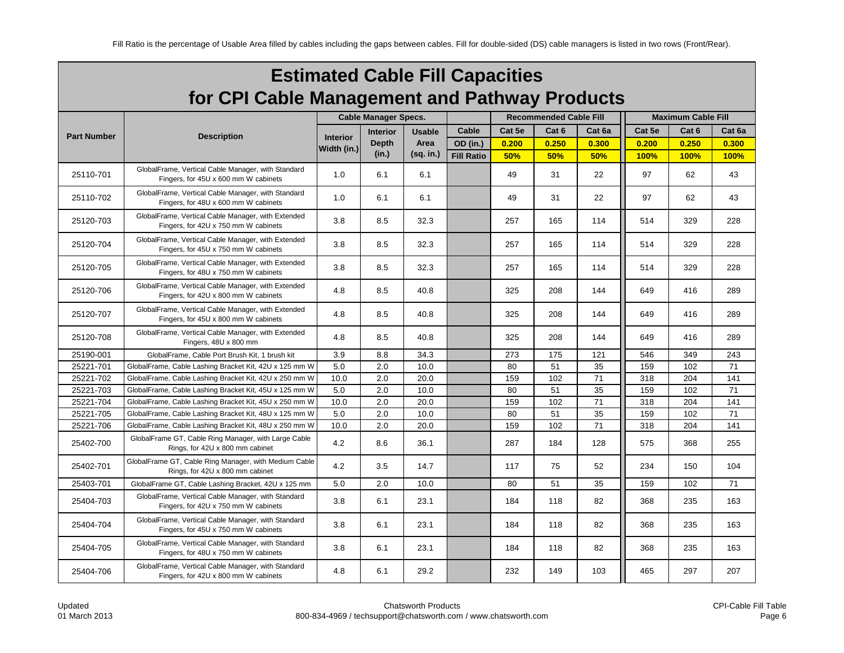| <b>Estimated Cable Fill Capacities</b>        |  |
|-----------------------------------------------|--|
| for CPI Cable Management and Pathway Products |  |

|                    |                                                                                            |                 | <b>Cable Manager Specs.</b> |               |                   |        | <b>Recommended Cable Fill</b> |        | <b>Maximum Cable Fill</b> |                  |        |  |
|--------------------|--------------------------------------------------------------------------------------------|-----------------|-----------------------------|---------------|-------------------|--------|-------------------------------|--------|---------------------------|------------------|--------|--|
|                    |                                                                                            |                 | <b>Interior</b>             | <b>Usable</b> | Cable             | Cat 5e | Cat 6                         | Cat 6a | Cat 5e                    | Cat <sub>6</sub> | Cat 6a |  |
| <b>Part Number</b> | <b>Description</b>                                                                         | <b>Interior</b> | <b>Depth</b>                | Area          | OD (in.)          | 0.200  | 0.250                         | 0.300  | 0.200                     | 0.250            | 0.300  |  |
|                    |                                                                                            | Width (in.)     | (in.)                       | $(sq.$ in.)   | <b>Fill Ratio</b> | 50%    | 50%                           | 50%    | 100%                      | 100%             | 100%   |  |
| 25110-701          | GlobalFrame, Vertical Cable Manager, with Standard<br>Fingers, for 45U x 600 mm W cabinets | 1.0             | 6.1                         | 6.1           |                   | 49     | 31                            | 22     | 97                        | 62               | 43     |  |
| 25110-702          | GlobalFrame, Vertical Cable Manager, with Standard<br>Fingers, for 48U x 600 mm W cabinets | 1.0             | 6.1                         | 6.1           |                   | 49     | 31                            | 22     | 97                        | 62               | 43     |  |
| 25120-703          | GlobalFrame, Vertical Cable Manager, with Extended<br>Fingers, for 42U x 750 mm W cabinets | 3.8             | 8.5                         | 32.3          |                   | 257    | 165                           | 114    | 514                       | 329              | 228    |  |
| 25120-704          | GlobalFrame, Vertical Cable Manager, with Extended<br>Fingers, for 45U x 750 mm W cabinets | 3.8             | 8.5                         | 32.3          |                   | 257    | 165                           | 114    | 514                       | 329              | 228    |  |
| 25120-705          | GlobalFrame, Vertical Cable Manager, with Extended<br>Fingers, for 48U x 750 mm W cabinets | 3.8             | 8.5                         | 32.3          |                   | 257    | 165                           | 114    | 514                       | 329              | 228    |  |
| 25120-706          | GlobalFrame, Vertical Cable Manager, with Extended<br>Fingers, for 42U x 800 mm W cabinets | 4.8             | 8.5                         | 40.8          |                   | 325    | 208                           | 144    | 649                       | 416              | 289    |  |
| 25120-707          | GlobalFrame, Vertical Cable Manager, with Extended<br>Fingers, for 45U x 800 mm W cabinets | 4.8             | 8.5                         | 40.8          |                   | 325    | 208                           | 144    | 649                       | 416              | 289    |  |
| 25120-708          | GlobalFrame, Vertical Cable Manager, with Extended<br>Fingers, 48U x 800 mm                | 4.8             | 8.5                         | 40.8          |                   | 325    | 208                           | 144    | 649                       | 416              | 289    |  |
| 25190-001          | GlobalFrame, Cable Port Brush Kit, 1 brush kit                                             | 3.9             | 8.8                         | 34.3          |                   | 273    | 175                           | 121    | 546                       | 349              | 243    |  |
| 25221-701          | GlobalFrame, Cable Lashing Bracket Kit, 42U x 125 mm W                                     | 5.0             | 2.0                         | 10.0          |                   | 80     | 51                            | 35     | 159                       | 102              | 71     |  |
| 25221-702          | GlobalFrame, Cable Lashing Bracket Kit, 42U x 250 mm W                                     | 10.0            | 2.0                         | 20.0          |                   | 159    | 102                           | 71     | 318                       | 204              | 141    |  |
| 25221-703          | GlobalFrame, Cable Lashing Bracket Kit, 45U x 125 mm W                                     | 5.0             | 2.0                         | 10.0          |                   | 80     | 51                            | 35     | 159                       | 102              | 71     |  |
| 25221-704          | GlobalFrame, Cable Lashing Bracket Kit, 45U x 250 mm W                                     | 10.0            | 2.0                         | 20.0          |                   | 159    | 102                           | 71     | 318                       | 204              | 141    |  |
| 25221-705          | GlobalFrame, Cable Lashing Bracket Kit, 48U x 125 mm W                                     | 5.0             | 2.0                         | 10.0          |                   | 80     | 51                            | 35     | 159                       | 102              | 71     |  |
| 25221-706          | GlobalFrame, Cable Lashing Bracket Kit, 48U x 250 mm W                                     | 10.0            | 2.0                         | 20.0          |                   | 159    | 102                           | 71     | 318                       | 204              | 141    |  |
| 25402-700          | GlobalFrame GT, Cable Ring Manager, with Large Cable<br>Rings, for 42U x 800 mm cabinet    | 4.2             | 8.6                         | 36.1          |                   | 287    | 184                           | 128    | 575                       | 368              | 255    |  |
| 25402-701          | GlobalFrame GT, Cable Ring Manager, with Medium Cable<br>Rings, for 42U x 800 mm cabinet   | 4.2             | 3.5                         | 14.7          |                   | 117    | 75                            | 52     | 234                       | 150              | 104    |  |
| 25403-701          | GlobalFrame GT, Cable Lashing Bracket, 42U x 125 mm                                        | 5.0             | 2.0                         | 10.0          |                   | 80     | 51                            | 35     | 159                       | 102              | 71     |  |
| 25404-703          | GlobalFrame, Vertical Cable Manager, with Standard<br>Fingers, for 42U x 750 mm W cabinets | 3.8             | 6.1                         | 23.1          |                   | 184    | 118                           | 82     | 368                       | 235              | 163    |  |
| 25404-704          | GlobalFrame, Vertical Cable Manager, with Standard<br>Fingers, for 45U x 750 mm W cabinets | 3.8             | 6.1                         | 23.1          |                   | 184    | 118                           | 82     | 368                       | 235              | 163    |  |
| 25404-705          | GlobalFrame, Vertical Cable Manager, with Standard<br>Fingers, for 48U x 750 mm W cabinets | 3.8             | 6.1                         | 23.1          |                   | 184    | 118                           | 82     | 368                       | 235              | 163    |  |
| 25404-706          | GlobalFrame, Vertical Cable Manager, with Standard<br>Fingers, for 42U x 800 mm W cabinets | 4.8             | 6.1                         | 29.2          |                   | 232    | 149                           | 103    | 465                       | 297              | 207    |  |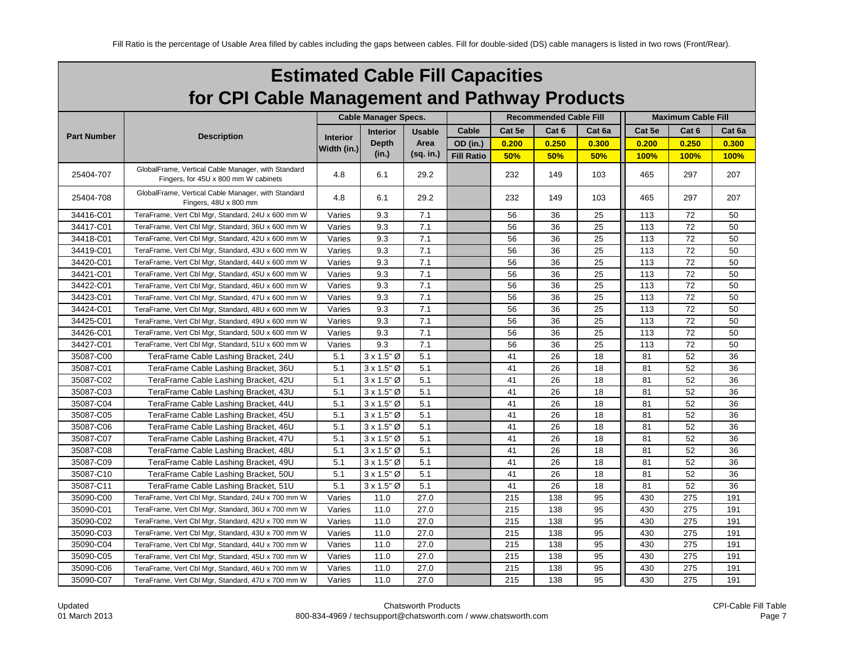| <b>Estimated Cable Fill Capacities</b>        |
|-----------------------------------------------|
| for CPI Cable Management and Pathway Products |

|                    |                                                                                            |                 | <b>Cable Manager Specs.</b> |                   |                   |        | <b>Recommended Cable Fill</b> |        | <b>Maximum Cable Fill</b> |       |        |  |
|--------------------|--------------------------------------------------------------------------------------------|-----------------|-----------------------------|-------------------|-------------------|--------|-------------------------------|--------|---------------------------|-------|--------|--|
|                    |                                                                                            |                 |                             |                   |                   |        |                               |        | Cat 5e<br>Cat 6           |       |        |  |
| <b>Part Number</b> | <b>Description</b>                                                                         | <b>Interior</b> | <b>Interior</b>             | <b>Usable</b>     | Cable             | Cat 5e | Cat 6                         | Cat 6a |                           |       | Cat 6a |  |
|                    |                                                                                            | Width (in.)     | <b>Depth</b><br>(in.)       | Area<br>(sq. in.) | OD (in.)          | 0.200  | 0.250                         | 0.300  | 0.200                     | 0.250 | 0.300  |  |
|                    |                                                                                            |                 |                             |                   | <b>Fill Ratio</b> | 50%    | 50%                           | 50%    | 100%                      | 100%  | 100%   |  |
| 25404-707          | GlobalFrame, Vertical Cable Manager, with Standard<br>Fingers, for 45U x 800 mm W cabinets | 4.8             | 6.1                         | 29.2              |                   | 232    | 149                           | 103    | 465                       | 297   | 207    |  |
| 25404-708          | GlobalFrame, Vertical Cable Manager, with Standard<br>Fingers, 48U x 800 mm                | 4.8             | 6.1                         | 29.2              |                   | 232    | 149                           | 103    | 465                       | 297   | 207    |  |
| 34416-C01          | TeraFrame, Vert Cbl Mgr, Standard, 24U x 600 mm W                                          | Varies          | 9.3                         | 7.1               |                   | 56     | 36                            | 25     | 113                       | 72    | 50     |  |
| 34417-C01          | TeraFrame, Vert Cbl Mgr, Standard, 36U x 600 mm W                                          | Varies          | 9.3                         | 7.1               |                   | 56     | 36                            | 25     | 113                       | 72    | 50     |  |
| 34418-C01          | TeraFrame, Vert Cbl Mgr, Standard, 42U x 600 mm W                                          | Varies          | 9.3                         | 7.1               |                   | 56     | 36                            | 25     | 113                       | 72    | 50     |  |
| 34419-C01          | TeraFrame, Vert Cbl Mgr, Standard, 43U x 600 mm W                                          | Varies          | 9.3                         | 7.1               |                   | 56     | 36                            | 25     | 113                       | 72    | 50     |  |
| 34420-C01          | TeraFrame, Vert Cbl Mgr, Standard, 44U x 600 mm W                                          | Varies          | 9.3                         | 7.1               |                   | 56     | 36                            | 25     | 113                       | 72    | 50     |  |
| 34421-C01          | TeraFrame, Vert Cbl Mgr, Standard, 45U x 600 mm W                                          | Varies          | 9.3                         | 7.1               |                   | 56     | 36                            | 25     | 113                       | 72    | 50     |  |
| 34422-C01          | TeraFrame, Vert Cbl Mgr, Standard, 46U x 600 mm W                                          | Varies          | 9.3                         | 7.1               |                   | 56     | 36                            | 25     | 113                       | 72    | 50     |  |
| 34423-C01          | TeraFrame, Vert Cbl Mgr, Standard, 47U x 600 mm W                                          | Varies          | 9.3                         | 7.1               |                   | 56     | 36                            | 25     | 113                       | 72    | 50     |  |
| 34424-C01          | TeraFrame, Vert Cbl Mgr, Standard, 48U x 600 mm W                                          | Varies          | 9.3                         | 7.1               |                   | 56     | 36                            | 25     | 113                       | 72    | 50     |  |
| 34425-C01          | TeraFrame, Vert Cbl Mgr, Standard, 49U x 600 mm W                                          | Varies          | 9.3                         | 7.1               |                   | 56     | 36                            | 25     | 113                       | 72    | 50     |  |
| 34426-C01          | TeraFrame, Vert Cbl Mgr, Standard, 50U x 600 mm W                                          | Varies          | 9.3                         | 7.1               |                   | 56     | 36                            | 25     | 113                       | 72    | 50     |  |
| 34427-C01          | TeraFrame, Vert Cbl Mgr, Standard, 51U x 600 mm W                                          | Varies          | 9.3                         | 7.1               |                   | 56     | 36                            | 25     | 113                       | 72    | 50     |  |
| 35087-C00          | TeraFrame Cable Lashing Bracket, 24U                                                       | 5.1             | $3 \times 1.5$ " Ø          | 5.1               |                   | 41     | 26                            | 18     | 81                        | 52    | 36     |  |
| 35087-C01          | TeraFrame Cable Lashing Bracket, 36U                                                       | 5.1             | $3 \times 1.5$ " Ø          | 5.1               |                   | 41     | 26                            | 18     | 81                        | 52    | 36     |  |
| 35087-C02          | TeraFrame Cable Lashing Bracket, 42U                                                       | 5.1             | $3 \times 1.5$ " Ø          | 5.1               |                   | 41     | 26                            | 18     | 81                        | 52    | 36     |  |
| 35087-C03          | TeraFrame Cable Lashing Bracket, 43U                                                       | 5.1             | $3 \times 1.5$ " Ø          | 5.1               |                   | 41     | 26                            | 18     | 81                        | 52    | 36     |  |
| 35087-C04          | TeraFrame Cable Lashing Bracket, 44U                                                       | 5.1             | $3 \times 1.5$ " Ø          | 5.1               |                   | 41     | 26                            | 18     | 81                        | 52    | 36     |  |
| 35087-C05          | TeraFrame Cable Lashing Bracket, 45U                                                       | 5.1             | $3 \times 1.5$ " Ø          | 5.1               |                   | 41     | 26                            | 18     | 81                        | 52    | 36     |  |
| 35087-C06          | TeraFrame Cable Lashing Bracket, 46U                                                       | 5.1             | $3 \times 1.5$ " Ø          | 5.1               |                   | 41     | 26                            | 18     | 81                        | 52    | 36     |  |
| 35087-C07          | TeraFrame Cable Lashing Bracket, 47U                                                       | 5.1             | $3 \times 1.5$ " Ø          | 5.1               |                   | 41     | 26                            | 18     | 81                        | 52    | 36     |  |
| 35087-C08          | TeraFrame Cable Lashing Bracket, 48U                                                       | 5.1             | $3 \times 1.5$ " Ø          | 5.1               |                   | 41     | 26                            | 18     | 81                        | 52    | 36     |  |
| 35087-C09          | TeraFrame Cable Lashing Bracket, 49U                                                       | 5.1             | $3 \times 1.5$ " Ø          | 5.1               |                   | 41     | 26                            | 18     | 81                        | 52    | 36     |  |
| 35087-C10          | TeraFrame Cable Lashing Bracket, 50U                                                       | 5.1             | $3 \times 1.5$ " Ø          | 5.1               |                   | 41     | 26                            | 18     | 81                        | 52    | 36     |  |
| 35087-C11          | TeraFrame Cable Lashing Bracket, 51U                                                       | 5.1             | $3 \times 1.5$ " Ø          | 5.1               |                   | 41     | 26                            | 18     | 81                        | 52    | 36     |  |
| 35090-C00          | TeraFrame, Vert Cbl Mgr, Standard, 24U x 700 mm W                                          | Varies          | 11.0                        | 27.0              |                   | 215    | 138                           | 95     | 430                       | 275   | 191    |  |
| 35090-C01          | TeraFrame, Vert Cbl Mgr, Standard, 36U x 700 mm W                                          | Varies          | 11.0                        | 27.0              |                   | 215    | 138                           | 95     | 430                       | 275   | 191    |  |
| 35090-C02          | TeraFrame, Vert Cbl Mgr, Standard, 42U x 700 mm W                                          | Varies          | 11.0                        | 27.0              |                   | 215    | 138                           | 95     | 430                       | 275   | 191    |  |
| 35090-C03          | TeraFrame, Vert Cbl Mgr, Standard, 43U x 700 mm W                                          | Varies          | 11.0                        | 27.0              |                   | 215    | 138                           | 95     | 430                       | 275   | 191    |  |
| 35090-C04          | TeraFrame, Vert Cbl Mgr, Standard, 44U x 700 mm W                                          | Varies          | 11.0                        | 27.0              |                   | 215    | 138                           | 95     | 430                       | 275   | 191    |  |
| 35090-C05          | TeraFrame, Vert Cbl Mgr, Standard, 45U x 700 mm W                                          | Varies          | 11.0                        | 27.0              |                   | 215    | 138                           | 95     | 430                       | 275   | 191    |  |
| 35090-C06          | TeraFrame, Vert Cbl Mgr, Standard, 46U x 700 mm W                                          | Varies          | 11.0                        | 27.0              |                   | 215    | 138                           | 95     | 430                       | 275   | 191    |  |
| 35090-C07          | TeraFrame, Vert Cbl Mgr, Standard, 47U x 700 mm W                                          | Varies          | 11.0                        | 27.0              |                   | 215    | 138                           | 95     | 430                       | 275   | 191    |  |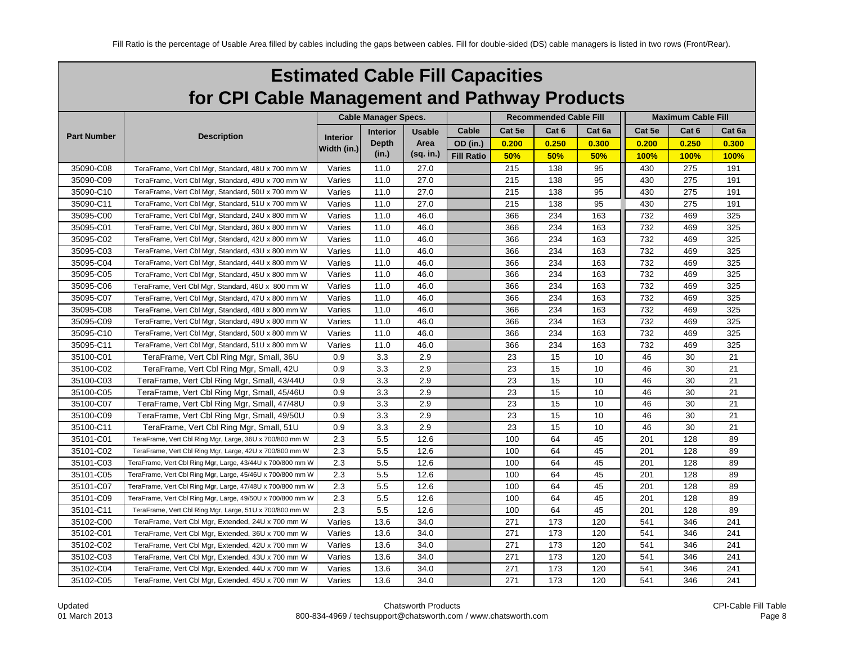| <b>Estimated Cable Fill Capacities</b>        |
|-----------------------------------------------|
| for CPI Cable Management and Pathway Products |

|                    |                                                            |                 | <b>Cable Manager Specs.</b> |               |                   |        | <b>Recommended Cable Fill</b> |        | <b>Maximum Cable Fill</b> |                  |        |
|--------------------|------------------------------------------------------------|-----------------|-----------------------------|---------------|-------------------|--------|-------------------------------|--------|---------------------------|------------------|--------|
|                    |                                                            |                 | <b>Interior</b>             | <b>Usable</b> | Cable             | Cat 5e | Cat 6                         | Cat 6a | Cat 5e                    | Cat <sub>6</sub> | Cat 6a |
| <b>Part Number</b> | <b>Description</b>                                         | <b>Interior</b> | <b>Depth</b>                | Area          | OD (in.)          | 0.200  | 0.250                         | 0.300  | 0.200                     | 0.250            | 0.300  |
|                    |                                                            | Width (in.)     | (in.)                       | (sq. in.)     | <b>Fill Ratio</b> | 50%    | 50%                           | 50%    | 100%                      | 100%             | 100%   |
| 35090-C08          | TeraFrame, Vert Cbl Mgr, Standard, 48U x 700 mm W          | Varies          | 11.0                        | 27.0          |                   | 215    | 138                           | 95     | 430                       | 275              | 191    |
| 35090-C09          | TeraFrame, Vert Cbl Mgr, Standard, 49U x 700 mm W          | Varies          | 11.0                        | 27.0          |                   | 215    | 138                           | 95     | 430                       | 275              | 191    |
| 35090-C10          | TeraFrame, Vert Cbl Mgr, Standard, 50U x 700 mm W          | Varies          | 11.0                        | 27.0          |                   | 215    | 138                           | 95     | 430                       | 275              | 191    |
| 35090-C11          | TeraFrame, Vert Cbl Mgr, Standard, 51U x 700 mm W          | Varies          | 11.0                        | 27.0          |                   | 215    | 138                           | 95     | 430                       | 275              | 191    |
| 35095-C00          | TeraFrame, Vert Cbl Mgr, Standard, 24U x 800 mm W          | Varies          | 11.0                        | 46.0          |                   | 366    | 234                           | 163    | 732                       | 469              | 325    |
| 35095-C01          | TeraFrame, Vert Cbl Mgr, Standard, 36U x 800 mm W          | Varies          | 11.0                        | 46.0          |                   | 366    | 234                           | 163    | 732                       | 469              | 325    |
| 35095-C02          | TeraFrame, Vert Cbl Mgr, Standard, 42U x 800 mm W          | Varies          | 11.0                        | 46.0          |                   | 366    | 234                           | 163    | 732                       | 469              | 325    |
| 35095-C03          | TeraFrame, Vert Cbl Mgr, Standard, 43U x 800 mm W          | Varies          | 11.0                        | 46.0          |                   | 366    | 234                           | 163    | 732                       | 469              | 325    |
| 35095-C04          | TeraFrame, Vert Cbl Mgr, Standard, 44U x 800 mm W          | Varies          | 11.0                        | 46.0          |                   | 366    | 234                           | 163    | 732                       | 469              | 325    |
| 35095-C05          | TeraFrame, Vert Cbl Mgr, Standard, 45U x 800 mm W          | Varies          | 11.0                        | 46.0          |                   | 366    | 234                           | 163    | 732                       | 469              | 325    |
| 35095-C06          | TeraFrame, Vert Cbl Mgr, Standard, 46U x 800 mm W          | Varies          | 11.0                        | 46.0          |                   | 366    | 234                           | 163    | 732                       | 469              | 325    |
| 35095-C07          | TeraFrame, Vert Cbl Mgr, Standard, 47U x 800 mm W          | Varies          | 11.0                        | 46.0          |                   | 366    | 234                           | 163    | 732                       | 469              | 325    |
| 35095-C08          | TeraFrame, Vert Cbl Mgr, Standard, 48U x 800 mm W          | Varies          | 11.0                        | 46.0          |                   | 366    | 234                           | 163    | 732                       | 469              | 325    |
| 35095-C09          | TeraFrame, Vert Cbl Mgr, Standard, 49U x 800 mm W          | Varies          | 11.0                        | 46.0          |                   | 366    | 234                           | 163    | 732                       | 469              | 325    |
| 35095-C10          | TeraFrame, Vert Cbl Mgr, Standard, 50U x 800 mm W          | Varies          | 11.0                        | 46.0          |                   | 366    | 234                           | 163    | 732                       | 469              | 325    |
| 35095-C11          | TeraFrame, Vert Cbl Mgr, Standard, 51U x 800 mm W          | Varies          | 11.0                        | 46.0          |                   | 366    | 234                           | 163    | 732                       | 469              | 325    |
| 35100-C01          | TeraFrame, Vert Cbl Ring Mgr, Small, 36U                   | 0.9             | 3.3                         | 2.9           |                   | 23     | 15                            | 10     | 46                        | 30               | 21     |
| 35100-C02          | TeraFrame, Vert Cbl Ring Mgr, Small, 42U                   | 0.9             | 3.3                         | 2.9           |                   | 23     | 15                            | 10     | 46                        | 30               | 21     |
| 35100-C03          | TeraFrame, Vert Cbl Ring Mgr, Small, 43/44U                | 0.9             | 3.3                         | 2.9           |                   | 23     | 15                            | 10     | 46                        | 30               | 21     |
| 35100-C05          | TeraFrame, Vert Cbl Ring Mgr, Small, 45/46U                | 0.9             | 3.3                         | 2.9           |                   | 23     | 15                            | 10     | 46                        | 30               | 21     |
| 35100-C07          | TeraFrame, Vert Cbl Ring Mgr, Small, 47/48U                | 0.9             | 3.3                         | 2.9           |                   | 23     | 15                            | 10     | 46                        | 30               | 21     |
| 35100-C09          | TeraFrame, Vert Cbl Ring Mgr, Small, 49/50U                | 0.9             | 3.3                         | 2.9           |                   | 23     | 15                            | 10     | 46                        | 30               | 21     |
| 35100-C11          | TeraFrame, Vert Cbl Ring Mgr, Small, 51U                   | 0.9             | 3.3                         | 2.9           |                   | 23     | 15                            | 10     | 46                        | 30               | 21     |
| 35101-C01          | TeraFrame, Vert Cbl Ring Mgr, Large, 36U x 700/800 mm W    | 2.3             | 5.5                         | 12.6          |                   | 100    | 64                            | 45     | 201                       | 128              | 89     |
| 35101-C02          | TeraFrame, Vert Cbl Ring Mgr, Large, 42U x 700/800 mm W    | 2.3             | 5.5                         | 12.6          |                   | 100    | 64                            | 45     | 201                       | 128              | 89     |
| 35101-C03          | TeraFrame, Vert Cbl Ring Mgr, Large, 43/44U x 700/800 mm W | 2.3             | 5.5                         | 12.6          |                   | 100    | 64                            | 45     | 201                       | 128              | 89     |
| 35101-C05          | TeraFrame, Vert Cbl Ring Mgr, Large, 45/46U x 700/800 mm W | 2.3             | 5.5                         | 12.6          |                   | 100    | 64                            | 45     | 201                       | 128              | 89     |
| 35101-C07          | TeraFrame, Vert Cbl Ring Mgr, Large, 47/48U x 700/800 mm W | 2.3             | 5.5                         | 12.6          |                   | 100    | 64                            | 45     | 201                       | 128              | 89     |
| 35101-C09          | TeraFrame, Vert Cbl Ring Mgr, Large, 49/50U x 700/800 mm W | 2.3             | 5.5                         | 12.6          |                   | 100    | 64                            | 45     | 201                       | 128              | 89     |
| 35101-C11          | TeraFrame, Vert Cbl Ring Mgr, Large, 51U x 700/800 mm W    | 2.3             | 5.5                         | 12.6          |                   | 100    | 64                            | 45     | 201                       | 128              | 89     |
| 35102-C00          | TeraFrame, Vert Cbl Mgr, Extended, 24U x 700 mm W          | Varies          | 13.6                        | 34.0          |                   | 271    | 173                           | 120    | 541                       | 346              | 241    |
| 35102-C01          | TeraFrame, Vert Cbl Mgr, Extended, 36U x 700 mm W          | Varies          | 13.6                        | 34.0          |                   | 271    | 173                           | 120    | 541                       | 346              | 241    |
| 35102-C02          | TeraFrame, Vert Cbl Mgr, Extended, 42U x 700 mm W          | Varies          | 13.6                        | 34.0          |                   | 271    | 173                           | 120    | 541                       | 346              | 241    |
| 35102-C03          | TeraFrame, Vert Cbl Mgr, Extended, 43U x 700 mm W          | Varies          | 13.6                        | 34.0          |                   | 271    | 173                           | 120    | 541                       | 346              | 241    |
| 35102-C04          | TeraFrame, Vert Cbl Mgr, Extended, 44U x 700 mm W          | Varies          | 13.6                        | 34.0          |                   | 271    | 173                           | 120    | 541                       | 346              | 241    |
| 35102-C05          | TeraFrame, Vert Cbl Mgr, Extended, 45U x 700 mm W          | Varies          | 13.6                        | 34.0          |                   | 271    | 173                           | 120    | 541                       | 346              | 241    |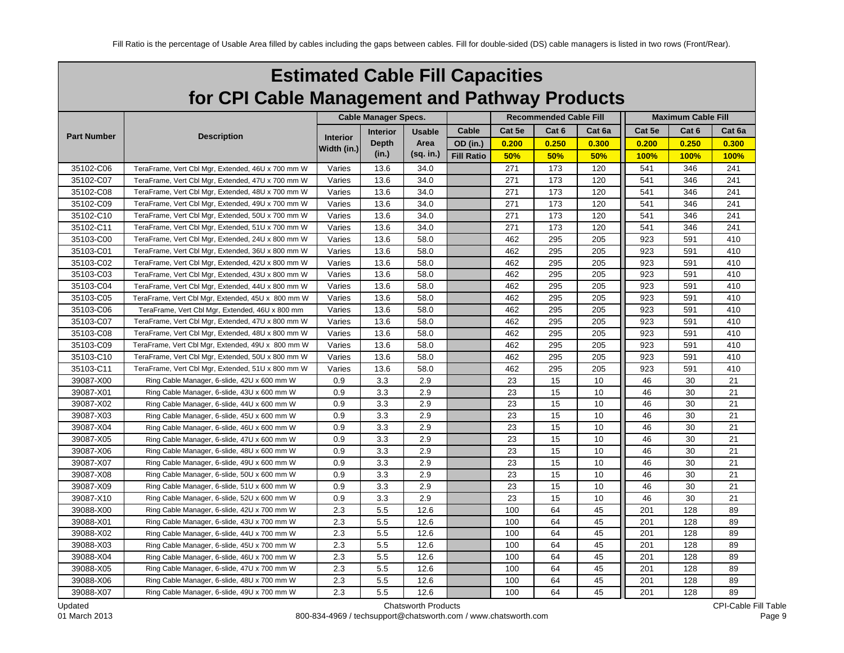| <b>Estimated Cable Fill Capacities</b>        |
|-----------------------------------------------|
| for CPI Cable Management and Pathway Products |

|                    |                                                   |                 | <b>Cable Manager Specs.</b> |               |                   |        | <b>Recommended Cable Fill</b> |        | <b>Maximum Cable Fill</b> |       |        |  |
|--------------------|---------------------------------------------------|-----------------|-----------------------------|---------------|-------------------|--------|-------------------------------|--------|---------------------------|-------|--------|--|
|                    |                                                   |                 | <b>Interior</b>             | <b>Usable</b> | Cable             | Cat 5e | Cat 6                         | Cat 6a | Cat 5e                    | Cat 6 | Cat 6a |  |
| <b>Part Number</b> | <b>Description</b>                                | <b>Interior</b> | <b>Depth</b>                | Area          | OD (in.)          | 0.200  | 0.250                         | 0.300  | 0.200                     | 0.250 | 0.300  |  |
|                    |                                                   | Width (in.)     | (in.)                       | (sq. in.)     | <b>Fill Ratio</b> | 50%    | 50%                           | 50%    | <b>100%</b>               | 100%  | 100%   |  |
| 35102-C06          | TeraFrame, Vert Cbl Mgr, Extended, 46U x 700 mm W | Varies          | 13.6                        | 34.0          |                   | 271    | 173                           | 120    | 541                       | 346   | 241    |  |
| 35102-C07          | TeraFrame, Vert Cbl Mgr, Extended, 47U x 700 mm W | Varies          | 13.6                        | 34.0          |                   | 271    | 173                           | 120    | 541                       | 346   | 241    |  |
| 35102-C08          | TeraFrame, Vert Cbl Mgr, Extended, 48U x 700 mm W | Varies          | 13.6                        | 34.0          |                   | 271    | 173                           | 120    | 541                       | 346   | 241    |  |
| 35102-C09          | TeraFrame, Vert Cbl Mgr, Extended, 49U x 700 mm W | Varies          | 13.6                        | 34.0          |                   | 271    | 173                           | 120    | 541                       | 346   | 241    |  |
| 35102-C10          | TeraFrame, Vert Cbl Mgr, Extended, 50U x 700 mm W | Varies          | 13.6                        | 34.0          |                   | 271    | 173                           | 120    | 541                       | 346   | 241    |  |
| 35102-C11          | TeraFrame, Vert Cbl Mgr, Extended, 51U x 700 mm W | Varies          | 13.6                        | 34.0          |                   | 271    | 173                           | 120    | 541                       | 346   | 241    |  |
| 35103-C00          | TeraFrame, Vert Cbl Mgr, Extended, 24U x 800 mm W | Varies          | 13.6                        | 58.0          |                   | 462    | 295                           | 205    | 923                       | 591   | 410    |  |
| 35103-C01          | TeraFrame, Vert Cbl Mgr, Extended, 36U x 800 mm W | Varies          | 13.6                        | 58.0          |                   | 462    | 295                           | 205    | 923                       | 591   | 410    |  |
| 35103-C02          | TeraFrame, Vert Cbl Mgr, Extended, 42U x 800 mm W | Varies          | 13.6                        | 58.0          |                   | 462    | 295                           | 205    | 923                       | 591   | 410    |  |
| 35103-C03          | TeraFrame, Vert Cbl Mgr, Extended, 43U x 800 mm W | Varies          | 13.6                        | 58.0          |                   | 462    | 295                           | 205    | 923                       | 591   | 410    |  |
| 35103-C04          | TeraFrame, Vert Cbl Mgr, Extended, 44U x 800 mm W | Varies          | 13.6                        | 58.0          |                   | 462    | 295                           | 205    | 923                       | 591   | 410    |  |
| 35103-C05          | TeraFrame, Vert Cbl Mgr, Extended, 45U x 800 mm W | Varies          | 13.6                        | 58.0          |                   | 462    | 295                           | 205    | 923                       | 591   | 410    |  |
| 35103-C06          | TeraFrame, Vert Cbl Mgr, Extended, 46U x 800 mm   | Varies          | 13.6                        | 58.0          |                   | 462    | 295                           | 205    | 923                       | 591   | 410    |  |
| 35103-C07          | TeraFrame, Vert Cbl Mgr, Extended, 47U x 800 mm W | Varies          | 13.6                        | 58.0          |                   | 462    | 295                           | 205    | 923                       | 591   | 410    |  |
| 35103-C08          | TeraFrame, Vert Cbl Mgr, Extended, 48U x 800 mm W | Varies          | 13.6                        | 58.0          |                   | 462    | 295                           | 205    | 923                       | 591   | 410    |  |
| 35103-C09          | TeraFrame, Vert Cbl Mgr, Extended, 49U x 800 mm W | Varies          | 13.6                        | 58.0          |                   | 462    | 295                           | 205    | 923                       | 591   | 410    |  |
| 35103-C10          | TeraFrame, Vert Cbl Mgr, Extended, 50U x 800 mm W | Varies          | 13.6                        | 58.0          |                   | 462    | 295                           | 205    | 923                       | 591   | 410    |  |
| 35103-C11          | TeraFrame, Vert Cbl Mgr, Extended, 51U x 800 mm W | Varies          | 13.6                        | 58.0          |                   | 462    | 295                           | 205    | 923                       | 591   | 410    |  |
| 39087-X00          | Ring Cable Manager, 6-slide, 42U x 600 mm W       | 0.9             | 3.3                         | 2.9           |                   | 23     | 15                            | 10     | 46                        | 30    | 21     |  |
| 39087-X01          | Ring Cable Manager, 6-slide, 43U x 600 mm W       | 0.9             | 3.3                         | 2.9           |                   | 23     | 15                            | 10     | 46                        | 30    | 21     |  |
| 39087-X02          | Ring Cable Manager, 6-slide, 44U x 600 mm W       | 0.9             | 3.3                         | 2.9           |                   | 23     | 15                            | 10     | 46                        | 30    | 21     |  |
| 39087-X03          | Ring Cable Manager, 6-slide, 45U x 600 mm W       | 0.9             | 3.3                         | 2.9           |                   | 23     | 15                            | 10     | 46                        | 30    | 21     |  |
| 39087-X04          | Ring Cable Manager, 6-slide, 46U x 600 mm W       | 0.9             | 3.3                         | 2.9           |                   | 23     | 15                            | 10     | 46                        | 30    | 21     |  |
| 39087-X05          | Ring Cable Manager, 6-slide, 47U x 600 mm W       | 0.9             | 3.3                         | 2.9           |                   | 23     | 15                            | 10     | 46                        | 30    | 21     |  |
| 39087-X06          | Ring Cable Manager, 6-slide, 48U x 600 mm W       | 0.9             | 3.3                         | 2.9           |                   | 23     | 15                            | 10     | 46                        | 30    | 21     |  |
| 39087-X07          | Ring Cable Manager, 6-slide, 49U x 600 mm W       | 0.9             | 3.3                         | 2.9           |                   | 23     | 15                            | 10     | 46                        | 30    | 21     |  |
| 39087-X08          | Ring Cable Manager, 6-slide, 50U x 600 mm W       | 0.9             | 3.3                         | 2.9           |                   | 23     | 15                            | 10     | 46                        | 30    | 21     |  |
| 39087-X09          | Ring Cable Manager, 6-slide, 51U x 600 mm W       | 0.9             | 3.3                         | 2.9           |                   | 23     | 15                            | 10     | 46                        | 30    | 21     |  |
| 39087-X10          | Ring Cable Manager, 6-slide, 52U x 600 mm W       | 0.9             | 3.3                         | 2.9           |                   | 23     | 15                            | 10     | 46                        | 30    | 21     |  |
| 39088-X00          | Ring Cable Manager, 6-slide, 42U x 700 mm W       | 2.3             | 5.5                         | 12.6          |                   | 100    | 64                            | 45     | 201                       | 128   | 89     |  |
| 39088-X01          | Ring Cable Manager, 6-slide, 43U x 700 mm W       | 2.3             | 5.5                         | 12.6          |                   | 100    | 64                            | 45     | 201                       | 128   | 89     |  |
| 39088-X02          | Ring Cable Manager, 6-slide, 44U x 700 mm W       | 2.3             | 5.5                         | 12.6          |                   | 100    | 64                            | 45     | 201                       | 128   | 89     |  |
| 39088-X03          | Ring Cable Manager, 6-slide, 45U x 700 mm W       | 2.3             | 5.5                         | 12.6          |                   | 100    | 64                            | 45     | 201                       | 128   | 89     |  |
| 39088-X04          | Ring Cable Manager, 6-slide, 46U x 700 mm W       | 2.3             | 5.5                         | 12.6          |                   | 100    | 64                            | 45     | 201                       | 128   | 89     |  |
| 39088-X05          | Ring Cable Manager, 6-slide, 47U x 700 mm W       | 2.3             | 5.5                         | 12.6          |                   | 100    | 64                            | 45     | 201                       | 128   | 89     |  |
| 39088-X06          | Ring Cable Manager, 6-slide, 48U x 700 mm W       | 2.3             | 5.5                         | 12.6          |                   | 100    | 64                            | 45     | 201                       | 128   | 89     |  |
| 39088-X07          | Ring Cable Manager, 6-slide, 49U x 700 mm W       | 2.3             | 5.5                         | 12.6          |                   | 100    | 64                            | 45     | 201                       | 128   | 89     |  |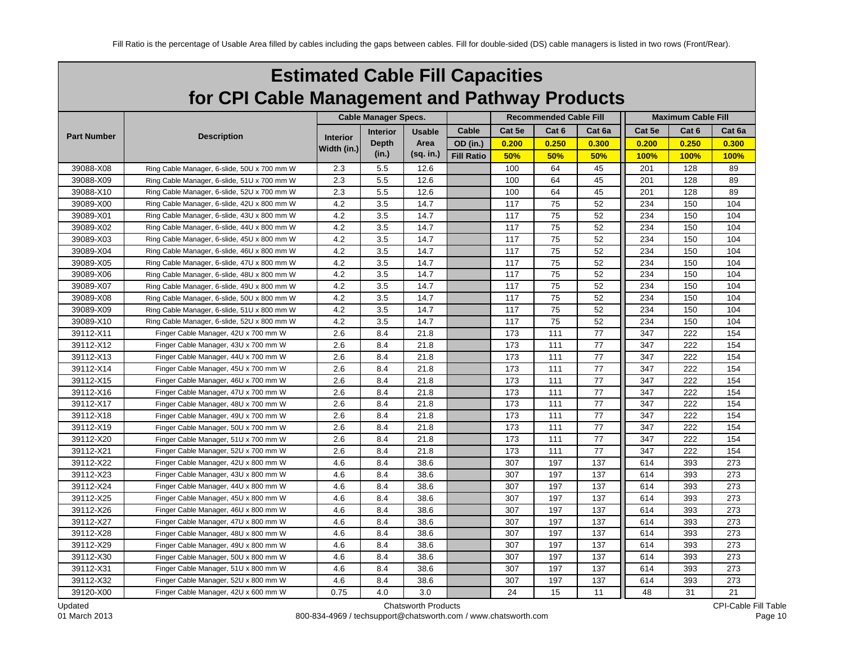| <b>Estimated Cable Fill Capacities</b>        |
|-----------------------------------------------|
| for CPI Cable Management and Pathway Products |

|                    |                                             | <b>Cable Manager Specs.</b> |                 |               |                   |        | <b>Recommended Cable Fill</b> | <b>Maximum Cable Fill</b> |        |             |        |
|--------------------|---------------------------------------------|-----------------------------|-----------------|---------------|-------------------|--------|-------------------------------|---------------------------|--------|-------------|--------|
|                    |                                             |                             | <b>Interior</b> | <b>Usable</b> | Cable             | Cat 5e | Cat 6                         | Cat 6a                    | Cat 5e | Cat 6       | Cat 6a |
| <b>Part Number</b> | <b>Description</b>                          | Interior                    | <b>Depth</b>    | Area          | OD (in.)          | 0.200  | 0.250                         | 0.300                     | 0.200  | 0.250       | 0.300  |
|                    |                                             | Width (in.)                 | (in.)           | (sq. in.)     | <b>Fill Ratio</b> | 50%    | 50%                           | 50%                       | 100%   | <b>100%</b> | 100%   |
| 39088-X08          | Ring Cable Manager, 6-slide, 50U x 700 mm W | 2.3                         | 5.5             | 12.6          |                   | 100    | 64                            | 45                        | 201    | 128         | 89     |
| 39088-X09          | Ring Cable Manager, 6-slide, 51U x 700 mm W | 2.3                         | 5.5             | 12.6          |                   | 100    | 64                            | 45                        | 201    | 128         | 89     |
| 39088-X10          | Ring Cable Manager, 6-slide, 52U x 700 mm W | 2.3                         | 5.5             | 12.6          |                   | 100    | 64                            | 45                        | 201    | 128         | 89     |
| 39089-X00          | Ring Cable Manager, 6-slide, 42U x 800 mm W | 4.2                         | 3.5             | 14.7          |                   | 117    | 75                            | 52                        | 234    | 150         | 104    |
| 39089-X01          | Ring Cable Manager, 6-slide, 43U x 800 mm W | 4.2                         | 3.5             | 14.7          |                   | 117    | 75                            | 52                        | 234    | 150         | 104    |
| 39089-X02          | Ring Cable Manager, 6-slide, 44U x 800 mm W | 4.2                         | 3.5             | 14.7          |                   | 117    | 75                            | 52                        | 234    | 150         | 104    |
| 39089-X03          | Ring Cable Manager, 6-slide, 45U x 800 mm W | 4.2                         | 3.5             | 14.7          |                   | 117    | 75                            | 52                        | 234    | 150         | 104    |
| 39089-X04          | Ring Cable Manager, 6-slide, 46U x 800 mm W | 4.2                         | 3.5             | 14.7          |                   | 117    | 75                            | 52                        | 234    | 150         | 104    |
| 39089-X05          | Ring Cable Manager, 6-slide, 47U x 800 mm W | 4.2                         | 3.5             | 14.7          |                   | 117    | 75                            | 52                        | 234    | 150         | 104    |
| 39089-X06          | Ring Cable Manager, 6-slide, 48U x 800 mm W | 4.2                         | 3.5             | 14.7          |                   | 117    | 75                            | 52                        | 234    | 150         | 104    |
| 39089-X07          | Ring Cable Manager, 6-slide, 49U x 800 mm W | 4.2                         | 3.5             | 14.7          |                   | 117    | 75                            | 52                        | 234    | 150         | 104    |
| 39089-X08          | Ring Cable Manager, 6-slide, 50U x 800 mm W | 4.2                         | 3.5             | 14.7          |                   | 117    | 75                            | 52                        | 234    | 150         | 104    |
| 39089-X09          | Ring Cable Manager, 6-slide, 51U x 800 mm W | 4.2                         | 3.5             | 14.7          |                   | 117    | 75                            | 52                        | 234    | 150         | 104    |
| 39089-X10          | Ring Cable Manager, 6-slide, 52U x 800 mm W | 4.2                         | 3.5             | 14.7          |                   | 117    | 75                            | 52                        | 234    | 150         | 104    |
| 39112-X11          | Finger Cable Manager, 42U x 700 mm W        | 2.6                         | 8.4             | 21.8          |                   | 173    | 111                           | $77 \,$                   | 347    | 222         | 154    |
| 39112-X12          | Finger Cable Manager, 43U x 700 mm W        | 2.6                         | 8.4             | 21.8          |                   | 173    | 111                           | 77                        | 347    | 222         | 154    |
| 39112-X13          | Finger Cable Manager, 44U x 700 mm W        | 2.6                         | 8.4             | 21.8          |                   | 173    | 111                           | 77                        | 347    | 222         | 154    |
| 39112-X14          | Finger Cable Manager, 45U x 700 mm W        | 2.6                         | 8.4             | 21.8          |                   | 173    | 111                           | 77                        | 347    | 222         | 154    |
| 39112-X15          | Finger Cable Manager, 46U x 700 mm W        | 2.6                         | 8.4             | 21.8          |                   | 173    | 111                           | 77                        | 347    | 222         | 154    |
| 39112-X16          | Finger Cable Manager, 47U x 700 mm W        | 2.6                         | 8.4             | 21.8          |                   | 173    | 111                           | 77                        | 347    | 222         | 154    |
| 39112-X17          | Finger Cable Manager, 48U x 700 mm W        | 2.6                         | 8.4             | 21.8          |                   | 173    | 111                           | 77                        | 347    | 222         | 154    |
| 39112-X18          | Finger Cable Manager, 49U x 700 mm W        | 2.6                         | 8.4             | 21.8          |                   | 173    | 111                           | 77                        | 347    | 222         | 154    |
| 39112-X19          | Finger Cable Manager, 50U x 700 mm W        | 2.6                         | 8.4             | 21.8          |                   | 173    | 111                           | 77                        | 347    | 222         | 154    |
| 39112-X20          | Finger Cable Manager, 51U x 700 mm W        | 2.6                         | 8.4             | 21.8          |                   | 173    | 111                           | 77                        | 347    | 222         | 154    |
| 39112-X21          | Finger Cable Manager, 52U x 700 mm W        | 2.6                         | 8.4             | 21.8          |                   | 173    | 111                           | 77                        | 347    | 222         | 154    |
| 39112-X22          | Finger Cable Manager, 42U x 800 mm W        | 4.6                         | 8.4             | 38.6          |                   | 307    | 197                           | 137                       | 614    | 393         | 273    |
| 39112-X23          | Finger Cable Manager, 43U x 800 mm W        | 4.6                         | 8.4             | 38.6          |                   | 307    | 197                           | 137                       | 614    | 393         | 273    |
| 39112-X24          | Finger Cable Manager, 44U x 800 mm W        | 4.6                         | 8.4             | 38.6          |                   | 307    | 197                           | 137                       | 614    | 393         | 273    |
| 39112-X25          | Finger Cable Manager, 45U x 800 mm W        | 4.6                         | 8.4             | 38.6          |                   | 307    | 197                           | 137                       | 614    | 393         | 273    |
| 39112-X26          | Finger Cable Manager, 46U x 800 mm W        | 4.6                         | 8.4             | 38.6          |                   | 307    | 197                           | 137                       | 614    | 393         | 273    |
| 39112-X27          | Finger Cable Manager, 47U x 800 mm W        | 4.6                         | 8.4             | 38.6          |                   | 307    | 197                           | 137                       | 614    | 393         | 273    |
| 39112-X28          | Finger Cable Manager, 48U x 800 mm W        | 4.6                         | 8.4             | 38.6          |                   | 307    | 197                           | 137                       | 614    | 393         | 273    |
| 39112-X29          | Finger Cable Manager, 49U x 800 mm W        | 4.6                         | 8.4             | 38.6          |                   | 307    | 197                           | 137                       | 614    | 393         | 273    |
| 39112-X30          | Finger Cable Manager, 50U x 800 mm W        | 4.6                         | 8.4             | 38.6          |                   | 307    | 197                           | 137                       | 614    | 393         | 273    |
| 39112-X31          | Finger Cable Manager, 51U x 800 mm W        | 4.6                         | 8.4             | 38.6          |                   | 307    | 197                           | 137                       | 614    | 393         | 273    |
| 39112-X32          | Finger Cable Manager, 52U x 800 mm W        | 4.6                         | 8.4             | 38.6          |                   | 307    | 197                           | 137                       | 614    | 393         | 273    |
| 39120-X00          | Finger Cable Manager, 42U x 600 mm W        | 0.75                        | 4.0             | 3.0           |                   | 24     | 15                            | 11                        | 48     | 31          | 21     |

Updated 01 March 2013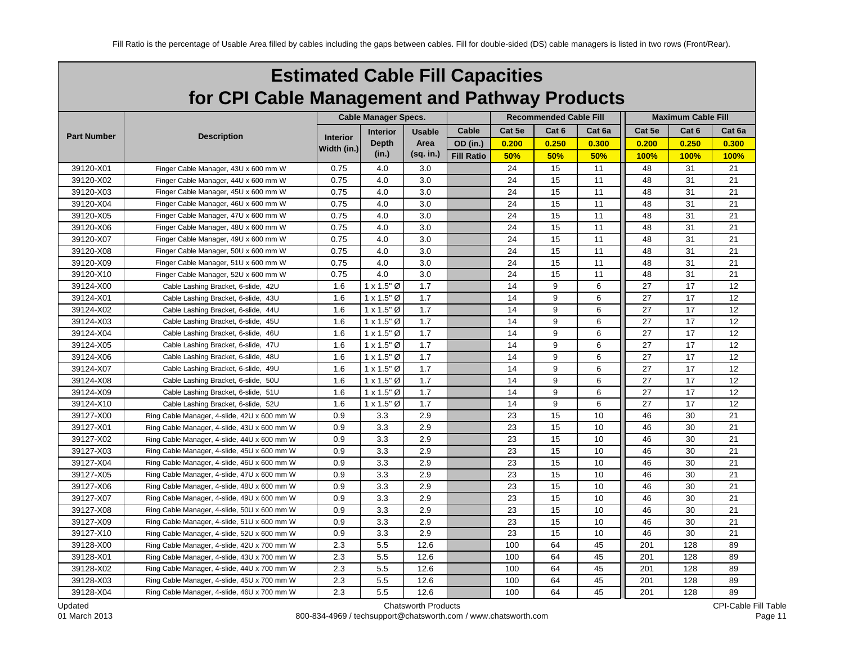| <b>Estimated Cable Fill Capacities</b>        |
|-----------------------------------------------|
| for CPI Cable Management and Pathway Products |

|                    |                                             |                 | <b>Cable Manager Specs.</b> |               |                   |        | <b>Recommended Cable Fill</b> | <b>Maximum Cable Fill</b> |             |       |        |
|--------------------|---------------------------------------------|-----------------|-----------------------------|---------------|-------------------|--------|-------------------------------|---------------------------|-------------|-------|--------|
|                    |                                             |                 | <b>Interior</b>             | <b>Usable</b> | Cable             | Cat 5e | Cat 6                         | Cat 6a                    | Cat 5e      | Cat 6 | Cat 6a |
| <b>Part Number</b> | <b>Description</b>                          | <b>Interior</b> | <b>Depth</b>                | Area          | OD (in.)          | 0.200  | 0.250                         | 0.300                     | 0.200       | 0.250 | 0.300  |
|                    |                                             | Width (in.)     | (in.)                       | (sq. in.)     | <b>Fill Ratio</b> | 50%    | 50%                           | 50%                       | <b>100%</b> | 100%  | 100%   |
| 39120-X01          | Finger Cable Manager, 43U x 600 mm W        | 0.75            | 4.0                         | 3.0           |                   | 24     | 15                            | 11                        | 48          | 31    | 21     |
| 39120-X02          | Finger Cable Manager, 44U x 600 mm W        | 0.75            | 4.0                         | 3.0           |                   | 24     | 15                            | 11                        | 48          | 31    | 21     |
| 39120-X03          | Finger Cable Manager, 45U x 600 mm W        | 0.75            | 4.0                         | 3.0           |                   | 24     | 15                            | 11                        | 48          | 31    | 21     |
| 39120-X04          | Finger Cable Manager, 46U x 600 mm W        | 0.75            | 4.0                         | 3.0           |                   | 24     | 15                            | 11                        | 48          | 31    | 21     |
| 39120-X05          | Finger Cable Manager, 47U x 600 mm W        | 0.75            | 4.0                         | 3.0           |                   | 24     | 15                            | 11                        | 48          | 31    | 21     |
| 39120-X06          | Finger Cable Manager, 48U x 600 mm W        | 0.75            | 4.0                         | 3.0           |                   | 24     | 15                            | 11                        | 48          | 31    | 21     |
| 39120-X07          | Finger Cable Manager, 49U x 600 mm W        | 0.75            | 4.0                         | 3.0           |                   | 24     | 15                            | 11                        | 48          | 31    | 21     |
| 39120-X08          | Finger Cable Manager, 50U x 600 mm W        | 0.75            | 4.0                         | 3.0           |                   | 24     | 15                            | 11                        | 48          | 31    | 21     |
| 39120-X09          | Finger Cable Manager, 51U x 600 mm W        | 0.75            | 4.0                         | 3.0           |                   | 24     | 15                            | 11                        | 48          | 31    | 21     |
| 39120-X10          | Finger Cable Manager, 52U x 600 mm W        | 0.75            | 4.0                         | 3.0           |                   | 24     | 15                            | 11                        | 48          | 31    | 21     |
| 39124-X00          | Cable Lashing Bracket, 6-slide, 42U         | 1.6             | $1 \times 1.5$ " Ø          | 1.7           |                   | 14     | 9                             | 6                         | 27          | 17    | 12     |
| 39124-X01          | Cable Lashing Bracket, 6-slide, 43U         | 1.6             | $1 \times 1.5$ " Ø          | 1.7           |                   | 14     | 9                             | 6                         | 27          | 17    | 12     |
| 39124-X02          | Cable Lashing Bracket, 6-slide, 44U         | 1.6             | $1 \times 1.5$ " Ø          | 1.7           |                   | 14     | 9                             | 6                         | 27          | 17    | 12     |
| 39124-X03          | Cable Lashing Bracket, 6-slide, 45U         | 1.6             | $1 \times 1.5$ " Ø          | 1.7           |                   | 14     | 9                             | 6                         | 27          | 17    | 12     |
| 39124-X04          | Cable Lashing Bracket, 6-slide, 46U         | 1.6             | $1 \times 1.5$ " Ø          | 1.7           |                   | 14     | 9                             | 6                         | 27          | 17    | 12     |
| 39124-X05          | Cable Lashing Bracket, 6-slide, 47U         | 1.6             | $1 \times 1.5$ " Ø          | 1.7           |                   | 14     | 9                             | 6                         | 27          | 17    | 12     |
| 39124-X06          | Cable Lashing Bracket, 6-slide, 48U         | 1.6             | $1 \times 1.5$ " Ø          | 1.7           |                   | 14     | 9                             | 6                         | 27          | 17    | 12     |
| 39124-X07          | Cable Lashing Bracket, 6-slide, 49U         | 1.6             | $1 \times 1.5$ " Ø          | 1.7           |                   | 14     | 9                             | 6                         | 27          | 17    | 12     |
| 39124-X08          | Cable Lashing Bracket, 6-slide, 50U         | 1.6             | $1 \times 1.5$ " Ø          | 1.7           |                   | 14     | 9                             | 6                         | 27          | 17    | 12     |
| 39124-X09          | Cable Lashing Bracket, 6-slide, 51U         | 1.6             | $1 \times 1.5$ " Ø          | 1.7           |                   | 14     | 9                             | 6                         | 27          | 17    | 12     |
| 39124-X10          | Cable Lashing Bracket, 6-slide, 52U         | 1.6             | $1 \times 1.5$ " Ø          | 1.7           |                   | 14     | 9                             | 6                         | 27          | 17    | 12     |
| 39127-X00          | Ring Cable Manager, 4-slide, 42U x 600 mm W | 0.9             | 3.3                         | 2.9           |                   | 23     | 15                            | 10                        | 46          | 30    | 21     |
| 39127-X01          | Ring Cable Manager, 4-slide, 43U x 600 mm W | 0.9             | 3.3                         | 2.9           |                   | 23     | 15                            | 10                        | 46          | 30    | 21     |
| 39127-X02          | Ring Cable Manager, 4-slide, 44U x 600 mm W | 0.9             | 3.3                         | 2.9           |                   | 23     | 15                            | 10                        | 46          | 30    | 21     |
| 39127-X03          | Ring Cable Manager, 4-slide, 45U x 600 mm W | 0.9             | 3.3                         | 2.9           |                   | 23     | 15                            | 10                        | 46          | 30    | 21     |
| 39127-X04          | Ring Cable Manager, 4-slide, 46U x 600 mm W | 0.9             | 3.3                         | 2.9           |                   | 23     | 15                            | 10                        | 46          | 30    | 21     |
| 39127-X05          | Ring Cable Manager, 4-slide, 47U x 600 mm W | 0.9             | 3.3                         | 2.9           |                   | 23     | 15                            | 10                        | 46          | 30    | 21     |
| 39127-X06          | Ring Cable Manager, 4-slide, 48U x 600 mm W | 0.9             | 3.3                         | 2.9           |                   | 23     | 15                            | 10                        | 46          | 30    | 21     |
| 39127-X07          | Ring Cable Manager, 4-slide, 49U x 600 mm W | 0.9             | 3.3                         | 2.9           |                   | 23     | 15                            | 10                        | 46          | 30    | 21     |
| 39127-X08          | Ring Cable Manager, 4-slide, 50U x 600 mm W | 0.9             | 3.3                         | 2.9           |                   | 23     | 15                            | 10                        | 46          | 30    | 21     |
| 39127-X09          | Ring Cable Manager, 4-slide, 51U x 600 mm W | 0.9             | 3.3                         | 2.9           |                   | 23     | 15                            | 10                        | 46          | 30    | 21     |
| 39127-X10          | Ring Cable Manager, 4-slide, 52U x 600 mm W | 0.9             | 3.3                         | 2.9           |                   | 23     | 15                            | 10                        | 46          | 30    | 21     |
| 39128-X00          | Ring Cable Manager, 4-slide, 42U x 700 mm W | 2.3             | 5.5                         | 12.6          |                   | 100    | 64                            | 45                        | 201         | 128   | 89     |
| 39128-X01          | Ring Cable Manager, 4-slide, 43U x 700 mm W | 2.3             | 5.5                         | 12.6          |                   | 100    | 64                            | 45                        | 201         | 128   | 89     |
| 39128-X02          | Ring Cable Manager, 4-slide, 44U x 700 mm W | 2.3             | 5.5                         | 12.6          |                   | 100    | 64                            | 45                        | 201         | 128   | 89     |
| 39128-X03          | Ring Cable Manager, 4-slide, 45U x 700 mm W | 2.3             | 5.5                         | 12.6          |                   | 100    | 64                            | 45                        | 201         | 128   | 89     |
| 39128-X04          | Ring Cable Manager, 4-slide, 46U x 700 mm W | 2.3             | 5.5                         | 12.6          |                   | 100    | 64                            | 45                        | 201         | 128   | 89     |

Updated 01 March 2013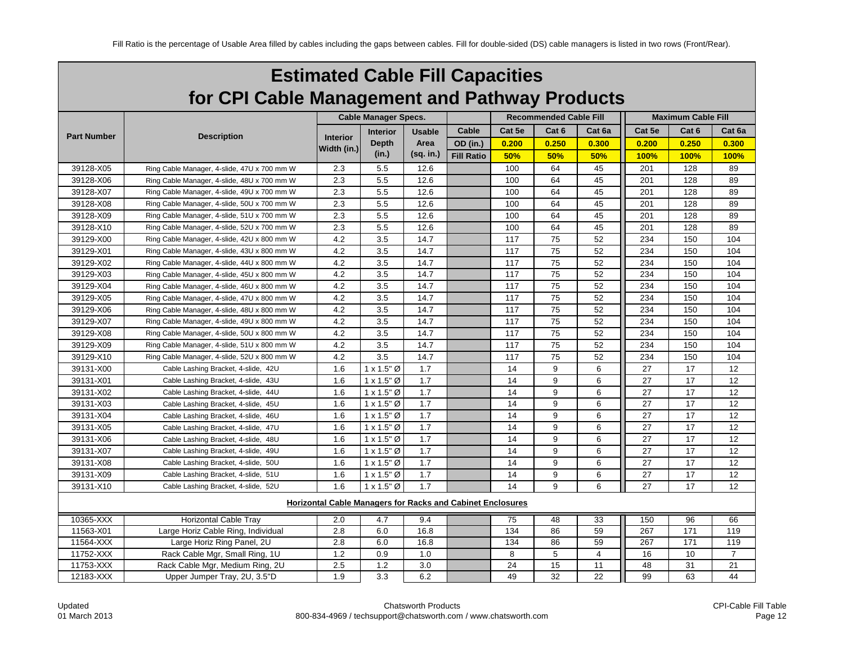| <b>Estimated Cable Fill Capacities</b>        |
|-----------------------------------------------|
| for CPI Cable Management and Pathway Products |

|                    |                                             |                                                                   | <b>Cable Manager Specs.</b> |               |                   |        | <b>Recommended Cable Fill</b> |        | <b>Maximum Cable Fill</b> |                  |                |  |
|--------------------|---------------------------------------------|-------------------------------------------------------------------|-----------------------------|---------------|-------------------|--------|-------------------------------|--------|---------------------------|------------------|----------------|--|
|                    |                                             |                                                                   | <b>Interior</b>             | <b>Usable</b> | Cable             | Cat 5e | Cat 6                         | Cat 6a | Cat 5e                    | Cat <sub>6</sub> | Cat 6a         |  |
| <b>Part Number</b> | <b>Description</b>                          | <b>Interior</b>                                                   | <b>Depth</b>                | Area          | OD (in.)          | 0.200  | 0.250                         | 0.300  | 0.200                     | 0.250            | 0.300          |  |
|                    |                                             | Width (in.)                                                       | (in.)                       | $(sq.$ in.)   | <b>Fill Ratio</b> | 50%    | 50%                           | 50%    | 100%                      | 100%             | 100%           |  |
| 39128-X05          | Ring Cable Manager, 4-slide, 47U x 700 mm W | 2.3                                                               | 5.5                         | 12.6          |                   | 100    | 64                            | 45     | 201                       | 128              | 89             |  |
| 39128-X06          | Ring Cable Manager, 4-slide, 48U x 700 mm W | 2.3                                                               | 5.5                         | 12.6          |                   | 100    | 64                            | 45     | 201                       | 128              | 89             |  |
| 39128-X07          | Ring Cable Manager, 4-slide, 49U x 700 mm W | 2.3                                                               | 5.5                         | 12.6          |                   | 100    | 64                            | 45     | 201                       | 128              | 89             |  |
| 39128-X08          | Ring Cable Manager, 4-slide, 50U x 700 mm W | 2.3                                                               | 5.5                         | 12.6          |                   | 100    | 64                            | 45     | 201                       | 128              | 89             |  |
| 39128-X09          | Ring Cable Manager, 4-slide, 51U x 700 mm W | 2.3                                                               | 5.5                         | 12.6          |                   | 100    | 64                            | 45     | 201                       | 128              | 89             |  |
| 39128-X10          | Ring Cable Manager, 4-slide, 52U x 700 mm W | 2.3                                                               | 5.5                         | 12.6          |                   | 100    | 64                            | 45     | 201                       | 128              | 89             |  |
| 39129-X00          | Ring Cable Manager, 4-slide, 42U x 800 mm W | 4.2                                                               | 3.5                         | 14.7          |                   | 117    | 75                            | 52     | 234                       | 150              | 104            |  |
| 39129-X01          | Ring Cable Manager, 4-slide, 43U x 800 mm W | 4.2                                                               | 3.5                         | 14.7          |                   | 117    | 75                            | 52     | 234                       | 150              | 104            |  |
| 39129-X02          | Ring Cable Manager, 4-slide, 44U x 800 mm W | 4.2                                                               | 3.5                         | 14.7          |                   | 117    | 75                            | 52     | 234                       | 150              | 104            |  |
| 39129-X03          | Ring Cable Manager, 4-slide, 45U x 800 mm W | 4.2                                                               | 3.5                         | 14.7          |                   | 117    | 75                            | 52     | 234                       | 150              | 104            |  |
| 39129-X04          | Ring Cable Manager, 4-slide, 46U x 800 mm W | 4.2                                                               | 3.5                         | 14.7          |                   | 117    | 75                            | 52     | 234                       | 150              | 104            |  |
| 39129-X05          | Ring Cable Manager, 4-slide, 47U x 800 mm W | 4.2                                                               | 3.5                         | 14.7          |                   | 117    | 75                            | 52     | 234                       | 150              | 104            |  |
| 39129-X06          | Ring Cable Manager, 4-slide, 48U x 800 mm W | 4.2                                                               | 3.5                         | 14.7          |                   | 117    | 75                            | 52     | 234                       | 150              | 104            |  |
| 39129-X07          | Ring Cable Manager, 4-slide, 49U x 800 mm W | 4.2                                                               | 3.5                         | 14.7          |                   | 117    | 75                            | 52     | 234                       | 150              | 104            |  |
| 39129-X08          | Ring Cable Manager, 4-slide, 50U x 800 mm W | 4.2                                                               | 3.5                         | 14.7          |                   | 117    | 75                            | 52     | 234                       | 150              | 104            |  |
| 39129-X09          | Ring Cable Manager, 4-slide, 51U x 800 mm W | 4.2                                                               | 3.5                         | 14.7          |                   | 117    | 75                            | 52     | 234                       | 150              | 104            |  |
| 39129-X10          | Ring Cable Manager, 4-slide, 52U x 800 mm W | 4.2                                                               | 3.5                         | 14.7          |                   | 117    | 75                            | 52     | 234                       | 150              | 104            |  |
| 39131-X00          | Cable Lashing Bracket, 4-slide, 42U         | 1.6                                                               | $1 \times 1.5$ " Ø          | 1.7           |                   | 14     | 9                             | 6      | 27                        | 17               | 12             |  |
| 39131-X01          | Cable Lashing Bracket, 4-slide, 43U         | 1.6                                                               | $1 \times 1.5$ " Ø          | 1.7           |                   | 14     | 9                             | 6      | 27                        | 17               | 12             |  |
| 39131-X02          | Cable Lashing Bracket, 4-slide, 44U         | 1.6                                                               | $1 \times 1.5$ " Ø          | 1.7           |                   | 14     | 9                             | 6      | 27                        | 17               | 12             |  |
| 39131-X03          | Cable Lashing Bracket, 4-slide, 45U         | 1.6                                                               | $1 \times 1.5$ " Ø          | 1.7           |                   | 14     | 9                             | 6      | 27                        | 17               | 12             |  |
| 39131-X04          | Cable Lashing Bracket, 4-slide, 46U         | 1.6                                                               | $1 \times 1.5$ " Ø          | 1.7           |                   | 14     | 9                             | 6      | 27                        | 17               | 12             |  |
| 39131-X05          | Cable Lashing Bracket, 4-slide, 47U         | 1.6                                                               | $1 \times 1.5$ " Ø          | 1.7           |                   | 14     | 9                             | 6      | 27                        | 17               | 12             |  |
| 39131-X06          | Cable Lashing Bracket, 4-slide, 48U         | 1.6                                                               | $1 \times 1.5$ " Ø          | 1.7           |                   | 14     | 9                             | 6      | 27                        | 17               | 12             |  |
| 39131-X07          | Cable Lashing Bracket, 4-slide, 49U         | 1.6                                                               | $1 \times 1.5$ " Ø          | 1.7           |                   | 14     | 9                             | 6      | 27                        | 17               | 12             |  |
| 39131-X08          | Cable Lashing Bracket, 4-slide, 50U         | 1.6                                                               | $1 \times 1.5$ " Ø          | 1.7           |                   | 14     | 9                             | 6      | 27                        | 17               | 12             |  |
| 39131-X09          | Cable Lashing Bracket, 4-slide, 51U         | 1.6                                                               | $1 \times 1.5$ " Ø          | 1.7           |                   | 14     | 9                             | 6      | 27                        | 17               | 12             |  |
| 39131-X10          | Cable Lashing Bracket, 4-slide, 52U         | 1.6                                                               | $1 \times 1.5$ " Ø          | 1.7           |                   | 14     | 9                             | 6      | 27                        | 17               | 12             |  |
|                    |                                             | <b>Horizontal Cable Managers for Racks and Cabinet Enclosures</b> |                             |               |                   |        |                               |        |                           |                  |                |  |
| 10365-XXX          | <b>Horizontal Cable Tray</b>                | 2.0                                                               | 4.7                         | 9.4           |                   | 75     | 48                            | 33     | 150                       | 96               | 66             |  |
| 11563-X01          | Large Horiz Cable Ring, Individual          | 2.8                                                               | 6.0                         | 16.8          |                   | 134    | 86                            | 59     | 267                       | 171              | 119            |  |
| 11564-XXX          | Large Horiz Ring Panel, 2U                  | 2.8                                                               | 6.0                         | 16.8          |                   | 134    | 86                            | 59     | 267                       | 171              | 119            |  |
| 11752-XXX          | Rack Cable Mgr, Small Ring, 1U              | 1.2                                                               | 0.9                         | 1.0           |                   | 8      | 5                             | 4      | 16                        | 10               | $\overline{7}$ |  |
| 11753-XXX          | Rack Cable Mgr, Medium Ring, 2U             | 2.5                                                               | 1.2                         | 3.0           |                   | 24     | 15                            | 11     | 48                        | 31               | 21             |  |
| 12183-XXX          | Upper Jumper Tray, 2U, 3.5"D                | 1.9                                                               | 3.3                         | 6.2           |                   | 49     | 32                            | 22     | 99                        | 63               | 44             |  |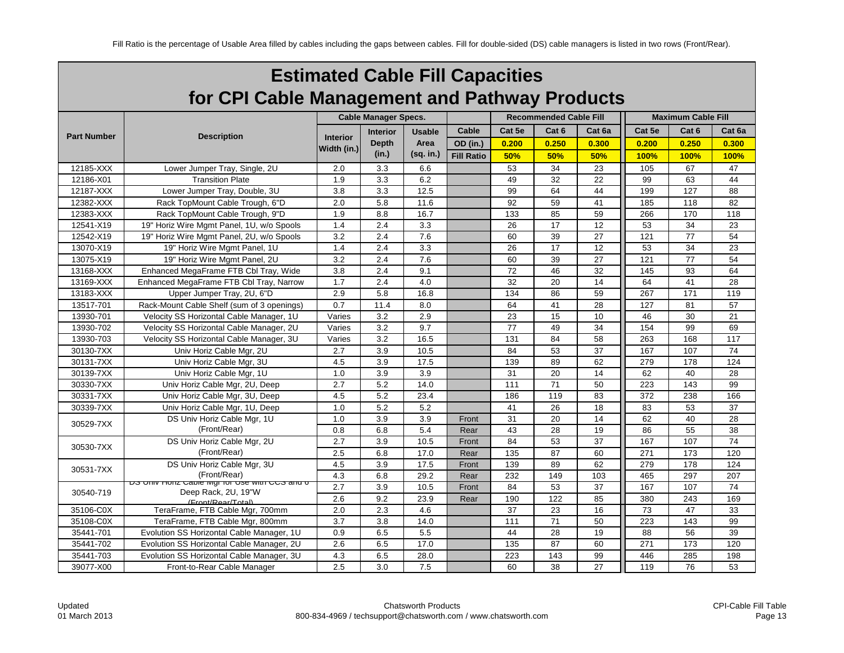| <b>Estimated Cable Fill Capacities</b>        |
|-----------------------------------------------|
| for CPI Cable Management and Pathway Products |

|                    |                                                                              |                 | <b>Cable Manager Specs.</b> |           |                   |        | <b>Recommended Cable Fill</b> |        | <b>Maximum Cable Fill</b> |       |                 |  |
|--------------------|------------------------------------------------------------------------------|-----------------|-----------------------------|-----------|-------------------|--------|-------------------------------|--------|---------------------------|-------|-----------------|--|
|                    |                                                                              |                 | <b>Interior</b>             | Usable    | Cable             | Cat 5e | Cat <sub>6</sub>              | Cat 6a | Cat 5e                    | Cat 6 | Cat 6a          |  |
| <b>Part Number</b> | <b>Description</b>                                                           | <b>Interior</b> | <b>Depth</b>                | Area      | OD (in.)          | 0.200  | 0.250                         | 0.300  | 0.200                     | 0.250 | 0.300           |  |
|                    |                                                                              | Width (in.)     | (in.)                       | (sq. in.) | <b>Fill Ratio</b> | 50%    | 50%                           | 50%    | 100%                      | 100%  | 100%            |  |
| 12185-XXX          | Lower Jumper Tray, Single, 2U                                                | 2.0             | 3.3                         | 6.6       |                   | 53     | $\overline{34}$               | 23     | 105                       | 67    | 47              |  |
| 12186-X01          | <b>Transition Plate</b>                                                      | 1.9             | 3.3                         | 6.2       |                   | 49     | 32                            | 22     | 99                        | 63    | 44              |  |
| 12187-XXX          | Lower Jumper Tray, Double, 3U                                                | 3.8             | 3.3                         | 12.5      |                   | 99     | 64                            | 44     | 199                       | 127   | 88              |  |
| 12382-XXX          | Rack TopMount Cable Trough, 6"D                                              | 2.0             | 5.8                         | 11.6      |                   | 92     | 59                            | 41     | 185                       | 118   | 82              |  |
| 12383-XXX          | Rack TopMount Cable Trough, 9"D                                              | 1.9             | 8.8                         | 16.7      |                   | 133    | 85                            | 59     | 266                       | 170   | 118             |  |
| 12541-X19          | 19" Horiz Wire Mgmt Panel, 1U, w/o Spools                                    | 1.4             | 2.4                         | 3.3       |                   | 26     | 17                            | 12     | 53                        | 34    | 23              |  |
| 12542-X19          | 19" Horiz Wire Mgmt Panel, 2U, w/o Spools                                    | 3.2             | 2.4                         | 7.6       |                   | 60     | 39                            | 27     | 121                       | 77    | 54              |  |
| 13070-X19          | 19" Horiz Wire Mgmt Panel, 1U                                                | 1.4             | 2.4                         | 3.3       |                   | 26     | 17                            | 12     | 53                        | 34    | 23              |  |
| 13075-X19          | 19" Horiz Wire Mgmt Panel, 2U                                                | 3.2             | 2.4                         | 7.6       |                   | 60     | 39                            | 27     | 121                       | 77    | 54              |  |
| 13168-XXX          | Enhanced MegaFrame FTB Cbl Tray, Wide                                        | 3.8             | 2.4                         | 9.1       |                   | 72     | 46                            | 32     | 145                       | 93    | 64              |  |
| 13169-XXX          | Enhanced MegaFrame FTB Cbl Tray, Narrow                                      | 1.7             | 2.4                         | 4.0       |                   | 32     | 20                            | 14     | 64                        | 41    | 28              |  |
| 13183-XXX          | Upper Jumper Tray, 2U, 6"D                                                   | 2.9             | 5.8                         | 16.8      |                   | 134    | 86                            | 59     | 267                       | 171   | 119             |  |
| 13517-701          | Rack-Mount Cable Shelf (sum of 3 openings)                                   | 0.7             | 11.4                        | 8.0       |                   | 64     | 41                            | 28     | 127                       | 81    | 57              |  |
| 13930-701          | Velocity SS Horizontal Cable Manager, 1U                                     | Varies          | 3.2                         | 2.9       |                   | 23     | 15                            | 10     | 46                        | 30    | 21              |  |
| 13930-702          | Velocity SS Horizontal Cable Manager, 2U                                     | Varies          | 3.2                         | 9.7       |                   | 77     | 49                            | 34     | 154                       | 99    | 69              |  |
| 13930-703          | Velocity SS Horizontal Cable Manager, 3U                                     | Varies          | 3.2                         | 16.5      |                   | 131    | 84                            | 58     | 263                       | 168   | 117             |  |
| 30130-7XX          | Univ Horiz Cable Mgr, 2U                                                     | 2.7             | 3.9                         | 10.5      |                   | 84     | 53                            | 37     | 167                       | 107   | 74              |  |
| 30131-7XX          | Univ Horiz Cable Mgr, 3U                                                     | 4.5             | 3.9                         | 17.5      |                   | 139    | 89                            | 62     | 279                       | 178   | 124             |  |
| 30139-7XX          | Univ Horiz Cable Mgr, 1U                                                     | 1.0             | 3.9                         | 3.9       |                   | 31     | 20                            | 14     | 62                        | 40    | 28              |  |
| 30330-7XX          | Univ Horiz Cable Mgr, 2U, Deep                                               | 2.7             | 5.2                         | 14.0      |                   | 111    | 71                            | 50     | 223                       | 143   | 99              |  |
| 30331-7XX          | Univ Horiz Cable Mgr, 3U, Deep                                               | 4.5             | 5.2                         | 23.4      |                   | 186    | 119                           | 83     | 372                       | 238   | 166             |  |
| 30339-7XX          | Univ Horiz Cable Mgr, 1U, Deep                                               | 1.0             | 5.2                         | 5.2       |                   | 41     | 26                            | 18     | 83                        | 53    | 37              |  |
| 30529-7XX          | DS Univ Horiz Cable Mgr, 1U                                                  | 1.0             | 3.9                         | 3.9       | Front             | 31     | 20                            | 14     | 62                        | 40    | 28              |  |
|                    | (Front/Rear)                                                                 | 0.8             | 6.8                         | 5.4       | Rear              | 43     | 28                            | 19     | 86                        | 55    | 38              |  |
| 30530-7XX          | DS Univ Horiz Cable Mgr, 2U                                                  | 2.7             | 3.9                         | 10.5      | Front             | 84     | 53                            | 37     | 167                       | 107   | $\overline{74}$ |  |
|                    | (Front/Rear)                                                                 | 2.5             | 6.8                         | 17.0      | Rear              | 135    | 87                            | 60     | 271                       | 173   | 120             |  |
| 30531-7XX          | DS Univ Horiz Cable Mgr, 3U                                                  | 4.5             | 3.9                         | 17.5      | Front             | 139    | 89                            | 62     | 279                       | 178   | 124             |  |
|                    | (Front/Rear)                                                                 | 4.3             | 6.8                         | 29.2      | Rear              | 232    | 149                           | 103    | 465                       | 297   | 207             |  |
| 30540-719          | <u>DO UNIVITIONZ CADIE MUI TOI USE WINT CCO AND O</u><br>Deep Rack, 2U, 19"W | 2.7             | 3.9                         | 10.5      | Front             | 84     | 53                            | 37     | 167                       | 107   | 74              |  |
|                    | (Front/Rear/Total)                                                           | 2.6             | 9.2                         | 23.9      | Rear              | 190    | 122                           | 85     | 380                       | 243   | 169             |  |
| 35106-C0X          | TeraFrame, FTB Cable Mgr, 700mm                                              | 2.0             | 2.3                         | 4.6       |                   | 37     | 23                            | 16     | 73                        | 47    | 33              |  |
| 35108-C0X          | TeraFrame, FTB Cable Mgr, 800mm                                              | 3.7             | 3.8                         | 14.0      |                   | 111    | 71                            | 50     | 223                       | 143   | 99              |  |
| 35441-701          | Evolution SS Horizontal Cable Manager, 1U                                    | 0.9             | 6.5                         | 5.5       |                   | 44     | 28                            | 19     | 88                        | 56    | 39              |  |
| 35441-702          | Evolution SS Horizontal Cable Manager, 2U                                    | 2.6             | 6.5                         | 17.0      |                   | 135    | 87                            | 60     | 271                       | 173   | 120             |  |
| 35441-703          | Evolution SS Horizontal Cable Manager, 3U                                    | 4.3             | 6.5                         | 28.0      |                   | 223    | 143                           | 99     | 446                       | 285   | 198             |  |
| 39077-X00          | Front-to-Rear Cable Manager                                                  | 2.5             | 3.0                         | 7.5       |                   | 60     | 38                            | 27     | 119                       | 76    | 53              |  |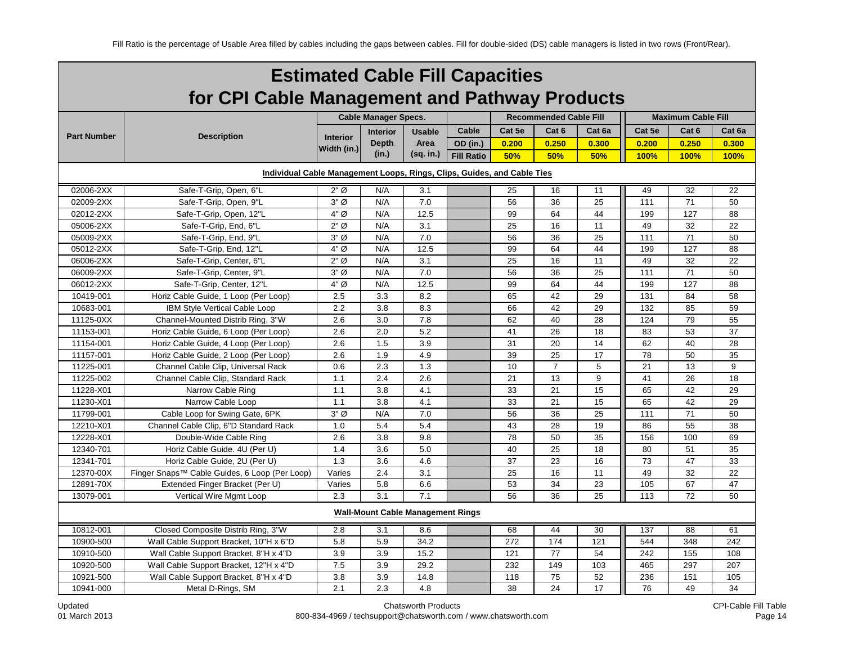|                    | <b>Estimated Cable Fill Capacities</b>                                  |                 |                                          |               |                   |        |                               |        |        |                           |        |  |
|--------------------|-------------------------------------------------------------------------|-----------------|------------------------------------------|---------------|-------------------|--------|-------------------------------|--------|--------|---------------------------|--------|--|
|                    | for CPI Cable Management and Pathway Products                           |                 |                                          |               |                   |        |                               |        |        |                           |        |  |
|                    |                                                                         |                 | <b>Cable Manager Specs.</b>              |               |                   |        | <b>Recommended Cable Fill</b> |        |        | <b>Maximum Cable Fill</b> |        |  |
| <b>Part Number</b> |                                                                         |                 | <b>Interior</b>                          | <b>Usable</b> | Cable             | Cat 5e | Cat <sub>6</sub>              | Cat 6a | Cat 5e | Cat <sub>6</sub>          | Cat 6a |  |
|                    | <b>Description</b>                                                      | <b>Interior</b> | <b>Depth</b>                             | Area          | OD (in.)          | 0.200  | 0.250                         | 0.300  | 0.200  | 0.250                     | 0.300  |  |
|                    |                                                                         | Width (in.)     | (in.)                                    | (sq. in.)     | <b>Fill Ratio</b> | 50%    | 50%                           | 50%    | 100%   | 100%                      | 100%   |  |
|                    | Individual Cable Management Loops, Rings, Clips, Guides, and Cable Ties |                 |                                          |               |                   |        |                               |        |        |                           |        |  |
| 02006-2XX          | Safe-T-Grip, Open, 6"L                                                  | $2"$ Ø          | N/A                                      | 3.1           |                   | 25     | 16                            | 11     | 49     | 32                        | 22     |  |
| 02009-2XX          | Safe-T-Grip, Open, 9"L                                                  | $3"$ Ø          | N/A                                      | 7.0           |                   | 56     | 36                            | 25     | 111    | 71                        | 50     |  |
| 02012-2XX          | Safe-T-Grip, Open, 12"L                                                 | 4" Ø            | N/A                                      | 12.5          |                   | 99     | 64                            | 44     | 199    | 127                       | 88     |  |
| 05006-2XX          | Safe-T-Grip, End, 6"L                                                   | $2"$ Ø          | N/A                                      | 3.1           |                   | 25     | 16                            | 11     | 49     | 32                        | 22     |  |
| 05009-2XX          | Safe-T-Grip, End, 9"L                                                   | $3"$ Ø          | N/A                                      | 7.0           |                   | 56     | 36                            | 25     | 111    | 71                        | 50     |  |
| 05012-2XX          | Safe-T-Grip, End, 12"L                                                  | 4" Ø            | N/A                                      | 12.5          |                   | 99     | 64                            | 44     | 199    | 127                       | 88     |  |
| 06006-2XX          | Safe-T-Grip, Center, 6"L                                                | $2"$ Ø          | N/A                                      | 3.1           |                   | 25     | 16                            | 11     | 49     | 32                        | 22     |  |
| 06009-2XX          | Safe-T-Grip, Center, 9"L                                                | $3"$ Ø          | N/A                                      | 7.0           |                   | 56     | 36                            | 25     | 111    | 71                        | 50     |  |
| 06012-2XX          | Safe-T-Grip, Center, 12"L                                               | 4" Ø            | N/A                                      | 12.5          |                   | 99     | 64                            | 44     | 199    | 127                       | 88     |  |
| 10419-001          | Horiz Cable Guide, 1 Loop (Per Loop)                                    | 2.5             | 3.3                                      | 8.2           |                   | 65     | 42                            | 29     | 131    | 84                        | 58     |  |
| 10683-001          | <b>IBM Style Vertical Cable Loop</b>                                    | 2.2             | 3.8                                      | 8.3           |                   | 66     | 42                            | 29     | 132    | 85                        | 59     |  |
| 11125-0XX          | Channel-Mounted Distrib Ring, 3"W                                       | 2.6             | 3.0                                      | 7.8           |                   | 62     | 40                            | 28     | 124    | 79                        | 55     |  |
| 11153-001          | Horiz Cable Guide, 6 Loop (Per Loop)                                    | 2.6             | 2.0                                      | 5.2           |                   | 41     | 26                            | 18     | 83     | 53                        | 37     |  |
| 11154-001          | Horiz Cable Guide, 4 Loop (Per Loop)                                    | 2.6             | 1.5                                      | 3.9           |                   | 31     | 20                            | 14     | 62     | 40                        | 28     |  |
| 11157-001          | Horiz Cable Guide, 2 Loop (Per Loop)                                    | 2.6             | 1.9                                      | 4.9           |                   | 39     | 25                            | 17     | 78     | 50                        | 35     |  |
| 11225-001          | Channel Cable Clip, Universal Rack                                      | 0.6             | 2.3                                      | 1.3           |                   | 10     | $\overline{7}$                | 5      | 21     | 13                        | 9      |  |
| 11225-002          | Channel Cable Clip, Standard Rack                                       | 1.1             | 2.4                                      | 2.6           |                   | 21     | 13                            | 9      | 41     | 26                        | 18     |  |
| 11228-X01          | Narrow Cable Ring                                                       | 1.1             | 3.8                                      | 4.1           |                   | 33     | 21                            | 15     | 65     | 42                        | 29     |  |
| 11230-X01          | Narrow Cable Loop                                                       | 1.1             | 3.8                                      | 4.1           |                   | 33     | 21                            | 15     | 65     | 42                        | 29     |  |
| 11799-001          | Cable Loop for Swing Gate, 6PK                                          | $3"$ Ø          | N/A                                      | 7.0           |                   | 56     | 36                            | 25     | 111    | 71                        | 50     |  |
| 12210-X01          | Channel Cable Clip, 6"D Standard Rack                                   | 1.0             | 5.4                                      | 5.4           |                   | 43     | 28                            | 19     | 86     | 55                        | 38     |  |
| 12228-X01          | Double-Wide Cable Ring                                                  | 2.6             | 3.8                                      | 9.8           |                   | 78     | 50                            | 35     | 156    | 100                       | 69     |  |
| 12340-701          | Horiz Cable Guide. 4U (Per U)                                           | 1.4             | 3.6                                      | 5.0           |                   | 40     | 25                            | 18     | 80     | 51                        | 35     |  |
| 12341-701          | Horiz Cable Guide, 2U (Per U)                                           | 1.3             | 3.6                                      | 4.6           |                   | 37     | 23                            | 16     | 73     | 47                        | 33     |  |
| 12370-00X          | Finger Snaps™ Cable Guides, 6 Loop (Per Loop)                           | Varies          | 2.4                                      | 3.1           |                   | 25     | 16                            | 11     | 49     | 32                        | 22     |  |
| 12891-70X          | Extended Finger Bracket (Per U)                                         | Varies          | 5.8                                      | 6.6           |                   | 53     | 34                            | 23     | 105    | 67                        | 47     |  |
| 13079-001          | Vertical Wire Mgmt Loop                                                 | 2.3             | 3.1                                      | 7.1           |                   | 56     | 36                            | 25     | 113    | 72                        | 50     |  |
|                    |                                                                         |                 | <b>Wall-Mount Cable Management Rings</b> |               |                   |        |                               |        |        |                           |        |  |
| 10812-001          | Closed Composite Distrib Ring, 3"W                                      | 2.8             | 3.1                                      | 8.6           |                   | 68     | 44                            | 30     | 137    | 88                        | 61     |  |
| 10900-500          | Wall Cable Support Bracket, 10"H x 6"D                                  | 5.8             | 5.9                                      | 34.2          |                   | 272    | 174                           | 121    | 544    | 348                       | 242    |  |
| 10910-500          | Wall Cable Support Bracket, 8"H x 4"D                                   | 3.9             | 3.9                                      | 15.2          |                   | 121    | 77                            | 54     | 242    | 155                       | 108    |  |
| 10920-500          | Wall Cable Support Bracket, 12"H x 4"D                                  | 7.5             | 3.9                                      | 29.2          |                   | 232    | 149                           | 103    | 465    | 297                       | 207    |  |
| 10921-500          | Wall Cable Support Bracket, 8"H x 4"D                                   | 3.8             | 3.9                                      | 14.8          |                   | 118    | 75                            | 52     | 236    | 151                       | 105    |  |
| 10941-000          | Metal D-Rings, SM                                                       | 2.1             | 2.3                                      | 4.8           |                   | 38     | 24                            | 17     | 76     | 49                        | 34     |  |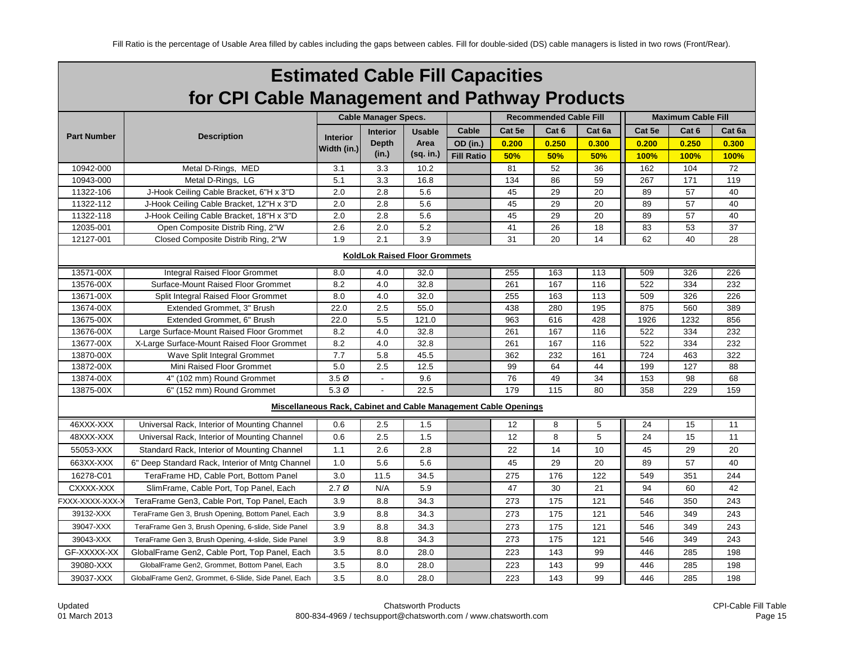|                                      | <b>Estimated Cable Fill Capacities</b>                          |                  |                             |               |                   |                               |                  |        |        |                           |        |  |  |
|--------------------------------------|-----------------------------------------------------------------|------------------|-----------------------------|---------------|-------------------|-------------------------------|------------------|--------|--------|---------------------------|--------|--|--|
|                                      | for CPI Cable Management and Pathway Products                   |                  |                             |               |                   |                               |                  |        |        |                           |        |  |  |
|                                      |                                                                 |                  | <b>Cable Manager Specs.</b> |               |                   | <b>Recommended Cable Fill</b> |                  |        |        | <b>Maximum Cable Fill</b> |        |  |  |
|                                      |                                                                 |                  | <b>Interior</b>             | <b>Usable</b> | Cable             | Cat 5e                        | Cat <sub>6</sub> | Cat 6a | Cat 5e | Cat <sub>6</sub>          | Cat 6a |  |  |
| <b>Part Number</b>                   | <b>Description</b>                                              | <b>Interior</b>  | <b>Depth</b>                | Area          | OD (in.)          | 0.200                         | 0.250            | 0.300  | 0.200  | 0.250                     | 0.300  |  |  |
|                                      |                                                                 | Width (in.)      | (in.)                       | (sq. in.)     | <b>Fill Ratio</b> | 50%                           | 50%              | 50%    | 100%   | 100%                      | 100%   |  |  |
| 10942-000                            | Metal D-Rings, MED                                              | 3.1              | 3.3                         | 10.2          |                   | 81                            | 52               | 36     | 162    | 104                       | 72     |  |  |
| 10943-000                            | Metal D-Rings, LG                                               | 5.1              | 3.3                         | 16.8          |                   | 134                           | 86               | 59     | 267    | 171                       | 119    |  |  |
| 11322-106                            | J-Hook Ceiling Cable Bracket, 6"H x 3"D                         | 2.0              | 2.8                         | 5.6           |                   | 45                            | 29               | 20     | 89     | 57                        | 40     |  |  |
| 11322-112                            | J-Hook Ceiling Cable Bracket, 12"H x 3"D                        | 2.0              | 2.8                         | 5.6           |                   | 45                            | 29               | 20     | 89     | 57                        | 40     |  |  |
| 11322-118                            | J-Hook Ceiling Cable Bracket, 18"H x 3"D                        | 2.0              | 2.8                         | 5.6           |                   | 45                            | 29               | 20     | 89     | 57                        | 40     |  |  |
| 12035-001                            | Open Composite Distrib Ring, 2"W                                | 2.6              | 2.0                         | 5.2           |                   | 41                            | 26               | 18     | 83     | 53                        | 37     |  |  |
| 12127-001                            | Closed Composite Distrib Ring, 2"W                              | 1.9              | 2.1                         | 3.9           |                   | 31                            | 20               | 14     | 62     | 40                        | 28     |  |  |
| <b>KoldLok Raised Floor Grommets</b> |                                                                 |                  |                             |               |                   |                               |                  |        |        |                           |        |  |  |
| 13571-00X                            | <b>Integral Raised Floor Grommet</b>                            | 8.0              | 4.0                         | 32.0          |                   | 255                           | 163              | 113    | 509    | 326                       | 226    |  |  |
| 13576-00X                            | Surface-Mount Raised Floor Grommet                              | 8.2              | 4.0                         | 32.8          |                   | 261                           | 167              | 116    | 522    | 334                       | 232    |  |  |
| 13671-00X                            | Split Integral Raised Floor Grommet                             | 8.0              | 4.0                         | 32.0          |                   | 255                           | 163              | 113    | 509    | 326                       | 226    |  |  |
| 13674-00X                            | Extended Grommet, 3" Brush                                      | 22.0             | 2.5                         | 55.0          |                   | 438                           | 280              | 195    | 875    | 560                       | 389    |  |  |
| 13675-00X                            | Extended Grommet, 6" Brush                                      | 22.0             | 5.5                         | 121.0         |                   | 963                           | 616              | 428    | 1926   | 1232                      | 856    |  |  |
| 13676-00X                            | Large Surface-Mount Raised Floor Grommet                        | 8.2              | 4.0                         | 32.8          |                   | 261                           | 167              | 116    | 522    | 334                       | 232    |  |  |
| 13677-00X                            | X-Large Surface-Mount Raised Floor Grommet                      | 8.2              | 4.0                         | 32.8          |                   | 261                           | 167              | 116    | 522    | 334                       | 232    |  |  |
| 13870-00X                            | Wave Split Integral Grommet                                     | 7.7              | 5.8                         | 45.5          |                   | 362                           | 232              | 161    | 724    | 463                       | 322    |  |  |
| 13872-00X                            | Mini Raised Floor Grommet                                       | 5.0              | 2.5                         | 12.5          |                   | 99                            | 64               | 44     | 199    | 127                       | 88     |  |  |
| 13874-00X                            | 4" (102 mm) Round Grommet                                       | 3.5 <sub>Ø</sub> | $\overline{a}$              | 9.6           |                   | 76                            | 49               | 34     | 153    | 98                        | 68     |  |  |
| 13875-00X                            | 6" (152 mm) Round Grommet                                       | $5.3\emptyset$   |                             | 22.5          |                   | 179                           | 115              | 80     | 358    | 229                       | 159    |  |  |
|                                      | Miscellaneous Rack, Cabinet and Cable Management Cable Openings |                  |                             |               |                   |                               |                  |        |        |                           |        |  |  |
| 46XXX-XXX                            | Universal Rack, Interior of Mounting Channel                    | 0.6              | 2.5                         | 1.5           |                   | 12                            | 8                | 5      | 24     | 15                        | 11     |  |  |
| 48XXX-XXX                            | Universal Rack, Interior of Mounting Channel                    | 0.6              | 2.5                         | 1.5           |                   | 12                            | 8                | 5      | 24     | 15                        | 11     |  |  |
| 55053-XXX                            | Standard Rack, Interior of Mounting Channel                     | 1.1              | 2.6                         | 2.8           |                   | 22                            | 14               | 10     | 45     | 29                        | 20     |  |  |
| 663XX-XXX                            | 6" Deep Standard Rack, Interior of Mntg Channel                 | 1.0              | 5.6                         | 5.6           |                   | 45                            | 29               | 20     | 89     | 57                        | 40     |  |  |
| 16278-C01                            | TeraFrame HD, Cable Port, Bottom Panel                          | 3.0              | 11.5                        | 34.5          |                   | 275                           | 176              | 122    | 549    | 351                       | 244    |  |  |
| CXXXX-XXX                            | SlimFrame, Cable Port, Top Panel, Each                          | 2.7 <sub>Ø</sub> | N/A                         | 5.9           |                   | 47                            | 30               | 21     | 94     | 60                        | 42     |  |  |
| FXXX-XXXX-XXX-                       | TeraFrame Gen3, Cable Port, Top Panel, Each                     | 3.9              | 8.8                         | 34.3          |                   | 273                           | 175              | 121    | 546    | 350                       | 243    |  |  |
| 39132-XXX                            | TeraFrame Gen 3, Brush Opening, Bottom Panel, Each              | 3.9              | 8.8                         | 34.3          |                   | 273                           | 175              | 121    | 546    | 349                       | 243    |  |  |
| 39047-XXX                            | TeraFrame Gen 3, Brush Opening, 6-slide, Side Panel             | 3.9              | 8.8                         | 34.3          |                   | 273                           | 175              | 121    | 546    | 349                       | 243    |  |  |
| 39043-XXX                            | TeraFrame Gen 3, Brush Opening, 4-slide, Side Panel             | 3.9              | 8.8                         | 34.3          |                   | 273                           | 175              | 121    | 546    | 349                       | 243    |  |  |
| GF-XXXXX-XX                          |                                                                 | 3.5              | 8.0                         | 28.0          |                   | 223                           | 143              | 99     | 446    | 285                       | 198    |  |  |
|                                      | GlobalFrame Gen2, Cable Port, Top Panel, Each                   |                  |                             |               |                   |                               |                  |        |        |                           |        |  |  |
| 39080-XXX                            | GlobalFrame Gen2, Grommet, Bottom Panel, Each                   | 3.5              | 8.0                         | 28.0          |                   | 223                           | 143              | 99     | 446    | 285                       | 198    |  |  |
| 39037-XXX                            | GlobalFrame Gen2. Grommet. 6-Slide. Side Panel. Each            | 3.5              | 8.0                         | 28.0          |                   | 223                           | 143              | 99     | 446    | 285                       | 198    |  |  |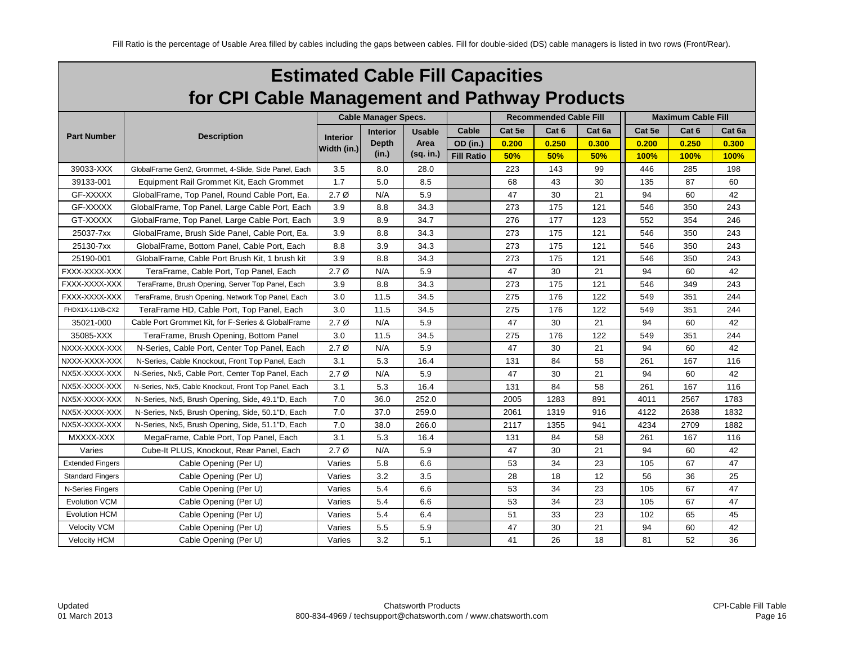| <b>Estimated Cable Fill Capacities</b>        |
|-----------------------------------------------|
| for CPI Cable Management and Pathway Products |

|                         |                                                      |                  | <b>Cable Manager Specs.</b> |               |                   |        | <b>Recommended Cable Fill</b> |        |        | <b>Maximum Cable Fill</b> |        |
|-------------------------|------------------------------------------------------|------------------|-----------------------------|---------------|-------------------|--------|-------------------------------|--------|--------|---------------------------|--------|
|                         |                                                      |                  | <b>Interior</b>             | <b>Usable</b> | Cable             | Cat 5e | Cat 6                         | Cat 6a | Cat 5e | Cat 6                     | Cat 6a |
| <b>Part Number</b>      | <b>Description</b>                                   | <b>Interior</b>  | <b>Depth</b>                | Area          | OD (in.)          | 0.200  | 0.250                         | 0.300  | 0.200  | 0.250                     | 0.300  |
|                         |                                                      | Width (in.)      | (in.)                       | $(sq.$ in.)   | <b>Fill Ratio</b> | 50%    | 50%                           | 50%    | 100%   | 100%                      | 100%   |
| 39033-XXX               | GlobalFrame Gen2, Grommet, 4-Slide, Side Panel, Each | 3.5              | 8.0                         | 28.0          |                   | 223    | 143                           | 99     | 446    | 285                       | 198    |
| 39133-001               | Equipment Rail Grommet Kit, Each Grommet             | 1.7              | 5.0                         | 8.5           |                   | 68     | 43                            | 30     | 135    | 87                        | 60     |
| GF-XXXXX                | GlobalFrame, Top Panel, Round Cable Port, Ea.        | $2.7\emptyset$   | N/A                         | 5.9           |                   | 47     | 30                            | 21     | 94     | 60                        | 42     |
| GF-XXXXX                | GlobalFrame, Top Panel, Large Cable Port, Each       | 3.9              | 8.8                         | 34.3          |                   | 273    | 175                           | 121    | 546    | 350                       | 243    |
| GT-XXXXX                | GlobalFrame, Top Panel, Large Cable Port, Each       | 3.9              | 8.9                         | 34.7          |                   | 276    | 177                           | 123    | 552    | 354                       | 246    |
| 25037-7xx               | GlobalFrame, Brush Side Panel, Cable Port, Ea.       | 3.9              | 8.8                         | 34.3          |                   | 273    | 175                           | 121    | 546    | 350                       | 243    |
| 25130-7xx               | GlobalFrame, Bottom Panel, Cable Port, Each          | 8.8              | 3.9                         | 34.3          |                   | 273    | 175                           | 121    | 546    | 350                       | 243    |
| 25190-001               | GlobalFrame, Cable Port Brush Kit, 1 brush kit       | 3.9              | 8.8                         | 34.3          |                   | 273    | 175                           | 121    | 546    | 350                       | 243    |
| FXXX-XXXX-XXX           | TeraFrame, Cable Port, Top Panel, Each               | 2.7 <sub>Ø</sub> | N/A                         | 5.9           |                   | 47     | 30                            | 21     | 94     | 60                        | 42     |
| FXXX-XXXX-XXX           | TeraFrame, Brush Opening, Server Top Panel, Each     | 3.9              | 8.8                         | 34.3          |                   | 273    | 175                           | 121    | 546    | 349                       | 243    |
| FXXX-XXXX-XXX           | TeraFrame, Brush Opening, Network Top Panel, Each    | 3.0              | 11.5                        | 34.5          |                   | 275    | 176                           | 122    | 549    | 351                       | 244    |
| FHDX1X-11XB-CX2         | TeraFrame HD, Cable Port, Top Panel, Each            | 3.0              | 11.5                        | 34.5          |                   | 275    | 176                           | 122    | 549    | 351                       | 244    |
| 35021-000               | Cable Port Grommet Kit, for F-Series & GlobalFrame   | 2.7 <sub>Ø</sub> | N/A                         | 5.9           |                   | 47     | 30                            | 21     | 94     | 60                        | 42     |
| 35085-XXX               | TeraFrame, Brush Opening, Bottom Panel               | 3.0              | 11.5                        | 34.5          |                   | 275    | 176                           | 122    | 549    | 351                       | 244    |
| NXXX-XXXX-XXX           | N-Series, Cable Port, Center Top Panel, Each         | 2.7 <sub>Ø</sub> | N/A                         | 5.9           |                   | 47     | 30                            | 21     | 94     | 60                        | 42     |
| NXXX-XXXX-XXX           | N-Series, Cable Knockout, Front Top Panel, Each      | 3.1              | 5.3                         | 16.4          |                   | 131    | 84                            | 58     | 261    | 167                       | 116    |
| NX5X-XXXX-XXX           | N-Series, Nx5, Cable Port, Center Top Panel, Each    | 2.7 <sub>Ø</sub> | N/A                         | 5.9           |                   | 47     | 30                            | 21     | 94     | 60                        | 42     |
| NX5X-XXXX-XXX           | N-Series, Nx5, Cable Knockout, Front Top Panel, Each | 3.1              | 5.3                         | 16.4          |                   | 131    | 84                            | 58     | 261    | 167                       | 116    |
| NX5X-XXXX-XXX           | N-Series, Nx5, Brush Opening, Side, 49.1"D, Each     | 7.0              | 36.0                        | 252.0         |                   | 2005   | 1283                          | 891    | 4011   | 2567                      | 1783   |
| NX5X-XXXX-XXX           | N-Series, Nx5, Brush Opening, Side, 50.1"D, Each     | 7.0              | 37.0                        | 259.0         |                   | 2061   | 1319                          | 916    | 4122   | 2638                      | 1832   |
| NX5X-XXXX-XXX           | N-Series, Nx5, Brush Opening, Side, 51.1"D, Each     | 7.0              | 38.0                        | 266.0         |                   | 2117   | 1355                          | 941    | 4234   | 2709                      | 1882   |
| MXXXX-XXX               | MegaFrame, Cable Port, Top Panel, Each               | 3.1              | 5.3                         | 16.4          |                   | 131    | 84                            | 58     | 261    | 167                       | 116    |
| Varies                  | Cube-It PLUS, Knockout, Rear Panel, Each             | $2.7\emptyset$   | N/A                         | 5.9           |                   | 47     | 30                            | 21     | 94     | 60                        | 42     |
| <b>Extended Fingers</b> | Cable Opening (Per U)                                | Varies           | 5.8                         | 6.6           |                   | 53     | 34                            | 23     | 105    | 67                        | 47     |
| <b>Standard Fingers</b> | Cable Opening (Per U)                                | Varies           | 3.2                         | 3.5           |                   | 28     | 18                            | 12     | 56     | 36                        | 25     |
| N-Series Fingers        | Cable Opening (Per U)                                | Varies           | 5.4                         | 6.6           |                   | 53     | 34                            | 23     | 105    | 67                        | 47     |
| <b>Evolution VCM</b>    | Cable Opening (Per U)                                | Varies           | 5.4                         | 6.6           |                   | 53     | 34                            | 23     | 105    | 67                        | 47     |
| <b>Evolution HCM</b>    | Cable Opening (Per U)                                | Varies           | 5.4                         | 6.4           |                   | 51     | 33                            | 23     | 102    | 65                        | 45     |
| Velocity VCM            | Cable Opening (Per U)                                | Varies           | 5.5                         | 5.9           |                   | 47     | 30                            | 21     | 94     | 60                        | 42     |
| <b>Velocity HCM</b>     | Cable Opening (Per U)                                | Varies           | 3.2                         | 5.1           |                   | 41     | 26                            | 18     | 81     | 52                        | 36     |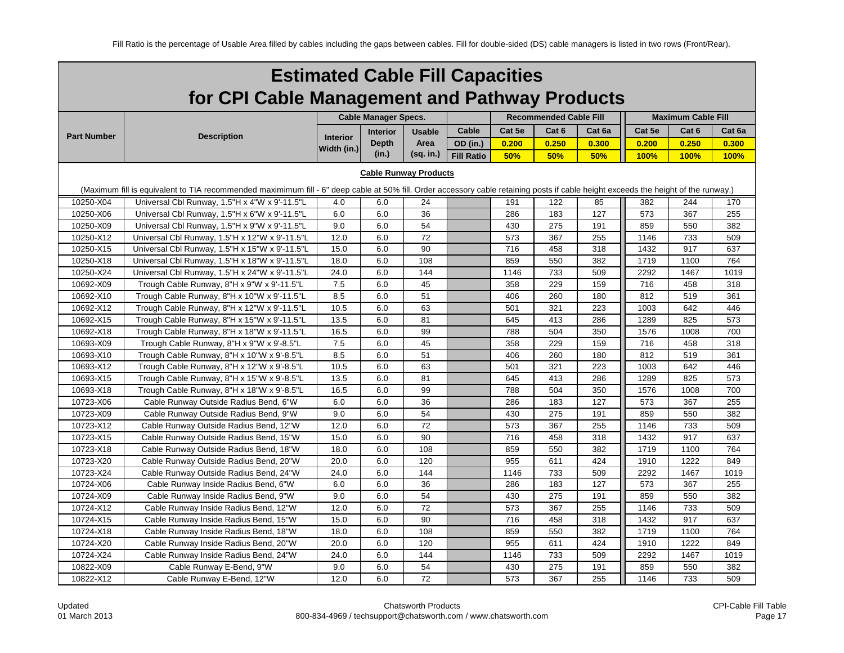|                                                                                                                                                                                     | <b>Estimated Cable Fill Capacities</b>                                                                                  |                 |                             |               |                   |        |                               |        |        |                           |        |  |  |
|-------------------------------------------------------------------------------------------------------------------------------------------------------------------------------------|-------------------------------------------------------------------------------------------------------------------------|-----------------|-----------------------------|---------------|-------------------|--------|-------------------------------|--------|--------|---------------------------|--------|--|--|
|                                                                                                                                                                                     | for CPI Cable Management and Pathway Products                                                                           |                 |                             |               |                   |        |                               |        |        |                           |        |  |  |
|                                                                                                                                                                                     |                                                                                                                         |                 | <b>Cable Manager Specs.</b> |               |                   |        | <b>Recommended Cable Fill</b> |        |        | <b>Maximum Cable Fill</b> |        |  |  |
|                                                                                                                                                                                     |                                                                                                                         |                 | <b>Interior</b>             | <b>Usable</b> | Cable             | Cat 5e | Cat 6                         | Cat 6a | Cat 5e | Cat 6                     | Cat 6a |  |  |
| <b>Part Number</b>                                                                                                                                                                  | <b>Description</b>                                                                                                      | <b>Interior</b> | <b>Depth</b>                | Area          | OD (in.)          | 0.200  | 0.250                         | 0.300  | 0.200  | 0.250                     | 0.300  |  |  |
|                                                                                                                                                                                     |                                                                                                                         | Width (in.)     | (in.)                       | (sq. in.)     | <b>Fill Ratio</b> | 50%    | 50%                           | 50%    | 100%   | <b>100%</b>               | 100%   |  |  |
| <b>Cable Runway Products</b>                                                                                                                                                        |                                                                                                                         |                 |                             |               |                   |        |                               |        |        |                           |        |  |  |
| (Maximum fill is equivalent to TIA recommended maximimum fill - 6" deep cable at 50% fill. Order accessory cable retaining posts if cable height exceeds the height of the runway.) |                                                                                                                         |                 |                             |               |                   |        |                               |        |        |                           |        |  |  |
|                                                                                                                                                                                     | 10250-X04<br>Universal Cbl Runway, 1.5"H x 4"W x 9'-11.5"L<br>6.0<br>24<br>191<br>122<br>85<br>382<br>244<br>170<br>4.0 |                 |                             |               |                   |        |                               |        |        |                           |        |  |  |
| 10250-X06                                                                                                                                                                           | Universal Cbl Runway, 1.5"H x 6"W x 9'-11.5"L                                                                           | 6.0             | 6.0                         | 36            |                   | 286    | 183                           | 127    | 573    | 367                       | 255    |  |  |
| 10250-X09                                                                                                                                                                           | Universal Cbl Runway, 1.5"H x 9"W x 9'-11.5"L                                                                           | 9.0             | 6.0                         | 54            |                   | 430    | 275                           | 191    | 859    | 550                       | 382    |  |  |
| 10250-X12                                                                                                                                                                           | Universal Cbl Runway, 1.5"H x 12"W x 9'-11.5"L                                                                          | 12.0            | 6.0                         | 72            |                   | 573    | 367                           | 255    | 1146   | 733                       | 509    |  |  |
| 10250-X15                                                                                                                                                                           | Universal Cbl Runway, 1.5"H x 15"W x 9'-11.5"L                                                                          | 15.0            | 6.0                         | 90            |                   | 716    | 458                           | 318    | 1432   | 917                       | 637    |  |  |
| 10250-X18                                                                                                                                                                           | Universal Cbl Runway, 1.5"H x 18"W x 9'-11.5"L                                                                          | 18.0            | 6.0                         | 108           |                   | 859    | 550                           | 382    | 1719   | 1100                      | 764    |  |  |
| 10250-X24                                                                                                                                                                           | Universal Cbl Runway, 1.5"H x 24"W x 9'-11.5"L                                                                          | 24.0            | 6.0                         | 144           |                   | 1146   | 733                           | 509    | 2292   | 1467                      | 1019   |  |  |
| 10692-X09                                                                                                                                                                           | Trough Cable Runway, 8"H x 9"W x 9'-11.5"L                                                                              | 7.5             | 6.0                         | 45            |                   | 358    | 229                           | 159    | 716    | 458                       | 318    |  |  |
| 10692-X10                                                                                                                                                                           | Trough Cable Runway, 8"H x 10"W x 9'-11.5"L                                                                             | 8.5             | 6.0                         | 51            |                   | 406    | 260                           | 180    | 812    | 519                       | 361    |  |  |
| 10692-X12                                                                                                                                                                           | Trough Cable Runway, 8"H x 12"W x 9'-11.5"L                                                                             | 10.5            | 6.0                         | 63            |                   | 501    | 321                           | 223    | 1003   | 642                       | 446    |  |  |
| 10692-X15                                                                                                                                                                           | Trough Cable Runway, 8"H x 15"W x 9'-11.5"L                                                                             | 13.5            | 6.0                         | 81            |                   | 645    | 413                           | 286    | 1289   | 825                       | 573    |  |  |
| 10692-X18                                                                                                                                                                           | Trough Cable Runway, 8"H x 18"W x 9'-11.5"L                                                                             | 16.5            | 6.0                         | 99            |                   | 788    | 504                           | 350    | 1576   | 1008                      | 700    |  |  |
| 10693-X09                                                                                                                                                                           | Trough Cable Runway, 8"H x 9"W x 9'-8.5"L                                                                               | 7.5             | 6.0                         | 45            |                   | 358    | 229                           | 159    | 716    | 458                       | 318    |  |  |
| 10693-X10                                                                                                                                                                           | Trough Cable Runway, 8"H x 10"W x 9'-8.5"L                                                                              | 8.5             | 6.0                         | 51            |                   | 406    | 260                           | 180    | 812    | 519                       | 361    |  |  |
| 10693-X12                                                                                                                                                                           | Trough Cable Runway, 8"H x 12"W x 9'-8.5"L                                                                              | 10.5            | 6.0                         | 63            |                   | 501    | 321                           | 223    | 1003   | 642                       | 446    |  |  |
| 10693-X15                                                                                                                                                                           | Trough Cable Runway, 8"H x 15"W x 9'-8.5"L                                                                              | 13.5            | 6.0                         | 81            |                   | 645    | 413                           | 286    | 1289   | 825                       | 573    |  |  |
| 10693-X18                                                                                                                                                                           | Trough Cable Runway, 8"H x 18"W x 9'-8.5"L                                                                              | 16.5            | 6.0                         | 99            |                   | 788    | 504                           | 350    | 1576   | 1008                      | 700    |  |  |
| 10723-X06                                                                                                                                                                           | Cable Runway Outside Radius Bend, 6"W                                                                                   | 6.0             | 6.0                         | 36            |                   | 286    | 183                           | 127    | 573    | 367                       | 255    |  |  |
| 10723-X09                                                                                                                                                                           | Cable Runway Outside Radius Bend, 9"W                                                                                   | 9.0             | 6.0                         | 54            |                   | 430    | 275                           | 191    | 859    | 550                       | 382    |  |  |
| 10723-X12                                                                                                                                                                           | Cable Runway Outside Radius Bend, 12"W                                                                                  | 12.0            | 6.0                         | 72            |                   | 573    | 367                           | 255    | 1146   | 733                       | 509    |  |  |
| 10723-X15                                                                                                                                                                           | Cable Runway Outside Radius Bend, 15"W                                                                                  | 15.0            | 6.0                         | 90            |                   | 716    | 458                           | 318    | 1432   | 917                       | 637    |  |  |
| 10723-X18                                                                                                                                                                           | Cable Runway Outside Radius Bend, 18"W                                                                                  | 18.0            | 6.0                         | 108           |                   | 859    | 550                           | 382    | 1719   | 1100                      | 764    |  |  |
| 10723-X20                                                                                                                                                                           | Cable Runway Outside Radius Bend, 20"W                                                                                  | 20.0            | 6.0                         | 120           |                   | 955    | 611                           | 424    | 1910   | 1222                      | 849    |  |  |
| 10723-X24                                                                                                                                                                           | Cable Runway Outside Radius Bend, 24"W                                                                                  | 24.0            | 6.0                         | 144           |                   | 1146   | 733                           | 509    | 2292   | 1467                      | 1019   |  |  |
| 10724-X06                                                                                                                                                                           | Cable Runway Inside Radius Bend, 6"W                                                                                    | 6.0             | 6.0                         | 36            |                   | 286    | 183                           | 127    | 573    | 367                       | 255    |  |  |
| 10724-X09                                                                                                                                                                           | Cable Runway Inside Radius Bend, 9"W                                                                                    | 9.0             | 6.0                         | 54            |                   | 430    | 275                           | 191    | 859    | 550                       | 382    |  |  |
| 10724-X12                                                                                                                                                                           | Cable Runway Inside Radius Bend, 12"W                                                                                   | 12.0            | 6.0                         | 72            |                   | 573    | 367                           | 255    | 1146   | 733                       | 509    |  |  |
| 10724-X15                                                                                                                                                                           | Cable Runway Inside Radius Bend, 15"W                                                                                   | 15.0            | 6.0                         | 90            |                   | 716    | 458                           | 318    | 1432   | 917                       | 637    |  |  |
| 10724-X18                                                                                                                                                                           | Cable Runway Inside Radius Bend, 18"W                                                                                   | 18.0            | 6.0                         | 108           |                   | 859    | 550                           | 382    | 1719   | 1100                      | 764    |  |  |
| 10724-X20                                                                                                                                                                           | Cable Runway Inside Radius Bend, 20"W                                                                                   | 20.0            | 6.0                         | 120           |                   | 955    | 611                           | 424    | 1910   | 1222                      | 849    |  |  |
| 10724-X24                                                                                                                                                                           | Cable Runway Inside Radius Bend, 24"W                                                                                   | 24.0            | 6.0                         | 144           |                   | 1146   | 733                           | 509    | 2292   | 1467                      | 1019   |  |  |
| 10822-X09                                                                                                                                                                           | Cable Runway E-Bend, 9"W                                                                                                | 9.0             | 6.0                         | 54            |                   | 430    | 275                           | 191    | 859    | 550                       | 382    |  |  |
| 10822-X12                                                                                                                                                                           | Cable Runway E-Bend, 12"W                                                                                               | 12.0            | 6.0                         | 72            |                   | 573    | 367                           | 255    | 1146   | 733                       | 509    |  |  |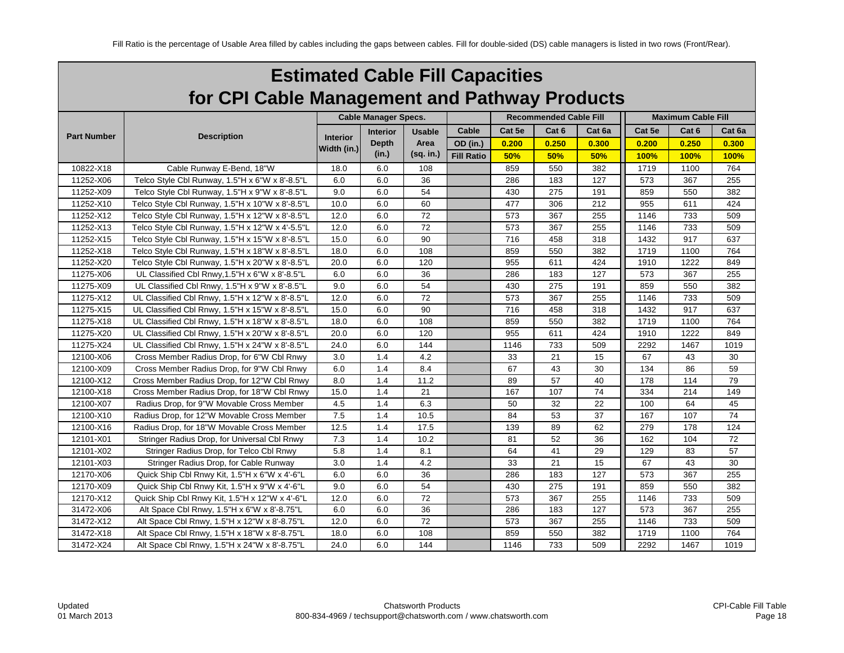| <b>Estimated Cable Fill Capacities</b>        |
|-----------------------------------------------|
| for CPI Cable Management and Pathway Products |

|                    |                                                 |                 | <b>Cable Manager Specs.</b> |               |                   |        | <b>Recommended Cable Fill</b> |        | <b>Maximum Cable Fill</b> |       |        |  |
|--------------------|-------------------------------------------------|-----------------|-----------------------------|---------------|-------------------|--------|-------------------------------|--------|---------------------------|-------|--------|--|
|                    |                                                 |                 | Interior                    | <b>Usable</b> | Cable             | Cat 5e | Cat 6                         | Cat 6a | Cat 5e                    | Cat 6 | Cat 6a |  |
| <b>Part Number</b> | <b>Description</b>                              | <b>Interior</b> | <b>Depth</b>                | Area          | OD (in.)          | 0.200  | 0.250                         | 0.300  | 0.200                     | 0.250 | 0.300  |  |
|                    |                                                 | Width (in.)     | (in.)                       | $(sq.$ in.)   | <b>Fill Ratio</b> | 50%    | 50%                           | 50%    | 100%                      | 100%  | 100%   |  |
| 10822-X18          | Cable Runway E-Bend, 18"W                       | 18.0            | 6.0                         | 108           |                   | 859    | 550                           | 382    | 1719                      | 1100  | 764    |  |
| 11252-X06          | Telco Style Cbl Runway, 1.5"H x 6"W x 8'-8.5"L  | 6.0             | 6.0                         | 36            |                   | 286    | 183                           | 127    | 573                       | 367   | 255    |  |
| 11252-X09          | Telco Style Cbl Runway, 1.5"H x 9"W x 8'-8.5"L  | 9.0             | 6.0                         | 54            |                   | 430    | 275                           | 191    | 859                       | 550   | 382    |  |
| 11252-X10          | Telco Style Cbl Runway, 1.5"H x 10"W x 8'-8.5"L | 10.0            | 6.0                         | 60            |                   | 477    | 306                           | 212    | 955                       | 611   | 424    |  |
| 11252-X12          | Telco Style Cbl Runway, 1.5"H x 12"W x 8'-8.5"L | 12.0            | 6.0                         | 72            |                   | 573    | 367                           | 255    | 1146                      | 733   | 509    |  |
| 11252-X13          | Telco Style Cbl Runway, 1.5"H x 12"W x 4'-5.5"L | 12.0            | 6.0                         | 72            |                   | 573    | 367                           | 255    | 1146                      | 733   | 509    |  |
| 11252-X15          | Telco Style Cbl Runway, 1.5"H x 15"W x 8'-8.5"L | 15.0            | 6.0                         | 90            |                   | 716    | 458                           | 318    | 1432                      | 917   | 637    |  |
| 11252-X18          | Telco Style Cbl Runway, 1.5"H x 18"W x 8'-8.5"L | 18.0            | 6.0                         | 108           |                   | 859    | 550                           | 382    | 1719                      | 1100  | 764    |  |
| 11252-X20          | Telco Style Cbl Runway, 1.5"H x 20"W x 8'-8.5"L | 20.0            | 6.0                         | 120           |                   | 955    | 611                           | 424    | 1910                      | 1222  | 849    |  |
| 11275-X06          | UL Classified Cbl Rnwy, 1.5"H x 6"W x 8'-8.5"L  | 6.0             | 6.0                         | 36            |                   | 286    | 183                           | 127    | 573                       | 367   | 255    |  |
| 11275-X09          | UL Classified Cbl Rnwy, 1.5"H x 9"W x 8'-8.5"L  | 9.0             | 6.0                         | 54            |                   | 430    | 275                           | 191    | 859                       | 550   | 382    |  |
| 11275-X12          | UL Classified Cbl Rnwy, 1.5"H x 12"W x 8'-8.5"L | 12.0            | 6.0                         | 72            |                   | 573    | 367                           | 255    | 1146                      | 733   | 509    |  |
| 11275-X15          | UL Classified Cbl Rnwy, 1.5"H x 15"W x 8'-8.5"L | 15.0            | 6.0                         | 90            |                   | 716    | 458                           | 318    | 1432                      | 917   | 637    |  |
| 11275-X18          | UL Classified Cbl Rnwy, 1.5"H x 18"W x 8'-8.5"L | 18.0            | 6.0                         | 108           |                   | 859    | 550                           | 382    | 1719                      | 1100  | 764    |  |
| 11275-X20          | UL Classified Cbl Rnwy, 1.5"H x 20"W x 8'-8.5"L | 20.0            | 6.0                         | 120           |                   | 955    | 611                           | 424    | 1910                      | 1222  | 849    |  |
| 11275-X24          | UL Classified Cbl Rnwy, 1.5"H x 24"W x 8'-8.5"L | 24.0            | 6.0                         | 144           |                   | 1146   | 733                           | 509    | 2292                      | 1467  | 1019   |  |
| 12100-X06          | Cross Member Radius Drop, for 6"W Cbl Rnwy      | 3.0             | 1.4                         | 4.2           |                   | 33     | 21                            | 15     | 67                        | 43    | 30     |  |
| 12100-X09          | Cross Member Radius Drop, for 9"W Cbl Rnwy      | 6.0             | 1.4                         | 8.4           |                   | 67     | 43                            | 30     | 134                       | 86    | 59     |  |
| 12100-X12          | Cross Member Radius Drop, for 12"W Cbl Rnwy     | 8.0             | 1.4                         | 11.2          |                   | 89     | 57                            | 40     | 178                       | 114   | 79     |  |
| 12100-X18          | Cross Member Radius Drop, for 18"W Cbl Rnwy     | 15.0            | 1.4                         | 21            |                   | 167    | 107                           | 74     | 334                       | 214   | 149    |  |
| 12100-X07          | Radius Drop, for 9"W Movable Cross Member       | 4.5             | 1.4                         | 6.3           |                   | 50     | 32                            | 22     | 100                       | 64    | 45     |  |
| 12100-X10          | Radius Drop, for 12"W Movable Cross Member      | 7.5             | 1.4                         | 10.5          |                   | 84     | 53                            | 37     | 167                       | 107   | 74     |  |
| 12100-X16          | Radius Drop, for 18"W Movable Cross Member      | 12.5            | 1.4                         | 17.5          |                   | 139    | 89                            | 62     | 279                       | 178   | 124    |  |
| 12101-X01          | Stringer Radius Drop, for Universal Cbl Rnwy    | 7.3             | 1.4                         | 10.2          |                   | 81     | 52                            | 36     | 162                       | 104   | 72     |  |
| 12101-X02          | Stringer Radius Drop, for Telco Cbl Rnwy        | 5.8             | 1.4                         | 8.1           |                   | 64     | 41                            | 29     | 129                       | 83    | 57     |  |
| 12101-X03          | Stringer Radius Drop, for Cable Runway          | 3.0             | 1.4                         | 4.2           |                   | 33     | 21                            | 15     | 67                        | 43    | 30     |  |
| 12170-X06          | Quick Ship Cbl Rnwy Kit, 1.5"H x 6"W x 4'-6"L   | 6.0             | 6.0                         | 36            |                   | 286    | 183                           | 127    | 573                       | 367   | 255    |  |
| 12170-X09          | Quick Ship Cbl Rnwy Kit, 1.5"H x 9"W x 4'-6"L   | 9.0             | 6.0                         | 54            |                   | 430    | 275                           | 191    | 859                       | 550   | 382    |  |
| 12170-X12          | Quick Ship Cbl Rnwy Kit, 1.5"H x 12"W x 4'-6"L  | 12.0            | 6.0                         | 72            |                   | 573    | 367                           | 255    | 1146                      | 733   | 509    |  |
| 31472-X06          | Alt Space Cbl Rnwy, 1.5"H x 6"W x 8'-8.75"L     | 6.0             | 6.0                         | 36            |                   | 286    | 183                           | 127    | 573                       | 367   | 255    |  |
| 31472-X12          | Alt Space Cbl Rnwy, 1.5"H x 12"W x 8'-8.75"L    | 12.0            | 6.0                         | 72            |                   | 573    | 367                           | 255    | 1146                      | 733   | 509    |  |
| 31472-X18          | Alt Space Cbl Rnwy, 1.5"H x 18"W x 8'-8.75"L    | 18.0            | 6.0                         | 108           |                   | 859    | 550                           | 382    | 1719                      | 1100  | 764    |  |
| 31472-X24          | Alt Space Cbl Rnwy, 1.5"H x 24"W x 8'-8.75"L    | 24.0            | 6.0                         | 144           |                   | 1146   | 733                           | 509    | 2292                      | 1467  | 1019   |  |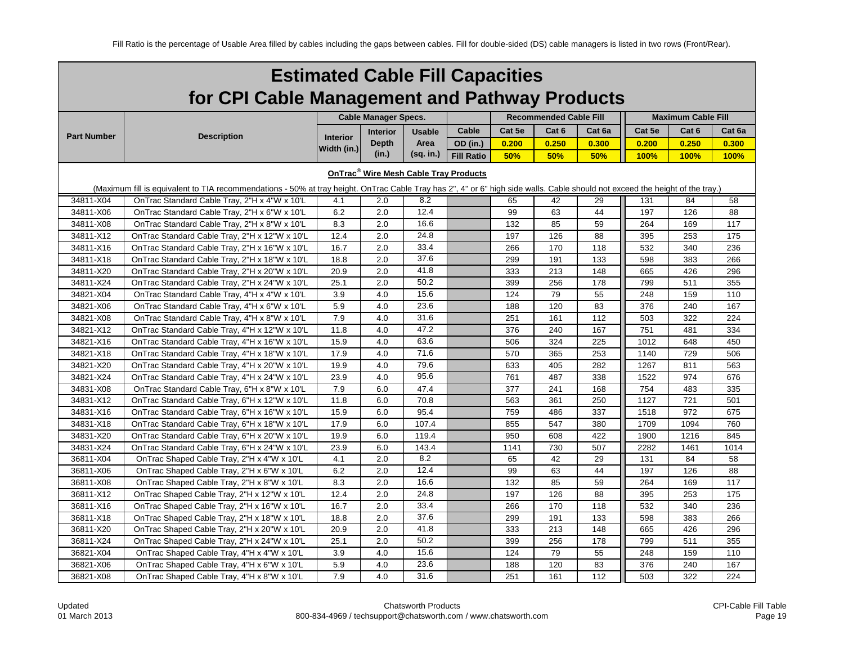|                        | <b>Estimated Cable Fill Capacities</b>                                                                                                                                               |                 |                             |                                  |                   |            |                               |            |                           |             |            |  |  |
|------------------------|--------------------------------------------------------------------------------------------------------------------------------------------------------------------------------------|-----------------|-----------------------------|----------------------------------|-------------------|------------|-------------------------------|------------|---------------------------|-------------|------------|--|--|
|                        | for CPI Cable Management and Pathway Products                                                                                                                                        |                 |                             |                                  |                   |            |                               |            |                           |             |            |  |  |
|                        |                                                                                                                                                                                      |                 | <b>Cable Manager Specs.</b> |                                  |                   |            | <b>Recommended Cable Fill</b> |            | <b>Maximum Cable Fill</b> |             |            |  |  |
|                        |                                                                                                                                                                                      |                 | <b>Interior</b>             | Cable<br>Cat 5e<br><b>Usable</b> | Cat 6<br>Cat 6a   |            | Cat 5e<br>Cat 6<br>Cat 6a     |            |                           |             |            |  |  |
| <b>Part Number</b>     | <b>Description</b>                                                                                                                                                                   | <b>Interior</b> | <b>Depth</b>                | Area                             | <b>OD</b> (in.)   | 0.200      | 0.250                         | 0.300      | 0.200                     | 0.250       | 0.300      |  |  |
|                        |                                                                                                                                                                                      | Width (in.)     | (in.)                       | (sq. in.)                        | <b>Fill Ratio</b> | 50%        | 50%                           | 50%        | 100%                      | <b>100%</b> | 100%       |  |  |
|                        | OnTrac <sup>®</sup> Wire Mesh Cable Tray Products                                                                                                                                    |                 |                             |                                  |                   |            |                               |            |                           |             |            |  |  |
|                        |                                                                                                                                                                                      |                 |                             |                                  |                   |            |                               |            |                           |             |            |  |  |
|                        | (Maximum fill is equivalent to TIA recommendations - 50% at tray height. OnTrac Cable Tray has 2", 4" or 6" high side walls. Cable should not exceed the height of the tray.)<br>8.2 |                 |                             |                                  |                   |            |                               |            |                           |             |            |  |  |
| 34811-X04              | OnTrac Standard Cable Tray, 2"H x 4"W x 10'L                                                                                                                                         | 4.1             | 2.0                         | 12.4                             |                   | 65         | 42                            | 29         | 131                       | 84          | 58         |  |  |
| 34811-X06              | OnTrac Standard Cable Tray, 2"H x 6"W x 10'L                                                                                                                                         | 6.2             | 2.0                         | 16.6                             |                   | 99         | 63                            | 44         | 197                       | 126         | 88         |  |  |
| 34811-X08              | OnTrac Standard Cable Tray, 2"H x 8"W x 10'L                                                                                                                                         | 8.3             | 2.0                         | 24.8                             |                   | 132        | 85<br>126                     | 59         | 264                       | 169         | 117        |  |  |
| 34811-X12              | OnTrac Standard Cable Tray, 2"H x 12"W x 10'L                                                                                                                                        | 12.4            | 2.0<br>2.0                  | 33.4                             |                   | 197        | 170                           | 88         | 395                       | 253         | 175        |  |  |
| 34811-X16              | OnTrac Standard Cable Tray, 2"H x 16"W x 10'L<br>OnTrac Standard Cable Tray, 2"H x 18"W x 10'L                                                                                       | 16.7            | 2.0                         | 37.6                             |                   | 266        | 191                           | 118<br>133 | 532<br>598                | 340<br>383  | 236<br>266 |  |  |
| 34811-X18              |                                                                                                                                                                                      | 18.8            | 2.0                         | 41.8                             |                   | 299        | 213                           |            |                           | 426         |            |  |  |
| 34811-X20<br>34811-X24 | OnTrac Standard Cable Tray, 2"H x 20"W x 10'L                                                                                                                                        | 20.9<br>25.1    | 2.0                         | 50.2                             |                   | 333<br>399 | 256                           | 148<br>178 | 665<br>799                | 511         | 296<br>355 |  |  |
| 34821-X04              | OnTrac Standard Cable Tray, 2"H x 24"W x 10'L                                                                                                                                        | 3.9             | 4.0                         | 15.6                             |                   | 124        | 79                            |            | 248                       |             | 110        |  |  |
| 34821-X06              | OnTrac Standard Cable Tray, 4"H x 4"W x 10'L                                                                                                                                         | 5.9             | 4.0                         | 23.6                             |                   | 188        | 120                           | 55<br>83   | 376                       | 159<br>240  | 167        |  |  |
| 34821-X08              | OnTrac Standard Cable Tray, 4"H x 6"W x 10'L<br>OnTrac Standard Cable Tray, 4"H x 8"W x 10'L                                                                                         | 7.9             | 4.0                         | 31.6                             |                   | 251        | 161                           | 112        | 503                       | 322         | 224        |  |  |
| 34821-X12              | OnTrac Standard Cable Tray, 4"H x 12"W x 10'L                                                                                                                                        | 11.8            | 4.0                         | 47.2                             |                   | 376        | 240                           | 167        | 751                       | 481         | 334        |  |  |
| 34821-X16              |                                                                                                                                                                                      | 15.9            | 4.0                         | 63.6                             |                   | 506        | 324                           | 225        | 1012                      | 648         | 450        |  |  |
| 34821-X18              | OnTrac Standard Cable Tray, 4"H x 16"W x 10'L<br>OnTrac Standard Cable Tray, 4"H x 18"W x 10'L                                                                                       | 17.9            | 4.0                         | 71.6                             |                   | 570        | 365                           | 253        | 1140                      | 729         | 506        |  |  |
| 34821-X20              | OnTrac Standard Cable Tray, 4"H x 20"W x 10'L                                                                                                                                        | 19.9            | 4.0                         | 79.6                             |                   | 633        | 405                           | 282        | 1267                      | 811         | 563        |  |  |
|                        |                                                                                                                                                                                      |                 | 4.0                         | 95.6                             |                   |            | 487                           |            | 1522                      |             |            |  |  |
| 34821-X24<br>34831-X08 | OnTrac Standard Cable Tray, 4"H x 24"W x 10'L<br>OnTrac Standard Cable Tray, 6"H x 8"W x 10'L                                                                                        | 23.9<br>7.9     | 6.0                         | 47.4                             |                   | 761<br>377 | 241                           | 338<br>168 | 754                       | 974<br>483  | 676<br>335 |  |  |
| 34831-X12              | OnTrac Standard Cable Tray, 6"H x 12"W x 10'L                                                                                                                                        | 11.8            | 6.0                         | 70.8                             |                   | 563        | 361                           | 250        | 1127                      | 721         | 501        |  |  |
| 34831-X16              | OnTrac Standard Cable Tray, 6"H x 16"W x 10'L                                                                                                                                        | 15.9            | 6.0                         | 95.4                             |                   | 759        | 486                           | 337        | 1518                      | 972         | 675        |  |  |
| 34831-X18              | OnTrac Standard Cable Tray, 6"H x 18"W x 10'L                                                                                                                                        | 17.9            | 6.0                         | 107.4                            |                   | 855        | 547                           | 380        | 1709                      | 1094        | 760        |  |  |
| 34831-X20              | OnTrac Standard Cable Tray, 6"H x 20"W x 10'L                                                                                                                                        | 19.9            | 6.0                         | 119.4                            |                   | 950        | 608                           | 422        | 1900                      | 1216        | 845        |  |  |
| 34831-X24              | OnTrac Standard Cable Tray, 6"H x 24"W x 10'L                                                                                                                                        | 23.9            | 6.0                         | 143.4                            |                   | 1141       | 730                           | 507        | 2282                      | 1461        | 1014       |  |  |
| 36811-X04              | OnTrac Shaped Cable Tray, 2"H x 4"W x 10'L                                                                                                                                           | 4.1             | 2.0                         | 8.2                              |                   | 65         | 42                            | 29         | 131                       | 84          | 58         |  |  |
| 36811-X06              | OnTrac Shaped Cable Tray, 2"H x 6"W x 10'L                                                                                                                                           | 6.2             | 2.0                         | 12.4                             |                   | 99         | 63                            | 44         | 197                       | 126         | 88         |  |  |
| 36811-X08              | OnTrac Shaped Cable Tray, 2"H x 8"W x 10'L                                                                                                                                           | 8.3             | 2.0                         | 16.6                             |                   | 132        | 85                            | 59         | 264                       | 169         | 117        |  |  |
| 36811-X12              | OnTrac Shaped Cable Tray, 2"H x 12"W x 10'L                                                                                                                                          | 12.4            | 2.0                         | 24.8                             |                   | 197        | 126                           | 88         | 395                       | 253         | 175        |  |  |
| 36811-X16              | OnTrac Shaped Cable Tray, 2"H x 16"W x 10'L                                                                                                                                          | 16.7            | 2.0                         | 33.4                             |                   | 266        | 170                           | 118        | 532                       | 340         | 236        |  |  |
| 36811-X18              | OnTrac Shaped Cable Tray, 2"H x 18"W x 10'L                                                                                                                                          | 18.8            | 2.0                         | 37.6                             |                   | 299        | 191                           | 133        | 598                       | 383         | 266        |  |  |
| 36811-X20              | OnTrac Shaped Cable Tray, 2"H x 20"W x 10'L                                                                                                                                          | 20.9            | 2.0                         | 41.8                             |                   | 333        | 213                           | 148        | 665                       | 426         | 296        |  |  |
| 36811-X24              | OnTrac Shaped Cable Tray, 2"H x 24"W x 10'L                                                                                                                                          | 25.1            | 2.0                         | 50.2                             |                   | 399        | 256                           | 178        | 799                       | 511         | 355        |  |  |
| 36821-X04              | OnTrac Shaped Cable Tray, 4"H x 4"W x 10'L                                                                                                                                           | 3.9             | 4.0                         | 15.6                             |                   | 124        | 79                            | 55         | 248                       | 159         | 110        |  |  |
| 36821-X06              | OnTrac Shaped Cable Tray, 4"H x 6"W x 10'L                                                                                                                                           | 5.9             | 4.0                         | 23.6                             |                   | 188        | 120                           | 83         | 376                       | 240         | 167        |  |  |
| 36821-X08              | OnTrac Shaped Cable Tray, 4"H x 8"W x 10"L                                                                                                                                           | 7.9             | 4.0                         | 31.6                             |                   | 251        | 161                           | 112        | 503                       | 322         | 224        |  |  |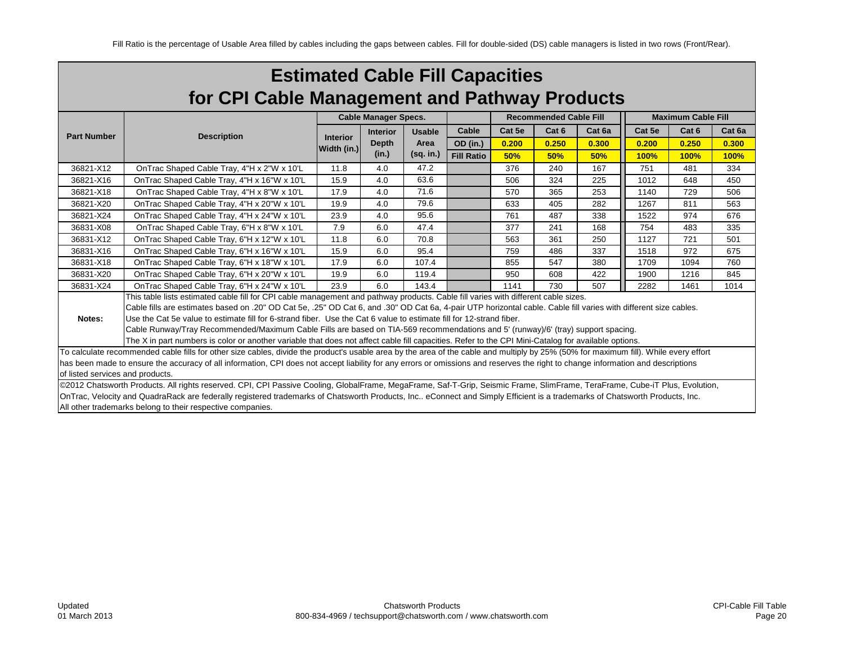| <b>Estimated Cable Fill Capacities</b>        |                                                                                                                                                                                      |                                |                             |               |                   |        |                               |        |        |                           |        |
|-----------------------------------------------|--------------------------------------------------------------------------------------------------------------------------------------------------------------------------------------|--------------------------------|-----------------------------|---------------|-------------------|--------|-------------------------------|--------|--------|---------------------------|--------|
| for CPI Cable Management and Pathway Products |                                                                                                                                                                                      |                                |                             |               |                   |        |                               |        |        |                           |        |
|                                               |                                                                                                                                                                                      |                                | <b>Cable Manager Specs.</b> |               |                   |        | <b>Recommended Cable Fill</b> |        |        | <b>Maximum Cable Fill</b> |        |
| <b>Part Number</b>                            | <b>Description</b>                                                                                                                                                                   |                                | <b>Interior</b>             | <b>Usable</b> | Cable             | Cat 5e | Cat 6                         | Cat 6a | Cat 5e | Cat 6                     | Cat 6a |
|                                               |                                                                                                                                                                                      | <b>Interior</b><br>Width (in.) | <b>Depth</b>                | Area          | OD (in.)          | 0.200  | 0.250                         | 0.300  | 0.200  | 0.250                     | 0.300  |
|                                               |                                                                                                                                                                                      |                                | (in.)                       | $(sq.$ in.)   | <b>Fill Ratio</b> | 50%    | 50%                           | 50%    | 100%   | 100%                      | 100%   |
| 36821-X12                                     | OnTrac Shaped Cable Tray, 4"H x 2"W x 10'L                                                                                                                                           | 11.8                           | 4.0                         | 47.2          |                   | 376    | 240                           | 167    | 751    | 481                       | 334    |
| 36821-X16                                     | OnTrac Shaped Cable Tray, 4"H x 16"W x 10'L                                                                                                                                          | 15.9                           | 4.0                         | 63.6          |                   | 506    | 324                           | 225    | 1012   | 648                       | 450    |
| 36821-X18                                     | On Trac Shaped Cable Tray, 4"H x 8"W x 10"L                                                                                                                                          | 17.9                           | 4.0                         | 71.6          |                   | 570    | 365                           | 253    | 1140   | 729                       | 506    |
| 36821-X20                                     | OnTrac Shaped Cable Tray, 4"H x 20"W x 10'L                                                                                                                                          | 19.9                           | 4.0                         | 79.6          |                   | 633    | 405                           | 282    | 1267   | 811                       | 563    |
| 36821-X24                                     | OnTrac Shaped Cable Tray, 4"H x 24"W x 10'L                                                                                                                                          | 23.9                           | 4.0                         | 95.6          |                   | 761    | 487                           | 338    | 1522   | 974                       | 676    |
| 36831-X08                                     | OnTrac Shaped Cable Tray, 6"H x 8"W x 10"L                                                                                                                                           | 7.9                            | 6.0                         | 47.4          |                   | 377    | 241                           | 168    | 754    | 483                       | 335    |
| 36831-X12                                     | OnTrac Shaped Cable Tray, 6"H x 12"W x 10'L                                                                                                                                          | 11.8                           | 6.0                         | 70.8          |                   | 563    | 361                           | 250    | 1127   | 721                       | 501    |
| 36831-X16                                     | OnTrac Shaped Cable Tray, 6"H x 16"W x 10'L                                                                                                                                          | 15.9                           | 6.0                         | 95.4          |                   | 759    | 486                           | 337    | 1518   | 972                       | 675    |
| 36831-X18                                     | OnTrac Shaped Cable Tray, 6"H x 18"W x 10'L                                                                                                                                          | 17.9                           | 6.0                         | 107.4         |                   | 855    | 547                           | 380    | 1709   | 1094                      | 760    |
| 36831-X20                                     | OnTrac Shaped Cable Tray, 6"H x 20"W x 10'L                                                                                                                                          | 19.9                           | 6.0                         | 119.4         |                   | 950    | 608                           | 422    | 1900   | 1216                      | 845    |
| 36831-X24                                     | OnTrac Shaped Cable Tray, 6"H x 24"W x 10'L                                                                                                                                          | 23.9                           | 6.0                         | 143.4         |                   | 1141   | 730                           | 507    | 2282   | 1461                      | 1014   |
|                                               | This table lists estimated cable fill for CPI cable management and pathway products. Cable fill varies with different cable sizes.                                                   |                                |                             |               |                   |        |                               |        |        |                           |        |
|                                               | Cable fills are estimates based on .20" OD Cat 5e, .25" OD Cat 6, and .30" OD Cat 6a, 4-pair UTP horizontal cable. Cable fill varies with different size cables.                     |                                |                             |               |                   |        |                               |        |        |                           |        |
| Notes:                                        | Use the Cat 5e value to estimate fill for 6-strand fiber. Use the Cat 6 value to estimate fill for 12-strand fiber.                                                                  |                                |                             |               |                   |        |                               |        |        |                           |        |
|                                               | Cable Runway/Tray Recommended/Maximum Cable Fills are based on TIA-569 recommendations and 5' (runway)/6' (tray) support spacing.                                                    |                                |                             |               |                   |        |                               |        |        |                           |        |
|                                               | The X in part numbers is color or another variable that does not affect cable fill capacities. Refer to the CPI Mini-Catalog for available options.                                  |                                |                             |               |                   |        |                               |        |        |                           |        |
|                                               | To calculate recommended cable fills for other size cables, divide the product's usable area by the area of the cable and multiply by 25% (50% for maximum fill). While every effort |                                |                             |               |                   |        |                               |        |        |                           |        |
| of listed services and products.              | has been made to ensure the accuracy of all information, CPI does not accept liability for any errors or omissions and reserves the right to change information and descriptions     |                                |                             |               |                   |        |                               |        |        |                           |        |
|                                               | @2012 Chatsworth Products. All rights reserved. CPI, CPI Passive Cooling, GlobalFrame, MegaFrame, Saf-T-Grip, Seismic Frame, SlimFrame, TeraFrame, Cube-iT Plus, Evolution,          |                                |                             |               |                   |        |                               |        |        |                           |        |
|                                               | OnTrac, Velocity and QuadraRack are federally registered trademarks of Chatsworth Products, Inc eConnect and Simply Efficient is a trademarks of Chatsworth Products, Inc.           |                                |                             |               |                   |        |                               |        |        |                           |        |
|                                               | All other trademarks belong to their respective companies.                                                                                                                           |                                |                             |               |                   |        |                               |        |        |                           |        |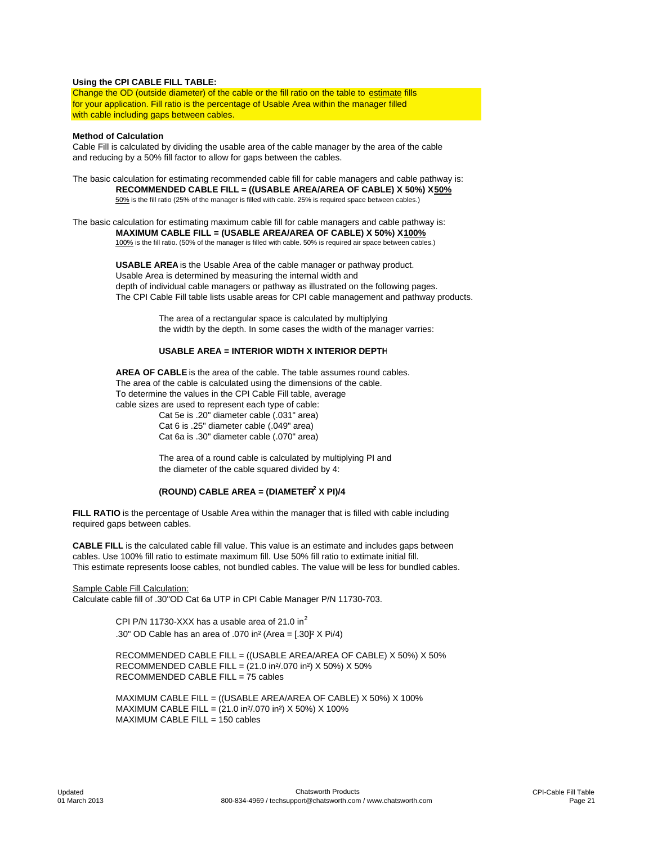#### **Using the CPI CABLE FILL TABLE:**

Change the OD (outside diameter) of the cable or the fill ratio on the table to estimate fills for your application. Fill ratio is the percentage of Usable Area within the manager filled with cable including gaps between cables.

#### **Method of Calculation**

Cable Fill is calculated by dividing the usable area of the cable manager by the area of the cable and reducing by a 50% fill factor to allow for gaps between the cables.

The basic calculation for estimating recommended cable fill for cable managers and cable pathway is: **RECOMMENDED CABLE FILL = ((USABLE AREA/AREA OF CABLE) X 50%) X 50%** 50% is the fill ratio (25% of the manager is filled with cable. 25% is required space between cables.)

The basic calculation for estimating maximum cable fill for cable managers and cable pathway is: **MAXIMUM CABLE FILL = (USABLE AREA/AREA OF CABLE) X 50%) X 100%** 100% is the fill ratio. (50% of the manager is filled with cable. 50% is required air space between cables.)

> **USABLE AREA** is the Usable Area of the cable manager or pathway product. Usable Area is determined by measuring the internal width and depth of individual cable managers or pathway as illustrated on the following pages. The CPI Cable Fill table lists usable areas for CPI cable management and pathway products.

> > The area of a rectangular space is calculated by multiplying the width by the depth. In some cases the width of the manager varries:

## **USABLE AREA = INTERIOR WIDTH X INTERIOR DEPTH**

**AREA OF CABLE** is the area of the cable. The table assumes round cables. The area of the cable is calculated using the dimensions of the cable. To determine the values in the CPI Cable Fill table, average cable sizes are used to represent each type of cable: Cat 5e is .20" diameter cable (.031" area)

Cat 6 is .25" diameter cable (.049" area) Cat 6a is .30" diameter cable (.070" area)

The area of a round cable is calculated by multiplying PI and the diameter of the cable squared divided by 4:

## **(ROUND) CABLE AREA = (DIAMETER2 X PI)/4**

**FILL RATIO** is the percentage of Usable Area within the manager that is filled with cable including required gaps between cables.

**CABLE FILL** is the calculated cable fill value. This value is an estimate and includes gaps between cables. Use 100% fill ratio to estimate maximum fill. Use 50% fill ratio to extimate initial fill. This estimate represents loose cables, not bundled cables. The value will be less for bundled cables.

#### Sample Cable Fill Calculation:

Calculate cable fill of .30"OD Cat 6a UTP in CPI Cable Manager P/N 11730-703.

CPI P/N 11730-XXX has a usable area of 21.0 in $^2$ .30" OD Cable has an area of .070 in² (Area = [.30]² X Pi/4)

RECOMMENDED CABLE FILL = ((USABLE AREA/AREA OF CABLE) X 50%) X 50% RECOMMENDED CABLE FILL = (21.0 in²/.070 in²) X 50%) X 50% RECOMMENDED CABLE FILL = 75 cables

MAXIMUM CABLE FILL = ((USABLE AREA/AREA OF CABLE) X 50%) X 100% MAXIMUM CABLE FILL = (21.0 in²/.070 in²) X 50%) X 100% MAXIMUM CABLE FILL = 150 cables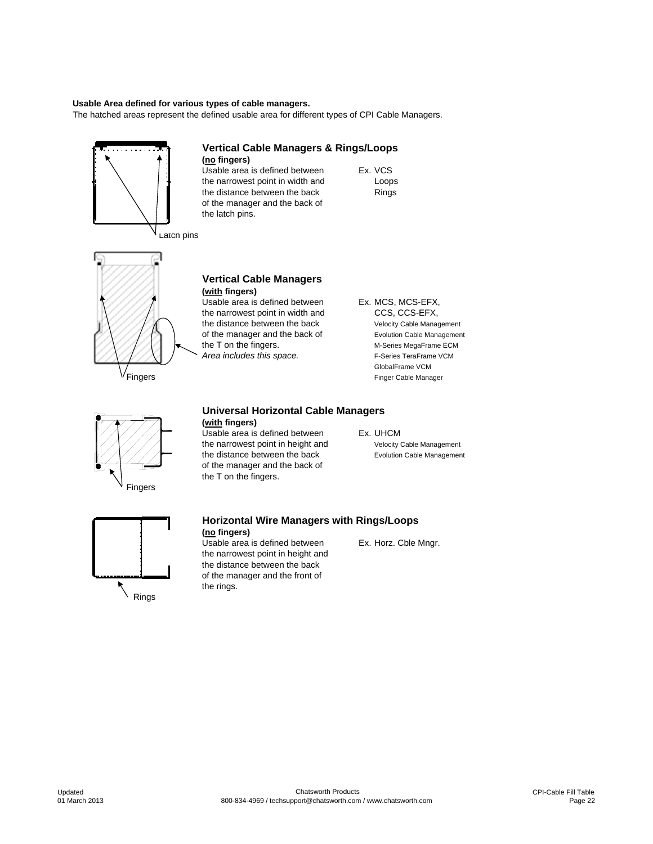#### **Usable Area defined for various types of cable managers.**

The hatched areas represent the defined usable area for different types of CPI Cable Managers.

the narrowest point in width and

of the manager and the back of

**(no fingers)**

the latch pins.

**Vertical Cable Managers & Rings/Loops**

Usable area is defined between Ex. VCS<br>the narrowest point in width and Loops

the distance between the back Rings



Latch pins



**(with fingers)** Usable area is defined between Ex. MCS, MCS-EFX, the narrowest point in width and CCS, CCS-EFX, the distance between the back Velocity Cable Management

**Vertical Cable Managers**

of the manager and the back of Evolution Cable Management<br>the T on the fingers.<br>M-Series MegaFrame ECM M-Series MegaFrame ECM Area includes this space. The Series TeraFrame VCM GlobalFrame VCM Fingers Finger Cable Manager



## **Universal Horizontal Cable Managers (with fingers)**

Usable area is defined between Ex. UHCM the narrowest point in height and Velocity Cable Management the distance between the back Evolution Cable Management of the manager and the back of the T on the fingers.



## **Horizontal Wire Managers with Rings/Loops**

**(no fingers)** Usable area is defined between Ex. Horz. Cble Mngr. the narrowest point in height and the distance between the back of the manager and the front of the rings.